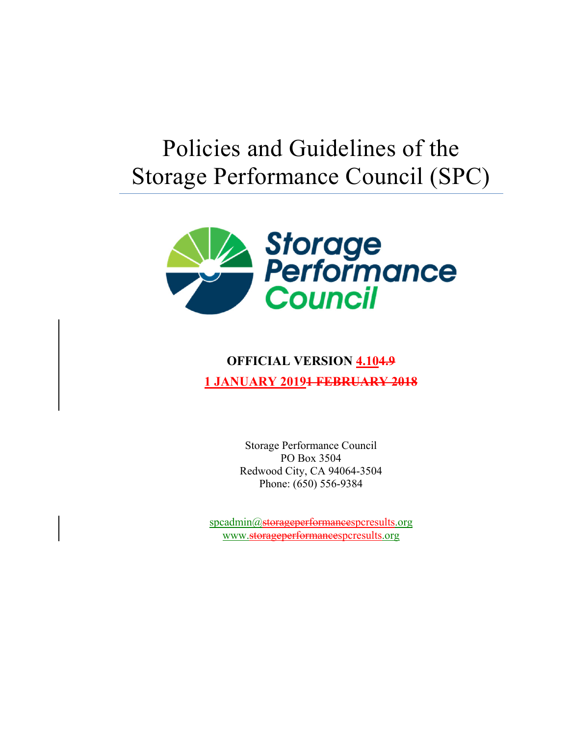# Policies and Guidelines of the Storage Performance Council (SPC)



# **OFFICIAL VERSION 4.104.9 1 JANUARY 20191 FEBRUARY 2018**

Storage Performance Council PO Box 3504 Redwood City, CA 94064-3504 Phone: (650) 556-9384

spcadmin@storageperformancespcresults.org www.storageperformancespcresults.org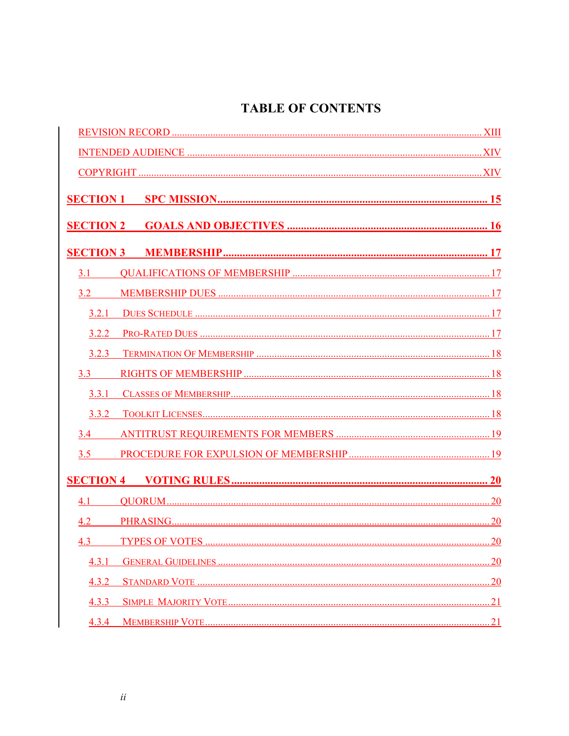# **TABLE OF CONTENTS**

| 3.1   |     |
|-------|-----|
| 3.2   |     |
|       |     |
|       |     |
|       |     |
| 3.3   |     |
|       |     |
| 3.3.2 |     |
| 3.4   |     |
| 3.5   |     |
|       |     |
| 4.1   |     |
|       |     |
|       |     |
| 4.3.1 |     |
| 4.3.2 | .20 |
| 4.3.3 |     |
| 4.3.4 |     |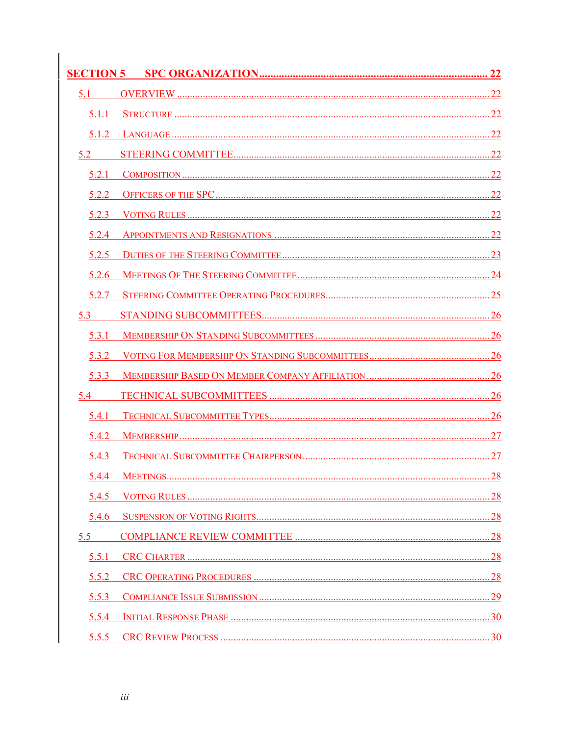| 5.1   |  |
|-------|--|
| 5.1.1 |  |
| 5.1.2 |  |
|       |  |
| 5.2.1 |  |
| 5.2.2 |  |
| 5.2.3 |  |
| 5.2.4 |  |
| 5.2.5 |  |
| 5.2.6 |  |
| 5.2.7 |  |
| 5.3   |  |
| 5.3.1 |  |
| 5.3.2 |  |
| 5.3.3 |  |
| 5.4   |  |
| 5.4.1 |  |
| 5.4.2 |  |
| 5.4.3 |  |
| 5.4.4 |  |
| 5.4.5 |  |
| 5.4.6 |  |
| 5.5   |  |
| 5.5.1 |  |
| 5.5.2 |  |
| 5.5.3 |  |
| 5.5.4 |  |
|       |  |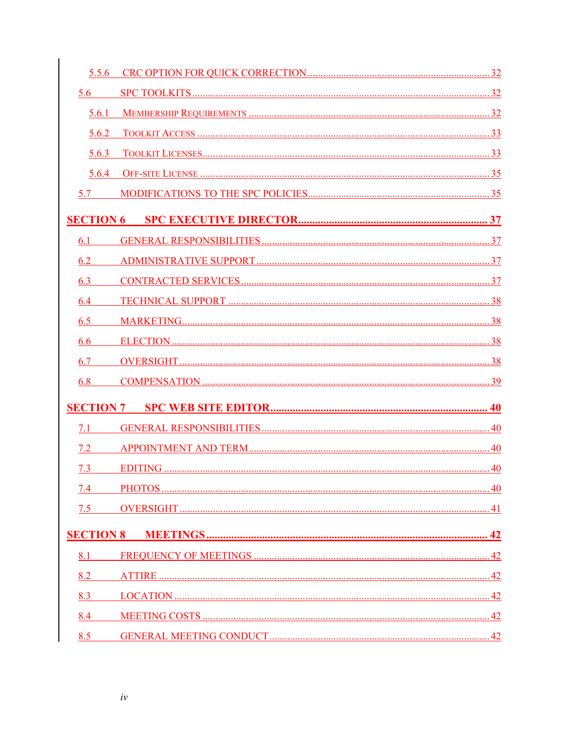| 5.6   |    |
|-------|----|
|       |    |
| 5.6.2 |    |
| 5.6.3 |    |
|       |    |
| 5.7   |    |
|       |    |
| 6.1   |    |
| 6.2   |    |
| 6.3   |    |
| 6.4   |    |
| 6.5   |    |
| 6.6   |    |
| 6.7   |    |
| 6.8   |    |
|       |    |
| 71    |    |
|       |    |
| 7.3   |    |
| 7.4   | 40 |
| 7.5   |    |
|       |    |
| 8.1   |    |
| 8.2   |    |
| 8.3   |    |
| 8.4   |    |
| 8.5   |    |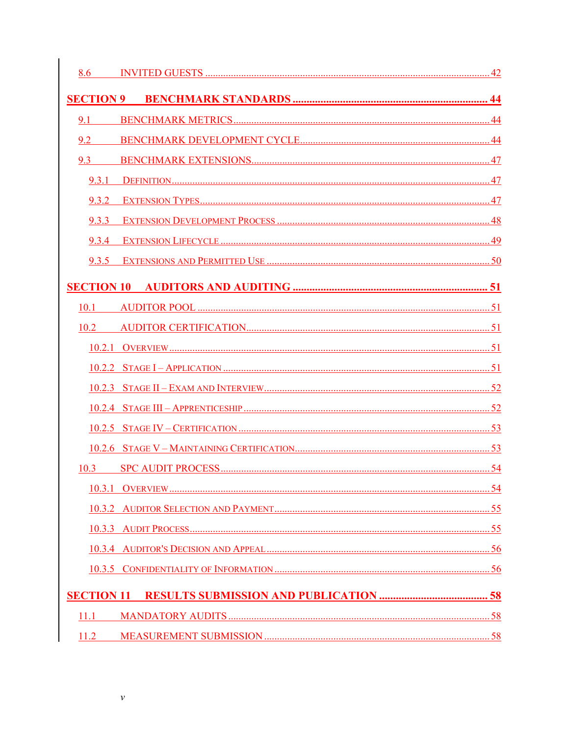| 8.6              |  |
|------------------|--|
| <b>SECTION 9</b> |  |
| 9.1              |  |
| 9.2              |  |
| 9.3              |  |
| 9.3.1            |  |
|                  |  |
| 9.3.3            |  |
|                  |  |
|                  |  |
|                  |  |
| 10.1             |  |
| 10.2             |  |
|                  |  |
|                  |  |
|                  |  |
|                  |  |
|                  |  |
|                  |  |
| 10.3             |  |
|                  |  |
|                  |  |
|                  |  |
|                  |  |
|                  |  |
|                  |  |
| 11.1             |  |
| 11.2             |  |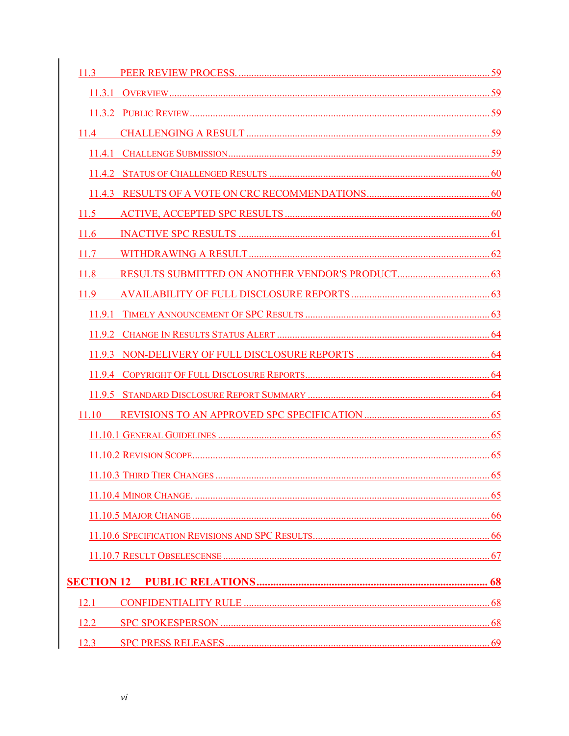| 11.3 |  |
|------|--|
|      |  |
|      |  |
|      |  |
|      |  |
|      |  |
|      |  |
| 11.5 |  |
| 11.6 |  |
| 117  |  |
| 11.8 |  |
| 11.9 |  |
|      |  |
|      |  |
|      |  |
|      |  |
|      |  |
|      |  |
|      |  |
|      |  |
|      |  |
|      |  |
|      |  |
|      |  |
|      |  |
|      |  |
| 12.1 |  |
| 12.2 |  |
| 12.3 |  |
|      |  |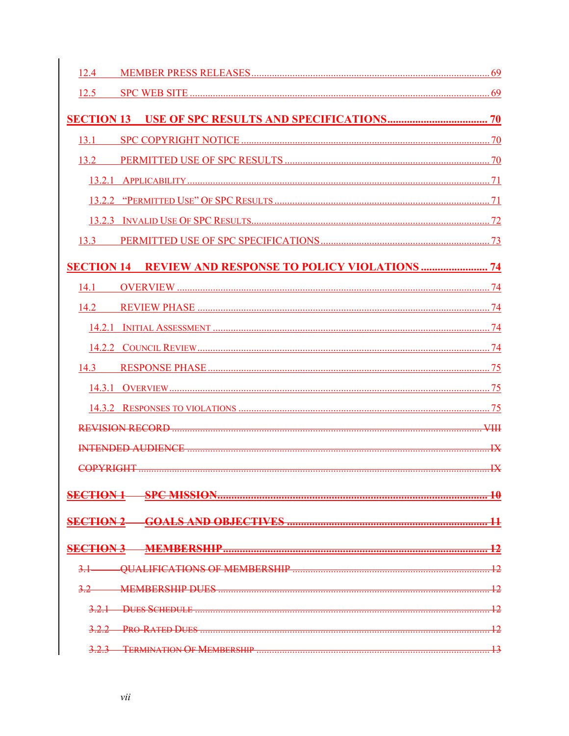| 124                                                            |                         |
|----------------------------------------------------------------|-------------------------|
|                                                                |                         |
|                                                                |                         |
| 13.1                                                           |                         |
|                                                                |                         |
|                                                                |                         |
|                                                                |                         |
|                                                                |                         |
|                                                                |                         |
| <b>SECTION 14 REVIEW AND RESPONSE TO POLICY VIOLATIONS  74</b> |                         |
| 14.1                                                           |                         |
|                                                                |                         |
|                                                                |                         |
|                                                                |                         |
|                                                                |                         |
|                                                                |                         |
|                                                                |                         |
|                                                                |                         |
|                                                                | $\mathbf{I} \mathbf{X}$ |
|                                                                |                         |
|                                                                |                         |
|                                                                |                         |
| <b>MEMBERSHIP</b>                                              |                         |
| <b>OUALIFICATIONS OF MEMBERSHIP</b>                            |                         |
|                                                                |                         |
|                                                                |                         |
| <b>PRO-RATED DUES</b>                                          |                         |
|                                                                |                         |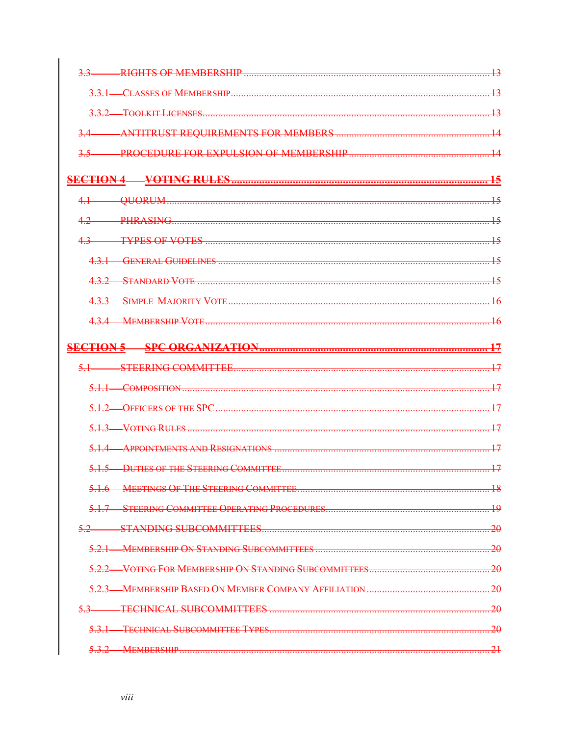|             | RIGHTS OF MEMBERSHIP                                                                                   |                 |
|-------------|--------------------------------------------------------------------------------------------------------|-----------------|
| 331         |                                                                                                        | <u> 12</u>      |
| 332         |                                                                                                        |                 |
|             |                                                                                                        |                 |
|             | <b>PROCEDURE FOR EXPULSION OF MEMBERSHIP</b>                                                           |                 |
|             |                                                                                                        | 45              |
|             |                                                                                                        |                 |
|             | <b>PHRASING</b>                                                                                        |                 |
|             | <b>TYPES OF VOTES</b>                                                                                  |                 |
|             |                                                                                                        |                 |
| $\sqrt{22}$ | <b>STANDARD VOTE</b>                                                                                   | $\overline{15}$ |
| 133         |                                                                                                        |                 |
|             | <b>MEMBERSHIP VOTE</b>                                                                                 |                 |
|             |                                                                                                        |                 |
|             |                                                                                                        |                 |
|             | COMPOSITION                                                                                            |                 |
| 512         | OFFICERS OF THE SPC                                                                                    | 17              |
|             | VOTING RULES                                                                                           |                 |
| 51A         | APPOINTMENTS AND RESIGNATIONS                                                                          | $\overline{17}$ |
|             |                                                                                                        | $\overline{17}$ |
|             | <b>MEETINGS OF THE STEERING COMMITTEE.</b>                                                             | 18              |
|             | STEERING COMMITTEE OPERATING PROCEDURES                                                                | $\overline{19}$ |
| 52          |                                                                                                        | -20             |
| 521         | <b>MEMBERSHIP ON STANDING SURCOMMITTEES</b>                                                            | -20             |
|             |                                                                                                        | -20             |
|             |                                                                                                        | 20              |
|             | <b>TECHNICAL SURCOMMITTEES</b><br><u> 1989 - Johann Barbara, martxa alemaniar argametar (h. 1989).</u> | $-20$           |
| 531         | <b>TECHNICAL SUBCOMMITTEE TYPES</b>                                                                    | -20             |
|             | <b>MEMBERSHIP</b>                                                                                      |                 |
|             |                                                                                                        |                 |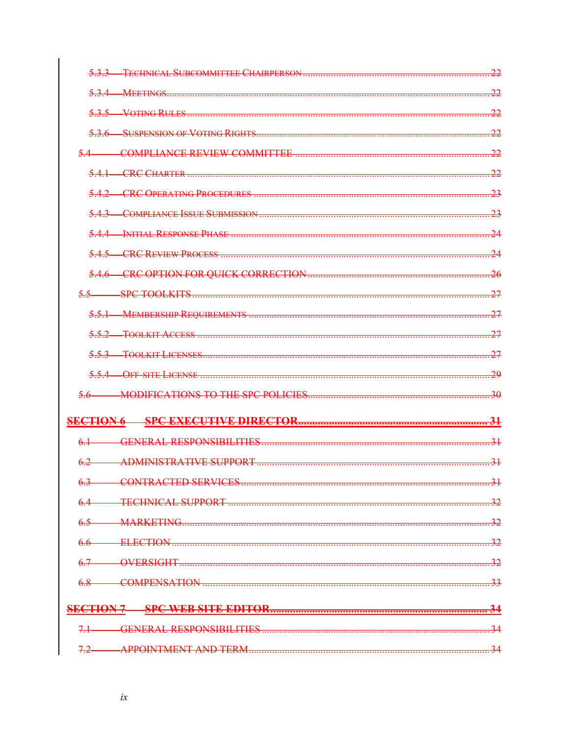| <u>קר</u><br><b>TECHNICAL SUBCOMMITTEE CHAIRPERSON</b> |
|--------------------------------------------------------|
| <u>ာ၁</u>                                              |
| <u>ာ၁</u>                                              |
| <u>ာ၁</u>                                              |
| <u>ာာ</u>                                              |
| <u>ာာ</u>                                              |
| 23                                                     |
| 23                                                     |
|                                                        |
| <u>גר</u>                                              |
| $\overline{26}$                                        |
| SPC TOOLKITS<br>27                                     |
| 27                                                     |
| 27                                                     |
| <u>רכ</u>                                              |
| <u>ാറ</u>                                              |
| $\frac{30}{2}$                                         |
| -31                                                    |
| $\overline{31}$                                        |
| $\overline{31}$                                        |
| $\overline{.31}$                                       |
| -32                                                    |
|                                                        |
|                                                        |
|                                                        |
| -33                                                    |
|                                                        |
| -34                                                    |
|                                                        |
|                                                        |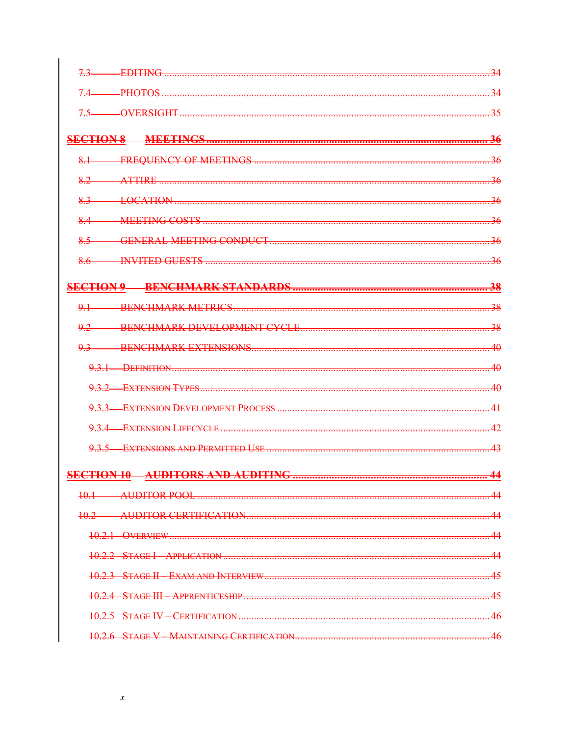| 73              | <b>EDITING</b>                      |                 |
|-----------------|-------------------------------------|-----------------|
| -PHOTOS         |                                     |                 |
|                 | <b>OVERSIGHT</b>                    |                 |
|                 |                                     |                 |
|                 |                                     |                 |
| 8.2             | ATTIRE                              |                 |
| 83              |                                     |                 |
| $8-4$           | <b>MEETING COSTS</b>                |                 |
| 8.5             |                                     |                 |
|                 |                                     |                 |
|                 |                                     |                 |
|                 |                                     |                 |
| $\overline{0}1$ |                                     | 38              |
|                 |                                     | $\overline{38}$ |
| 93              | <b>BENCHMARK EXTENSIONS</b>         | 4Ω              |
|                 | 9.3.1 DEFINITION                    | 4Ω              |
|                 | 9.3.2 EXTENSION TYPES               |                 |
|                 | 9.3.3 EXTENSION DEVELOPMENT PROCESS |                 |
|                 | 9.3.4 EXTENSION LIFECYCLE.          |                 |
|                 | 9.3.5 EXTENSIONS AND PERMITTED USE  |                 |
|                 |                                     |                 |
|                 |                                     |                 |
| 10 1            | AUDITOR POOL                        |                 |
| <u>م 10</u>     |                                     |                 |
| 1021            | QVFRVIFW                            | 44              |
|                 |                                     | <u>A A</u>      |
|                 |                                     | 45              |
|                 |                                     | 45              |
| 1025            |                                     | 46              |
|                 |                                     | 46              |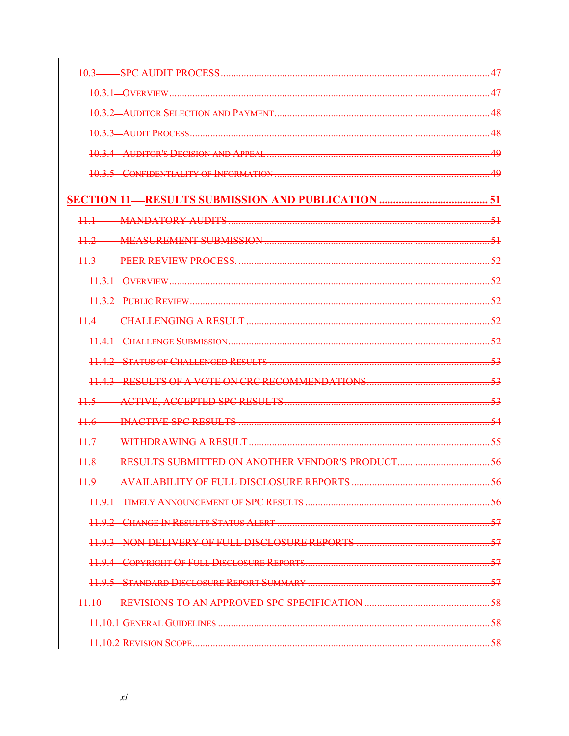| 10.3                                               | 47    |
|----------------------------------------------------|-------|
|                                                    |       |
|                                                    |       |
|                                                    |       |
|                                                    | 40    |
|                                                    |       |
|                                                    |       |
|                                                    |       |
|                                                    |       |
|                                                    | 52    |
|                                                    |       |
|                                                    |       |
|                                                    |       |
|                                                    |       |
|                                                    | 53    |
|                                                    |       |
|                                                    |       |
|                                                    |       |
|                                                    | 55    |
| 11.8 RESULTS SUBMITTED ON ANOTHER VENDOR'S PRODUCT |       |
| 11.9 AVAILABILITY OF FULL DISCLOSURE REPORTS.      | -56   |
|                                                    | -56   |
|                                                    |       |
|                                                    |       |
|                                                    |       |
|                                                    |       |
|                                                    |       |
|                                                    | $-58$ |
|                                                    |       |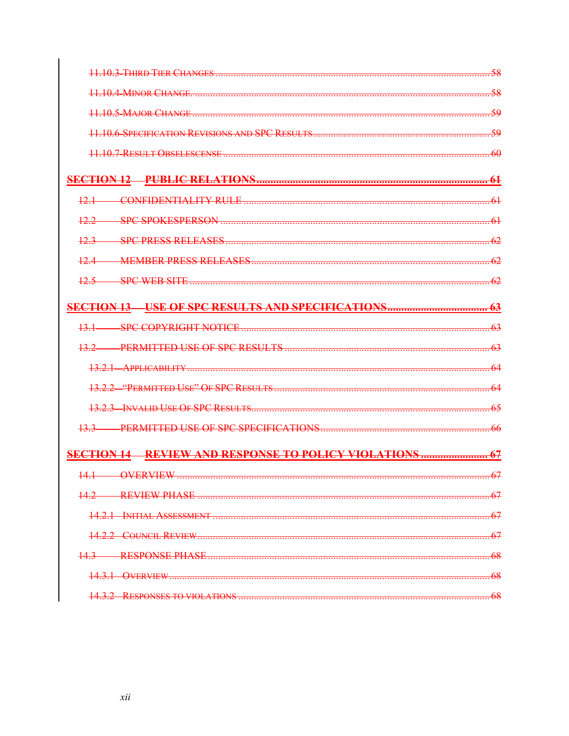|                                                                | 58  |
|----------------------------------------------------------------|-----|
|                                                                |     |
|                                                                | مى  |
|                                                                |     |
|                                                                | 60  |
|                                                                |     |
|                                                                |     |
|                                                                |     |
|                                                                |     |
|                                                                |     |
|                                                                |     |
| $12.5$ SPC WEB SITE                                            |     |
|                                                                |     |
|                                                                |     |
|                                                                | 63  |
|                                                                | -64 |
|                                                                |     |
|                                                                |     |
|                                                                | -66 |
| <b>SECTION 14 REVIEW AND RESPONSE TO POLICY VIOLATIONS  67</b> |     |
|                                                                |     |
| <b>DEVIEW DHANE</b>                                            |     |
| INITIAL ACCECCMENT                                             |     |
| COUNCIL REVIEW                                                 |     |
| RESPONSE PHASE                                                 | 68  |
| $\Delta$ verview $\sim$                                        |     |
|                                                                | 68  |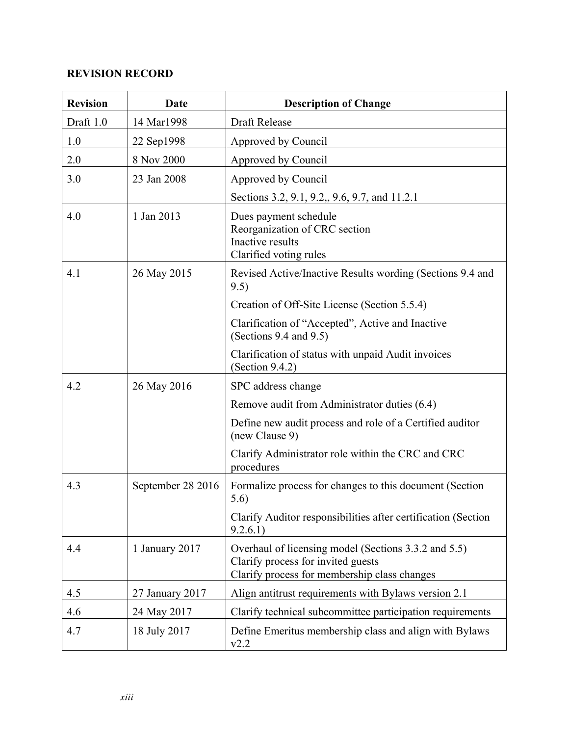### **REVISION RECORD**

| <b>Revision</b> | Date              | <b>Description of Change</b>                                                                                                               |
|-----------------|-------------------|--------------------------------------------------------------------------------------------------------------------------------------------|
| Draft 1.0       | 14 Mar1998        | Draft Release                                                                                                                              |
| 1.0             | 22 Sep1998        | Approved by Council                                                                                                                        |
| 2.0             | 8 Nov 2000        | Approved by Council                                                                                                                        |
| 3.0             | 23 Jan 2008       | Approved by Council                                                                                                                        |
|                 |                   | Sections 3.2, 9.1, 9.2,, 9.6, 9.7, and 11.2.1                                                                                              |
| 4.0             | 1 Jan 2013        | Dues payment schedule<br>Reorganization of CRC section<br>Inactive results<br>Clarified voting rules                                       |
| 4.1             | 26 May 2015       | Revised Active/Inactive Results wording (Sections 9.4 and<br>9.5)                                                                          |
|                 |                   | Creation of Off-Site License (Section 5.5.4)                                                                                               |
|                 |                   | Clarification of "Accepted", Active and Inactive<br>(Sections $9.4$ and $9.5$ )                                                            |
|                 |                   | Clarification of status with unpaid Audit invoices<br>(Section $9.4.2$ )                                                                   |
| 4.2             | 26 May 2016       | SPC address change                                                                                                                         |
|                 |                   | Remove audit from Administrator duties (6.4)                                                                                               |
|                 |                   | Define new audit process and role of a Certified auditor<br>(new Clause 9)                                                                 |
|                 |                   | Clarify Administrator role within the CRC and CRC<br>procedures                                                                            |
| 4.3             | September 28 2016 | Formalize process for changes to this document (Section<br>5.6)                                                                            |
|                 |                   | Clarify Auditor responsibilities after certification (Section<br>9.2.6.1)                                                                  |
| 4.4             | 1 January 2017    | Overhaul of licensing model (Sections 3.3.2 and 5.5)<br>Clarify process for invited guests<br>Clarify process for membership class changes |
| 4.5             | 27 January 2017   | Align antitrust requirements with Bylaws version 2.1                                                                                       |
| 4.6             | 24 May 2017       | Clarify technical subcommittee participation requirements                                                                                  |
| 4.7             | 18 July 2017      | Define Emeritus membership class and align with Bylaws<br>v2.2                                                                             |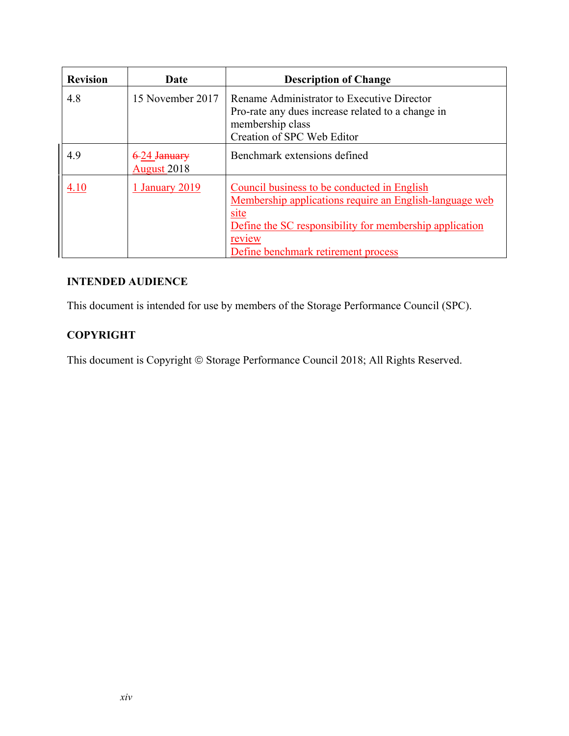| <b>Revision</b> | Date                               | <b>Description of Change</b>                                                                                                                                                                                               |
|-----------------|------------------------------------|----------------------------------------------------------------------------------------------------------------------------------------------------------------------------------------------------------------------------|
| 4.8             | 15 November 2017                   | Rename Administrator to Executive Director<br>Pro-rate any dues increase related to a change in<br>membership class<br>Creation of SPC Web Editor                                                                          |
| 4.9             | 6-24 January<br><b>August</b> 2018 | Benchmark extensions defined                                                                                                                                                                                               |
| 4.10            | 1 January 2019                     | Council business to be conducted in English<br>Membership applications require an English-language web<br>site<br>Define the SC responsibility for membership application<br>review<br>Define benchmark retirement process |

#### **INTENDED AUDIENCE**

This document is intended for use by members of the Storage Performance Council (SPC).

# **COPYRIGHT**

This document is Copyright © Storage Performance Council 2018; All Rights Reserved.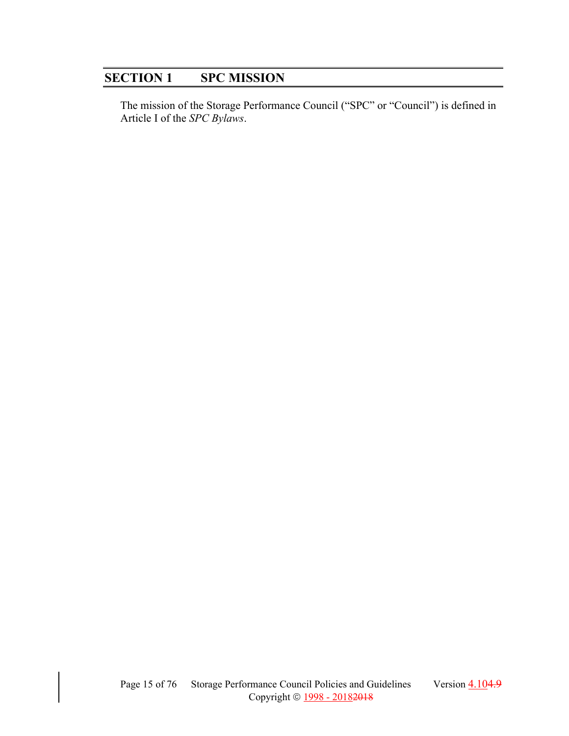# **SECTION 1 SPC MISSION**

The mission of the Storage Performance Council ("SPC" or "Council") is defined in Article I of the *SPC Bylaws*.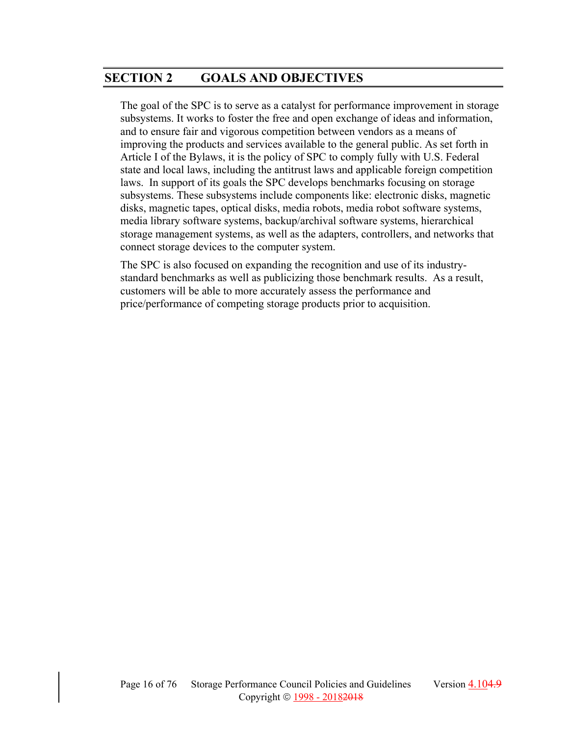# **SECTION 2 GOALS AND OBJECTIVES**

The goal of the SPC is to serve as a catalyst for performance improvement in storage subsystems. It works to foster the free and open exchange of ideas and information, and to ensure fair and vigorous competition between vendors as a means of improving the products and services available to the general public. As set forth in Article I of the Bylaws, it is the policy of SPC to comply fully with U.S. Federal state and local laws, including the antitrust laws and applicable foreign competition laws. In support of its goals the SPC develops benchmarks focusing on storage subsystems. These subsystems include components like: electronic disks, magnetic disks, magnetic tapes, optical disks, media robots, media robot software systems, media library software systems, backup/archival software systems, hierarchical storage management systems, as well as the adapters, controllers, and networks that connect storage devices to the computer system.

The SPC is also focused on expanding the recognition and use of its industrystandard benchmarks as well as publicizing those benchmark results. As a result, customers will be able to more accurately assess the performance and price/performance of competing storage products prior to acquisition.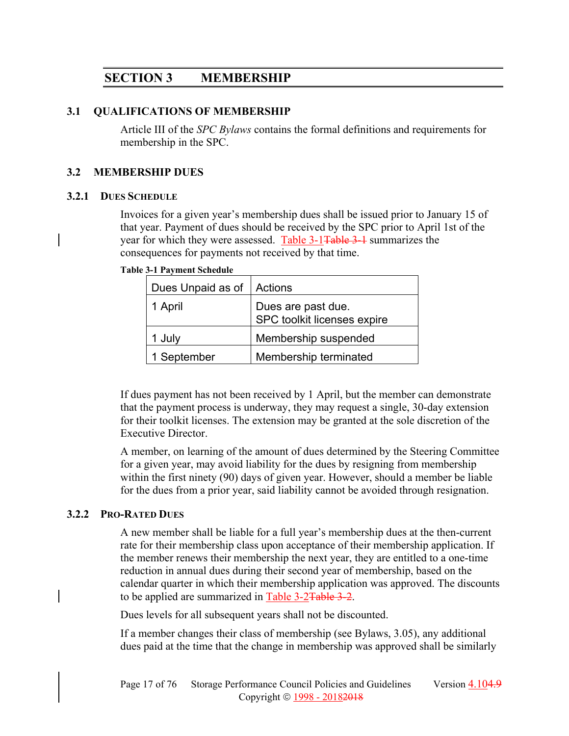# **SECTION 3 MEMBERSHIP**

#### **3.1 QUALIFICATIONS OF MEMBERSHIP**

Article III of the *SPC Bylaws* contains the formal definitions and requirements for membership in the SPC.

#### **3.2 MEMBERSHIP DUES**

#### **3.2.1 DUES SCHEDULE**

Invoices for a given year's membership dues shall be issued prior to January 15 of that year. Payment of dues should be received by the SPC prior to April 1st of the year for which they were assessed. Table 3-1Table 3-1 summarizes the consequences for payments not received by that time.

**Table 3-1 Payment Schedule** 

| Dues Unpaid as of | Actions                                           |  |
|-------------------|---------------------------------------------------|--|
| 1 April           | Dues are past due.<br>SPC toolkit licenses expire |  |
| 1 July            | Membership suspended                              |  |
| 1 September       | Membership terminated                             |  |

If dues payment has not been received by 1 April, but the member can demonstrate that the payment process is underway, they may request a single, 30-day extension for their toolkit licenses. The extension may be granted at the sole discretion of the Executive Director.

A member, on learning of the amount of dues determined by the Steering Committee for a given year, may avoid liability for the dues by resigning from membership within the first ninety (90) days of given year. However, should a member be liable for the dues from a prior year, said liability cannot be avoided through resignation.

#### **3.2.2 PRO-RATED DUES**

A new member shall be liable for a full year's membership dues at the then-current rate for their membership class upon acceptance of their membership application. If the member renews their membership the next year, they are entitled to a one-time reduction in annual dues during their second year of membership, based on the calendar quarter in which their membership application was approved. The discounts to be applied are summarized in Table 3-2Table 3-2.

Dues levels for all subsequent years shall not be discounted.

If a member changes their class of membership (see Bylaws, 3.05), any additional dues paid at the time that the change in membership was approved shall be similarly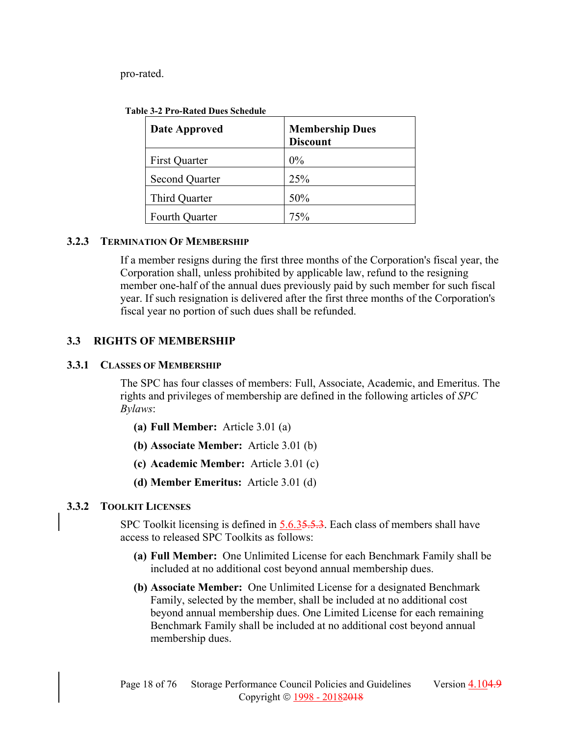pro-rated.

| <b>Table 3-2 Pro-Rated Dues Schedule</b> |
|------------------------------------------|
|------------------------------------------|

| Date Approved         | <b>Membership Dues</b><br><b>Discount</b> |  |
|-----------------------|-------------------------------------------|--|
| <b>First Quarter</b>  | $0\%$                                     |  |
| <b>Second Quarter</b> | 25%                                       |  |
| Third Quarter         | 50%                                       |  |
| Fourth Quarter        | 75%                                       |  |

#### **3.2.3 TERMINATION OF MEMBERSHIP**

If a member resigns during the first three months of the Corporation's fiscal year, the Corporation shall, unless prohibited by applicable law, refund to the resigning member one-half of the annual dues previously paid by such member for such fiscal year. If such resignation is delivered after the first three months of the Corporation's fiscal year no portion of such dues shall be refunded.

#### **3.3 RIGHTS OF MEMBERSHIP**

#### **3.3.1 CLASSES OF MEMBERSHIP**

The SPC has four classes of members: Full, Associate, Academic, and Emeritus. The rights and privileges of membership are defined in the following articles of *SPC Bylaws*:

- **(a) Full Member:** Article 3.01 (a)
- **(b) Associate Member:** Article 3.01 (b)
- **(c) Academic Member:** Article 3.01 (c)
- **(d) Member Emeritus:** Article 3.01 (d)

#### **3.3.2 TOOLKIT LICENSES**

SPC Toolkit licensing is defined in  $5.6.35.5.3$ . Each class of members shall have access to released SPC Toolkits as follows:

- **(a) Full Member:** One Unlimited License for each Benchmark Family shall be included at no additional cost beyond annual membership dues.
- **(b) Associate Member:** One Unlimited License for a designated Benchmark Family, selected by the member, shall be included at no additional cost beyond annual membership dues. One Limited License for each remaining Benchmark Family shall be included at no additional cost beyond annual membership dues.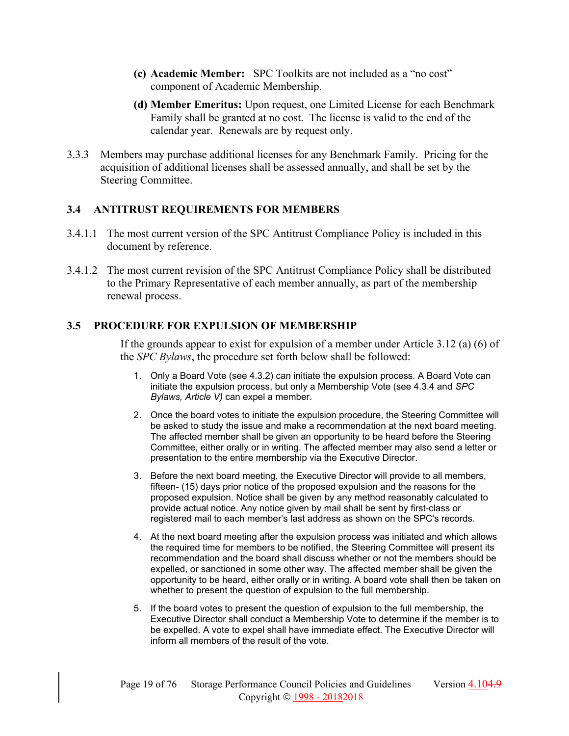- **(c) Academic Member:** SPC Toolkits are not included as a "no cost" component of Academic Membership.
- **(d) Member Emeritus:** Upon request, one Limited License for each Benchmark Family shall be granted at no cost. The license is valid to the end of the calendar year. Renewals are by request only.
- 3.3.3 Members may purchase additional licenses for any Benchmark Family. Pricing for the acquisition of additional licenses shall be assessed annually, and shall be set by the Steering Committee.

#### **3.4 ANTITRUST REQUIREMENTS FOR MEMBERS**

- 3.4.1.1 The most current version of the SPC Antitrust Compliance Policy is included in this document by reference.
- 3.4.1.2 The most current revision of the SPC Antitrust Compliance Policy shall be distributed to the Primary Representative of each member annually, as part of the membership renewal process.

#### **3.5 PROCEDURE FOR EXPULSION OF MEMBERSHIP**

If the grounds appear to exist for expulsion of a member under Article 3.12 (a) (6) of the *SPC Bylaws*, the procedure set forth below shall be followed:

- 1. Only a Board Vote (see 4.3.2) can initiate the expulsion process. A Board Vote can initiate the expulsion process, but only a Membership Vote (see 4.3.4 and *SPC Bylaws, Article V)* can expel a member.
- 2. Once the board votes to initiate the expulsion procedure, the Steering Committee will be asked to study the issue and make a recommendation at the next board meeting. The affected member shall be given an opportunity to be heard before the Steering Committee, either orally or in writing. The affected member may also send a letter or presentation to the entire membership via the Executive Director.
- 3. Before the next board meeting, the Executive Director will provide to all members, fifteen- (15) days prior notice of the proposed expulsion and the reasons for the proposed expulsion. Notice shall be given by any method reasonably calculated to provide actual notice. Any notice given by mail shall be sent by first-class or registered mail to each member's last address as shown on the SPC's records.
- 4. At the next board meeting after the expulsion process was initiated and which allows the required time for members to be notified, the Steering Committee will present its recommendation and the board shall discuss whether or not the members should be expelled, or sanctioned in some other way. The affected member shall be given the opportunity to be heard, either orally or in writing. A board vote shall then be taken on whether to present the question of expulsion to the full membership.
- 5. If the board votes to present the question of expulsion to the full membership, the Executive Director shall conduct a Membership Vote to determine if the member is to be expelled. A vote to expel shall have immediate effect. The Executive Director will inform all members of the result of the vote.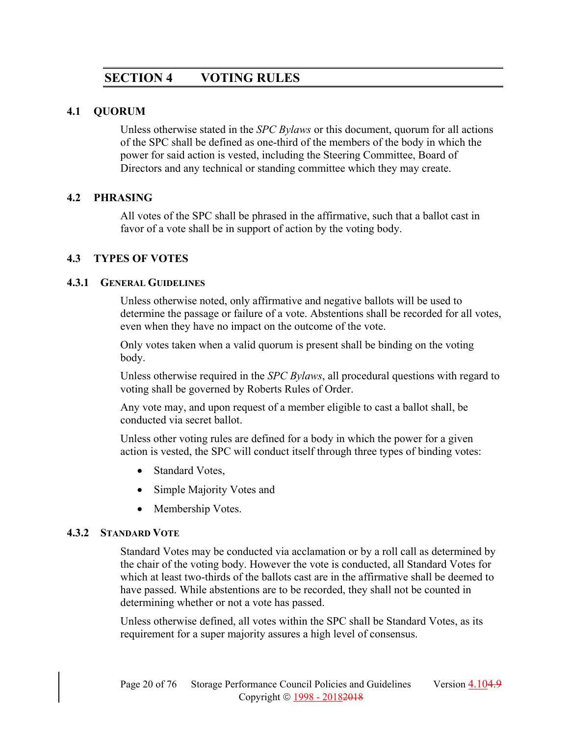# **SECTION 4 VOTING RULES**

#### **4.1 QUORUM**

Unless otherwise stated in the *SPC Bylaws* or this document, quorum for all actions of the SPC shall be defined as one-third of the members of the body in which the power for said action is vested, including the Steering Committee, Board of Directors and any technical or standing committee which they may create.

#### **4.2 PHRASING**

All votes of the SPC shall be phrased in the affirmative, such that a ballot cast in favor of a vote shall be in support of action by the voting body.

#### **4.3 TYPES OF VOTES**

#### **4.3.1 GENERAL GUIDELINES**

Unless otherwise noted, only affirmative and negative ballots will be used to determine the passage or failure of a vote. Abstentions shall be recorded for all votes, even when they have no impact on the outcome of the vote.

Only votes taken when a valid quorum is present shall be binding on the voting body.

Unless otherwise required in the *SPC Bylaws*, all procedural questions with regard to voting shall be governed by Roberts Rules of Order.

Any vote may, and upon request of a member eligible to cast a ballot shall, be conducted via secret ballot.

Unless other voting rules are defined for a body in which the power for a given action is vested, the SPC will conduct itself through three types of binding votes:

- Standard Votes,
- Simple Majority Votes and
- Membership Votes.

#### **4.3.2 STANDARD VOTE**

Standard Votes may be conducted via acclamation or by a roll call as determined by the chair of the voting body. However the vote is conducted, all Standard Votes for which at least two-thirds of the ballots cast are in the affirmative shall be deemed to have passed. While abstentions are to be recorded, they shall not be counted in determining whether or not a vote has passed.

Unless otherwise defined, all votes within the SPC shall be Standard Votes, as its requirement for a super majority assures a high level of consensus.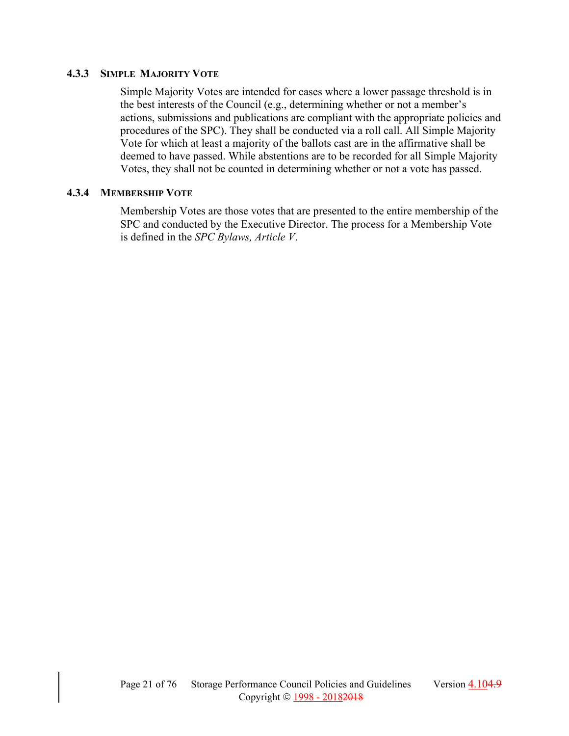#### **4.3.3 SIMPLE MAJORITY VOTE**

Simple Majority Votes are intended for cases where a lower passage threshold is in the best interests of the Council (e.g., determining whether or not a member's actions, submissions and publications are compliant with the appropriate policies and procedures of the SPC). They shall be conducted via a roll call. All Simple Majority Vote for which at least a majority of the ballots cast are in the affirmative shall be deemed to have passed. While abstentions are to be recorded for all Simple Majority Votes, they shall not be counted in determining whether or not a vote has passed.

#### **4.3.4 MEMBERSHIP VOTE**

Membership Votes are those votes that are presented to the entire membership of the SPC and conducted by the Executive Director. The process for a Membership Vote is defined in the *SPC Bylaws, Article V*.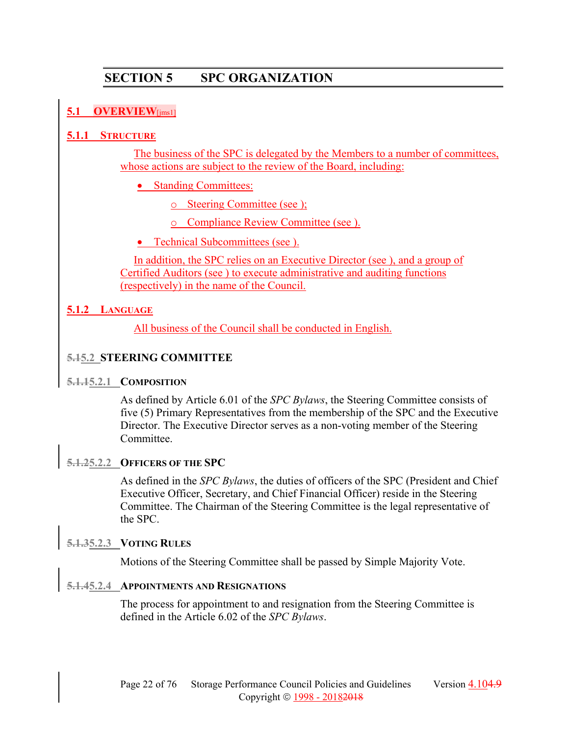# **SECTION 5 SPC ORGANIZATION**

# **5.1 OVERVIEW**[jms1]

#### **5.1.1 STRUCTURE**

The business of the SPC is delegated by the Members to a number of committees, whose actions are subject to the review of the Board, including:

• Standing Committees:

o Steering Committee (see );

o Compliance Review Committee (see ).

#### • Technical Subcommittees (see ).

In addition, the SPC relies on an Executive Director (see ), and a group of Certified Auditors (see ) to execute administrative and auditing functions (respectively) in the name of the Council.

#### **5.1.2 LANGUAGE**

All business of the Council shall be conducted in English.

#### **5.15.2 STEERING COMMITTEE**

#### **5.1.15.2.1 COMPOSITION**

As defined by Article 6.01 of the *SPC Bylaws*, the Steering Committee consists of five (5) Primary Representatives from the membership of the SPC and the Executive Director. The Executive Director serves as a non-voting member of the Steering Committee.

#### **5.1.25.2.2 OFFICERS OF THE SPC**

As defined in the *SPC Bylaws*, the duties of officers of the SPC (President and Chief Executive Officer, Secretary, and Chief Financial Officer) reside in the Steering Committee. The Chairman of the Steering Committee is the legal representative of the SPC.

#### **5.1.35.2.3 VOTING RULES**

Motions of the Steering Committee shall be passed by Simple Majority Vote.

# **5.1.45.2.4 APPOINTMENTS AND RESIGNATIONS**

The process for appointment to and resignation from the Steering Committee is defined in the Article 6.02 of the *SPC Bylaws*.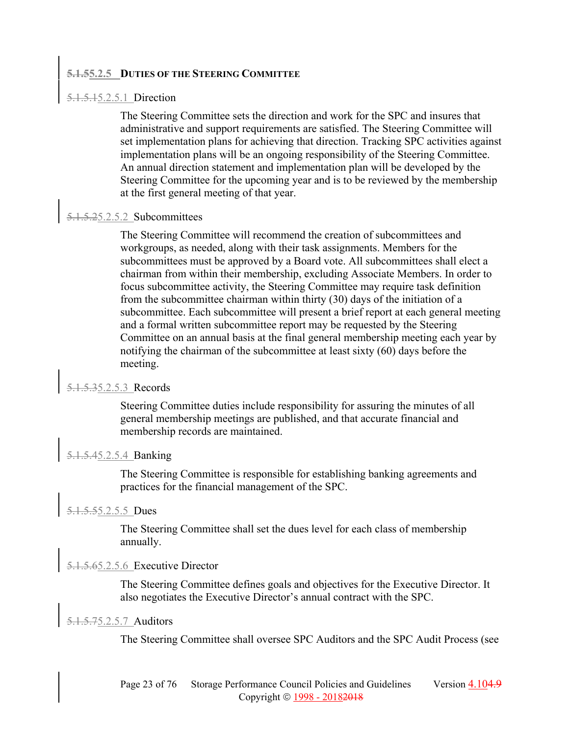#### **5.1.55.2.5 DUTIES OF THE STEERING COMMITTEE**

#### 5.1.5.15.2.5.1 Direction

The Steering Committee sets the direction and work for the SPC and insures that administrative and support requirements are satisfied. The Steering Committee will set implementation plans for achieving that direction. Tracking SPC activities against implementation plans will be an ongoing responsibility of the Steering Committee. An annual direction statement and implementation plan will be developed by the Steering Committee for the upcoming year and is to be reviewed by the membership at the first general meeting of that year.

#### 5.1.5.25.2.5.2 Subcommittees

The Steering Committee will recommend the creation of subcommittees and workgroups, as needed, along with their task assignments. Members for the subcommittees must be approved by a Board vote. All subcommittees shall elect a chairman from within their membership, excluding Associate Members. In order to focus subcommittee activity, the Steering Committee may require task definition from the subcommittee chairman within thirty (30) days of the initiation of a subcommittee. Each subcommittee will present a brief report at each general meeting and a formal written subcommittee report may be requested by the Steering Committee on an annual basis at the final general membership meeting each year by notifying the chairman of the subcommittee at least sixty (60) days before the meeting.

#### 5.1.5.35.2.5.3 Records

Steering Committee duties include responsibility for assuring the minutes of all general membership meetings are published, and that accurate financial and membership records are maintained.

#### 5.1.5.45.2.5.4 Banking

The Steering Committee is responsible for establishing banking agreements and practices for the financial management of the SPC.

#### 5.1.5.55.2.5.5 Dues

The Steering Committee shall set the dues level for each class of membership annually.

#### 5.1.5.65.2.5.6 Executive Director

The Steering Committee defines goals and objectives for the Executive Director. It also negotiates the Executive Director's annual contract with the SPC.

#### 5.1.5.75.2.5.7 Auditors

The Steering Committee shall oversee SPC Auditors and the SPC Audit Process (see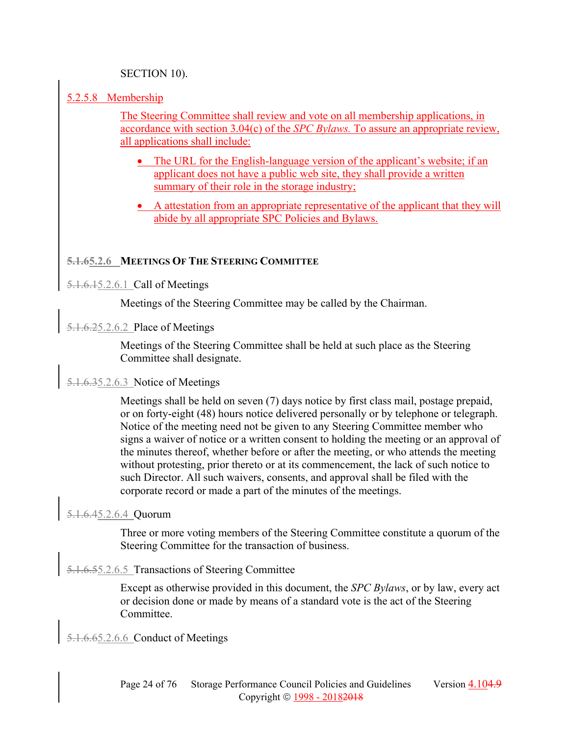#### SECTION 10).

#### 5.2.5.8 Membership

The Steering Committee shall review and vote on all membership applications, in accordance with section 3.04(c) of the *SPC Bylaws.* To assure an appropriate review, all applications shall include:

- The URL for the English-language version of the applicant's website; if an applicant does not have a public web site, they shall provide a written summary of their role in the storage industry;
- A attestation from an appropriate representative of the applicant that they will abide by all appropriate SPC Policies and Bylaws.

#### **5.1.65.2.6 MEETINGS OF THE STEERING COMMITTEE**

5.1.6.15.2.6.1 Call of Meetings

Meetings of the Steering Committee may be called by the Chairman.

5.1.6.25.2.6.2 Place of Meetings

Meetings of the Steering Committee shall be held at such place as the Steering Committee shall designate.

# 5.1.6.35.2.6.3 Notice of Meetings

Meetings shall be held on seven (7) days notice by first class mail, postage prepaid, or on forty-eight (48) hours notice delivered personally or by telephone or telegraph. Notice of the meeting need not be given to any Steering Committee member who signs a waiver of notice or a written consent to holding the meeting or an approval of the minutes thereof, whether before or after the meeting, or who attends the meeting without protesting, prior thereto or at its commencement, the lack of such notice to such Director. All such waivers, consents, and approval shall be filed with the corporate record or made a part of the minutes of the meetings.

#### 5.1.6.45.2.6.4 Quorum

Three or more voting members of the Steering Committee constitute a quorum of the Steering Committee for the transaction of business.

#### 5.1.6.55.2.6.5 Transactions of Steering Committee

Except as otherwise provided in this document, the *SPC Bylaws*, or by law, every act or decision done or made by means of a standard vote is the act of the Steering Committee.

5.1.6.65.2.6.6 Conduct of Meetings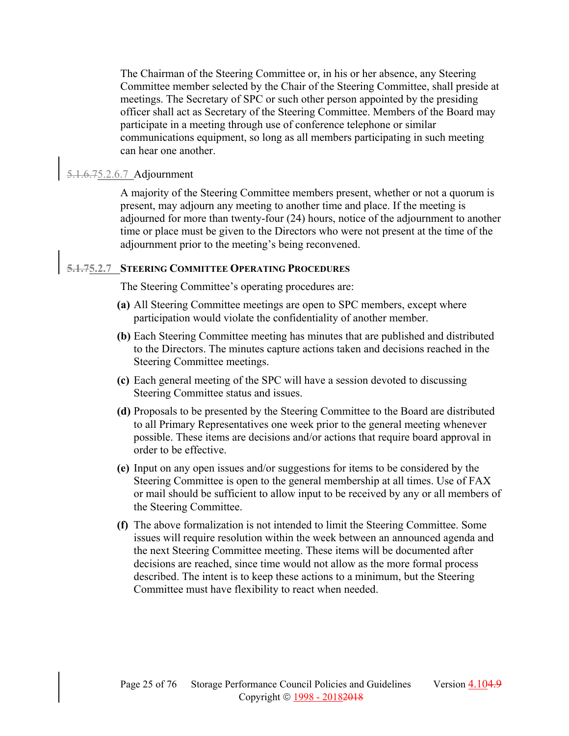The Chairman of the Steering Committee or, in his or her absence, any Steering Committee member selected by the Chair of the Steering Committee, shall preside at meetings. The Secretary of SPC or such other person appointed by the presiding officer shall act as Secretary of the Steering Committee. Members of the Board may participate in a meeting through use of conference telephone or similar communications equipment, so long as all members participating in such meeting can hear one another.

# 5.1.6.75.2.6.7 Adjournment

A majority of the Steering Committee members present, whether or not a quorum is present, may adjourn any meeting to another time and place. If the meeting is adjourned for more than twenty-four (24) hours, notice of the adjournment to another time or place must be given to the Directors who were not present at the time of the adjournment prior to the meeting's being reconvened.

# **5.1.75.2.7 STEERING COMMITTEE OPERATING PROCEDURES**

The Steering Committee's operating procedures are:

- **(a)** All Steering Committee meetings are open to SPC members, except where participation would violate the confidentiality of another member.
- **(b)** Each Steering Committee meeting has minutes that are published and distributed to the Directors. The minutes capture actions taken and decisions reached in the Steering Committee meetings.
- **(c)** Each general meeting of the SPC will have a session devoted to discussing Steering Committee status and issues.
- **(d)** Proposals to be presented by the Steering Committee to the Board are distributed to all Primary Representatives one week prior to the general meeting whenever possible. These items are decisions and/or actions that require board approval in order to be effective.
- **(e)** Input on any open issues and/or suggestions for items to be considered by the Steering Committee is open to the general membership at all times. Use of FAX or mail should be sufficient to allow input to be received by any or all members of the Steering Committee.
- **(f)** The above formalization is not intended to limit the Steering Committee. Some issues will require resolution within the week between an announced agenda and the next Steering Committee meeting. These items will be documented after decisions are reached, since time would not allow as the more formal process described. The intent is to keep these actions to a minimum, but the Steering Committee must have flexibility to react when needed.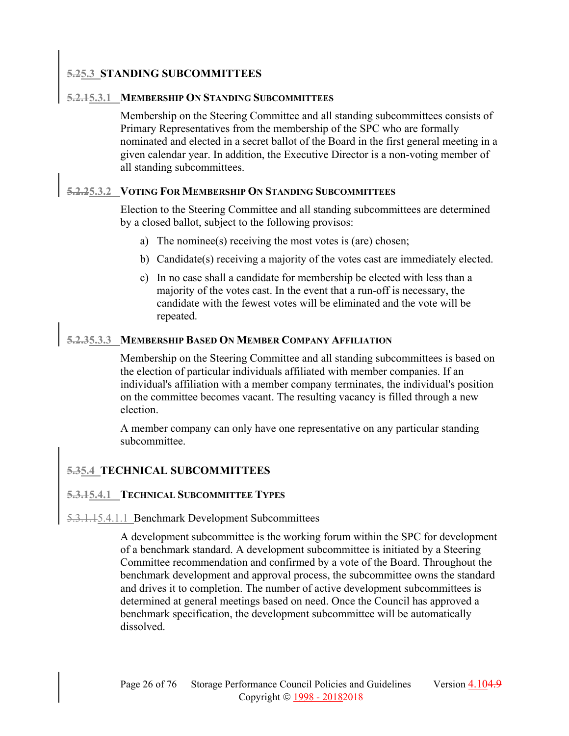#### **5.25.3 STANDING SUBCOMMITTEES**

#### **5.2.15.3.1 MEMBERSHIP ON STANDING SUBCOMMITTEES**

Membership on the Steering Committee and all standing subcommittees consists of Primary Representatives from the membership of the SPC who are formally nominated and elected in a secret ballot of the Board in the first general meeting in a given calendar year. In addition, the Executive Director is a non-voting member of all standing subcommittees.

### **5.2.25.3.2 VOTING FOR MEMBERSHIP ON STANDING SUBCOMMITTEES**

Election to the Steering Committee and all standing subcommittees are determined by a closed ballot, subject to the following provisos:

- a) The nominee(s) receiving the most votes is (are) chosen;
- b) Candidate(s) receiving a majority of the votes cast are immediately elected.
- c) In no case shall a candidate for membership be elected with less than a majority of the votes cast. In the event that a run-off is necessary, the candidate with the fewest votes will be eliminated and the vote will be repeated.

### **5.2.35.3.3 MEMBERSHIP BASED ON MEMBER COMPANY AFFILIATION**

Membership on the Steering Committee and all standing subcommittees is based on the election of particular individuals affiliated with member companies. If an individual's affiliation with a member company terminates, the individual's position on the committee becomes vacant. The resulting vacancy is filled through a new election.

A member company can only have one representative on any particular standing subcommittee.

#### **5.35.4 TECHNICAL SUBCOMMITTEES**

#### **5.3.15.4.1 TECHNICAL SUBCOMMITTEE TYPES**

#### 5.3.1.15.4.1.1 Benchmark Development Subcommittees

A development subcommittee is the working forum within the SPC for development of a benchmark standard. A development subcommittee is initiated by a Steering Committee recommendation and confirmed by a vote of the Board. Throughout the benchmark development and approval process, the subcommittee owns the standard and drives it to completion. The number of active development subcommittees is determined at general meetings based on need. Once the Council has approved a benchmark specification, the development subcommittee will be automatically dissolved.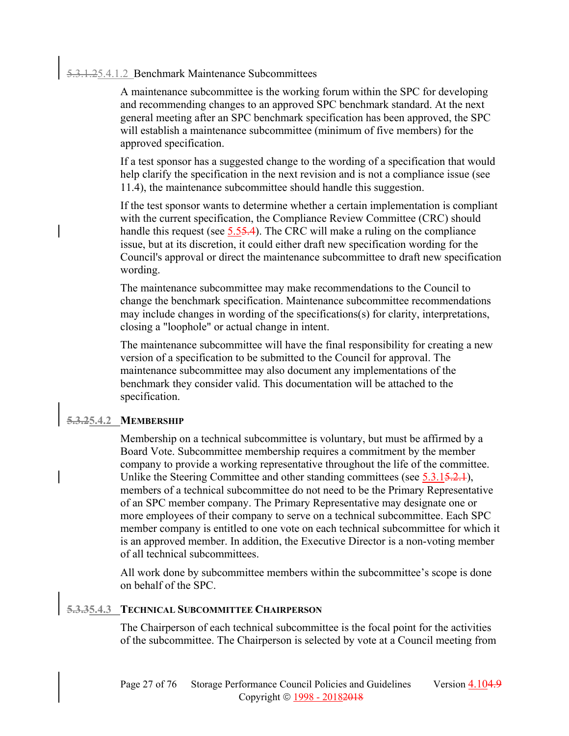# 5.3.1.25.4.1.2 Benchmark Maintenance Subcommittees

A maintenance subcommittee is the working forum within the SPC for developing and recommending changes to an approved SPC benchmark standard. At the next general meeting after an SPC benchmark specification has been approved, the SPC will establish a maintenance subcommittee (minimum of five members) for the approved specification.

If a test sponsor has a suggested change to the wording of a specification that would help clarify the specification in the next revision and is not a compliance issue (see 11.4), the maintenance subcommittee should handle this suggestion.

If the test sponsor wants to determine whether a certain implementation is compliant with the current specification, the Compliance Review Committee (CRC) should handle this request (see 5.55.4). The CRC will make a ruling on the compliance issue, but at its discretion, it could either draft new specification wording for the Council's approval or direct the maintenance subcommittee to draft new specification wording.

The maintenance subcommittee may make recommendations to the Council to change the benchmark specification. Maintenance subcommittee recommendations may include changes in wording of the specifications(s) for clarity, interpretations, closing a "loophole" or actual change in intent.

The maintenance subcommittee will have the final responsibility for creating a new version of a specification to be submitted to the Council for approval. The maintenance subcommittee may also document any implementations of the benchmark they consider valid. This documentation will be attached to the specification.

#### **5.3.25.4.2 MEMBERSHIP**

Membership on a technical subcommittee is voluntary, but must be affirmed by a Board Vote. Subcommittee membership requires a commitment by the member company to provide a working representative throughout the life of the committee. Unlike the Steering Committee and other standing committees (see 5.3.15.2.1), members of a technical subcommittee do not need to be the Primary Representative of an SPC member company. The Primary Representative may designate one or more employees of their company to serve on a technical subcommittee. Each SPC member company is entitled to one vote on each technical subcommittee for which it is an approved member. In addition, the Executive Director is a non-voting member of all technical subcommittees.

All work done by subcommittee members within the subcommittee's scope is done on behalf of the SPC.

#### **5.3.35.4.3 TECHNICAL SUBCOMMITTEE CHAIRPERSON**

The Chairperson of each technical subcommittee is the focal point for the activities of the subcommittee. The Chairperson is selected by vote at a Council meeting from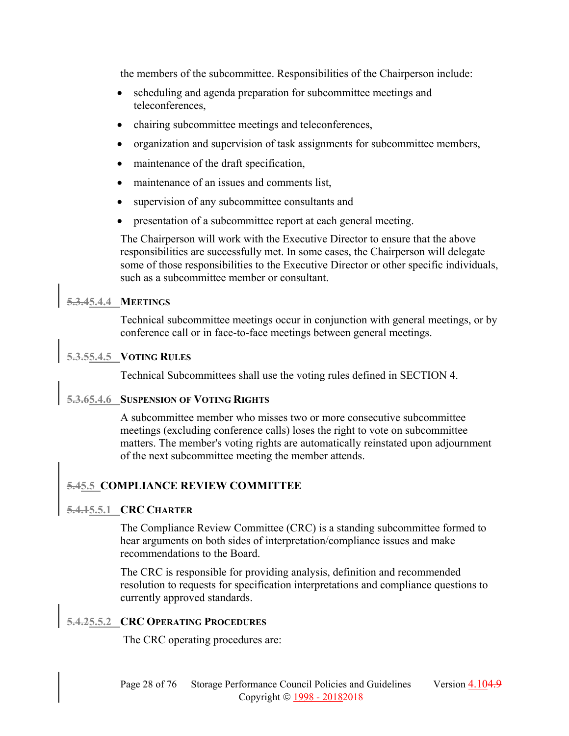the members of the subcommittee. Responsibilities of the Chairperson include:

- scheduling and agenda preparation for subcommittee meetings and teleconferences,
- chairing subcommittee meetings and teleconferences,
- organization and supervision of task assignments for subcommittee members,
- maintenance of the draft specification,
- maintenance of an issues and comments list,
- supervision of any subcommittee consultants and
- presentation of a subcommittee report at each general meeting.

The Chairperson will work with the Executive Director to ensure that the above responsibilities are successfully met. In some cases, the Chairperson will delegate some of those responsibilities to the Executive Director or other specific individuals, such as a subcommittee member or consultant.

#### **5.3.45.4.4 MEETINGS**

Technical subcommittee meetings occur in conjunction with general meetings, or by conference call or in face-to-face meetings between general meetings.

#### **5.3.55.4.5 VOTING RULES**

Technical Subcommittees shall use the voting rules defined in SECTION 4.

#### **5.3.65.4.6 SUSPENSION OF VOTING RIGHTS**

A subcommittee member who misses two or more consecutive subcommittee meetings (excluding conference calls) loses the right to vote on subcommittee matters. The member's voting rights are automatically reinstated upon adjournment of the next subcommittee meeting the member attends.

#### **5.45.5 COMPLIANCE REVIEW COMMITTEE**

#### **5.4.15.5.1 CRC CHARTER**

The Compliance Review Committee (CRC) is a standing subcommittee formed to hear arguments on both sides of interpretation/compliance issues and make recommendations to the Board.

The CRC is responsible for providing analysis, definition and recommended resolution to requests for specification interpretations and compliance questions to currently approved standards.

#### **5.4.25.5.2 CRC OPERATING PROCEDURES**

The CRC operating procedures are: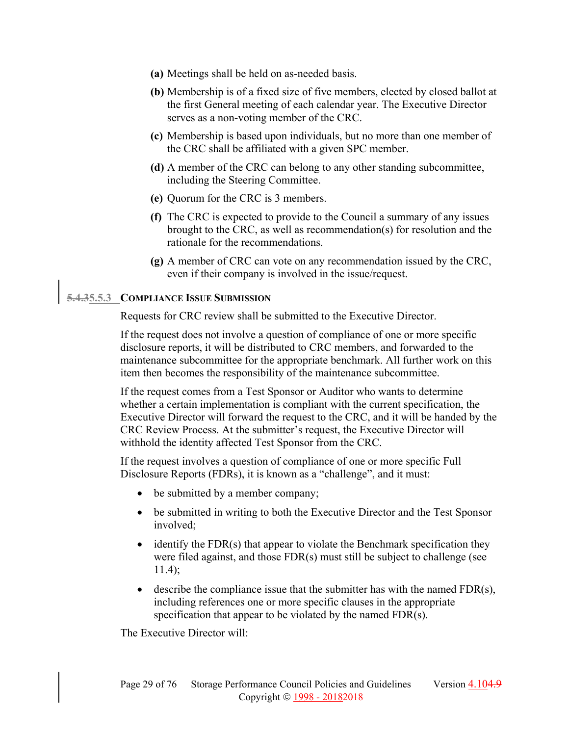- **(a)** Meetings shall be held on as-needed basis.
- **(b)** Membership is of a fixed size of five members, elected by closed ballot at the first General meeting of each calendar year. The Executive Director serves as a non-voting member of the CRC.
- **(c)** Membership is based upon individuals, but no more than one member of the CRC shall be affiliated with a given SPC member.
- **(d)** A member of the CRC can belong to any other standing subcommittee, including the Steering Committee.
- **(e)** Quorum for the CRC is 3 members.
- **(f)** The CRC is expected to provide to the Council a summary of any issues brought to the CRC, as well as recommendation(s) for resolution and the rationale for the recommendations.
- **(g)** A member of CRC can vote on any recommendation issued by the CRC, even if their company is involved in the issue/request.

#### **5.4.35.5.3 COMPLIANCE ISSUE SUBMISSION**

Requests for CRC review shall be submitted to the Executive Director.

If the request does not involve a question of compliance of one or more specific disclosure reports, it will be distributed to CRC members, and forwarded to the maintenance subcommittee for the appropriate benchmark. All further work on this item then becomes the responsibility of the maintenance subcommittee.

If the request comes from a Test Sponsor or Auditor who wants to determine whether a certain implementation is compliant with the current specification, the Executive Director will forward the request to the CRC, and it will be handed by the CRC Review Process. At the submitter's request, the Executive Director will withhold the identity affected Test Sponsor from the CRC.

If the request involves a question of compliance of one or more specific Full Disclosure Reports (FDRs), it is known as a "challenge", and it must:

- be submitted by a member company;
- be submitted in writing to both the Executive Director and the Test Sponsor involved;
- $\bullet$  identify the FDR(s) that appear to violate the Benchmark specification they were filed against, and those FDR(s) must still be subject to challenge (see 11.4);
- $\bullet$  describe the compliance issue that the submitter has with the named  $FDR(s)$ , including references one or more specific clauses in the appropriate specification that appear to be violated by the named FDR(s).

The Executive Director will: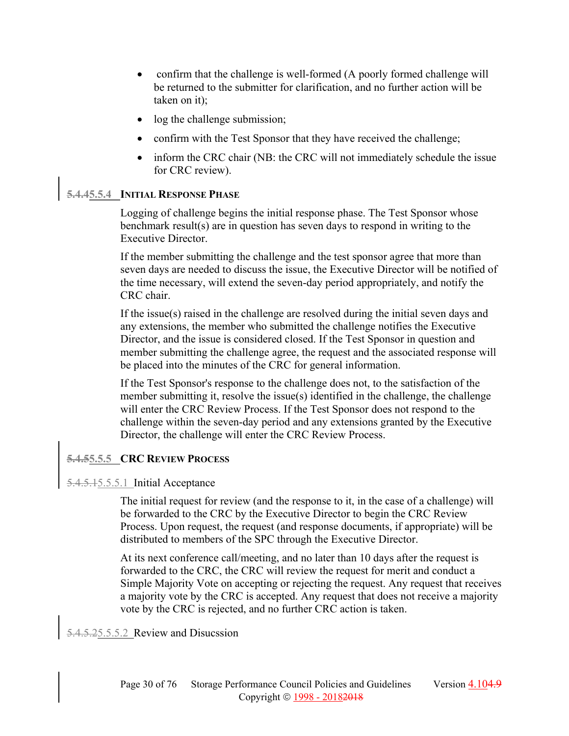- confirm that the challenge is well-formed (A poorly formed challenge will be returned to the submitter for clarification, and no further action will be taken on it);
- log the challenge submission;
- confirm with the Test Sponsor that they have received the challenge;
- inform the CRC chair (NB: the CRC will not immediately schedule the issue for CRC review).

# **5.4.45.5.4 INITIAL RESPONSE PHASE**

Logging of challenge begins the initial response phase. The Test Sponsor whose benchmark result(s) are in question has seven days to respond in writing to the Executive Director.

If the member submitting the challenge and the test sponsor agree that more than seven days are needed to discuss the issue, the Executive Director will be notified of the time necessary, will extend the seven-day period appropriately, and notify the CRC chair.

If the issue(s) raised in the challenge are resolved during the initial seven days and any extensions, the member who submitted the challenge notifies the Executive Director, and the issue is considered closed. If the Test Sponsor in question and member submitting the challenge agree, the request and the associated response will be placed into the minutes of the CRC for general information.

If the Test Sponsor's response to the challenge does not, to the satisfaction of the member submitting it, resolve the issue(s) identified in the challenge, the challenge will enter the CRC Review Process. If the Test Sponsor does not respond to the challenge within the seven-day period and any extensions granted by the Executive Director, the challenge will enter the CRC Review Process.

# **5.4.55.5.5 CRC REVIEW PROCESS**

# 5.4.5.15.5.5.1 Initial Acceptance

The initial request for review (and the response to it, in the case of a challenge) will be forwarded to the CRC by the Executive Director to begin the CRC Review Process. Upon request, the request (and response documents, if appropriate) will be distributed to members of the SPC through the Executive Director.

At its next conference call/meeting, and no later than 10 days after the request is forwarded to the CRC, the CRC will review the request for merit and conduct a Simple Majority Vote on accepting or rejecting the request. Any request that receives a majority vote by the CRC is accepted. Any request that does not receive a majority vote by the CRC is rejected, and no further CRC action is taken.

5.4.5.25.5.5.2 Review and Disucssion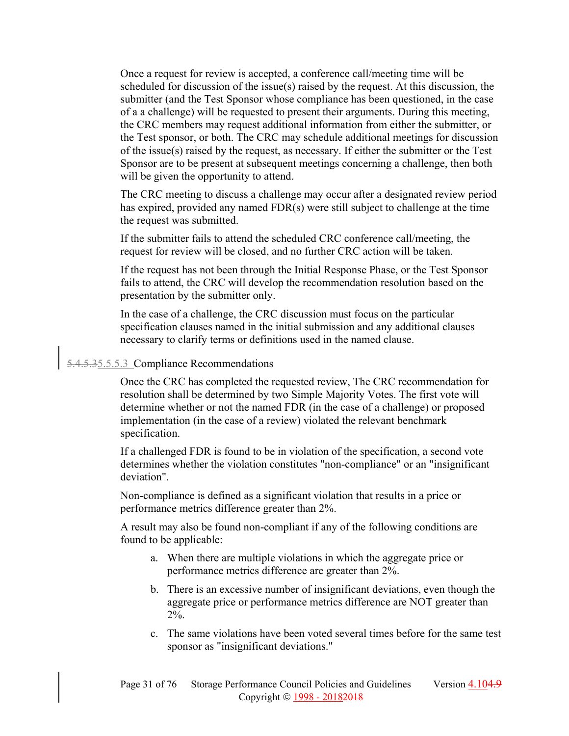Once a request for review is accepted, a conference call/meeting time will be scheduled for discussion of the issue(s) raised by the request. At this discussion, the submitter (and the Test Sponsor whose compliance has been questioned, in the case of a a challenge) will be requested to present their arguments. During this meeting, the CRC members may request additional information from either the submitter, or the Test sponsor, or both. The CRC may schedule additional meetings for discussion of the issue(s) raised by the request, as necessary. If either the submitter or the Test Sponsor are to be present at subsequent meetings concerning a challenge, then both will be given the opportunity to attend.

The CRC meeting to discuss a challenge may occur after a designated review period has expired, provided any named FDR(s) were still subject to challenge at the time the request was submitted.

If the submitter fails to attend the scheduled CRC conference call/meeting, the request for review will be closed, and no further CRC action will be taken.

If the request has not been through the Initial Response Phase, or the Test Sponsor fails to attend, the CRC will develop the recommendation resolution based on the presentation by the submitter only.

In the case of a challenge, the CRC discussion must focus on the particular specification clauses named in the initial submission and any additional clauses necessary to clarify terms or definitions used in the named clause.

# 5.4.5.35.5.5.3 Compliance Recommendations

Once the CRC has completed the requested review, The CRC recommendation for resolution shall be determined by two Simple Majority Votes. The first vote will determine whether or not the named FDR (in the case of a challenge) or proposed implementation (in the case of a review) violated the relevant benchmark specification.

If a challenged FDR is found to be in violation of the specification, a second vote determines whether the violation constitutes "non-compliance" or an "insignificant deviation".

Non-compliance is defined as a significant violation that results in a price or performance metrics difference greater than 2%.

A result may also be found non-compliant if any of the following conditions are found to be applicable:

- a. When there are multiple violations in which the aggregate price or performance metrics difference are greater than 2%.
- b. There is an excessive number of insignificant deviations, even though the aggregate price or performance metrics difference are NOT greater than 2%.
- c. The same violations have been voted several times before for the same test sponsor as "insignificant deviations."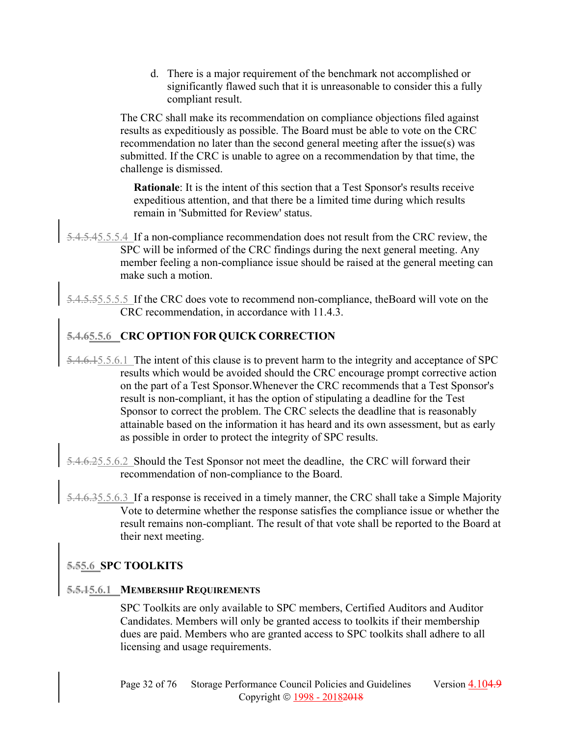d. There is a major requirement of the benchmark not accomplished or significantly flawed such that it is unreasonable to consider this a fully compliant result.

The CRC shall make its recommendation on compliance objections filed against results as expeditiously as possible. The Board must be able to vote on the CRC recommendation no later than the second general meeting after the issue(s) was submitted. If the CRC is unable to agree on a recommendation by that time, the challenge is dismissed.

**Rationale**: It is the intent of this section that a Test Sponsor's results receive expeditious attention, and that there be a limited time during which results remain in 'Submitted for Review' status.

- 5.4.5.45.5.5.4 If a non-compliance recommendation does not result from the CRC review, the SPC will be informed of the CRC findings during the next general meeting. Any member feeling a non-compliance issue should be raised at the general meeting can make such a motion.
- 5.4.5.55.5.5.5 If the CRC does vote to recommend non-compliance, theBoard will vote on the CRC recommendation, in accordance with 11.4.3.

# **5.4.65.5.6 CRC OPTION FOR QUICK CORRECTION**

- 5.4.6.15.5.6.1 The intent of this clause is to prevent harm to the integrity and acceptance of SPC results which would be avoided should the CRC encourage prompt corrective action on the part of a Test Sponsor.Whenever the CRC recommends that a Test Sponsor's result is non-compliant, it has the option of stipulating a deadline for the Test Sponsor to correct the problem. The CRC selects the deadline that is reasonably attainable based on the information it has heard and its own assessment, but as early as possible in order to protect the integrity of SPC results.
- 5.4.6.25.5.6.2 Should the Test Sponsor not meet the deadline, the CRC will forward their recommendation of non-compliance to the Board.
- 4.6.35.5.6.3 If a response is received in a timely manner, the CRC shall take a Simple Majority Vote to determine whether the response satisfies the compliance issue or whether the result remains non-compliant. The result of that vote shall be reported to the Board at their next meeting.

#### **5.55.6 SPC TOOLKITS**

#### **5.5.15.6.1 MEMBERSHIP REQUIREMENTS**

SPC Toolkits are only available to SPC members, Certified Auditors and Auditor Candidates. Members will only be granted access to toolkits if their membership dues are paid. Members who are granted access to SPC toolkits shall adhere to all licensing and usage requirements.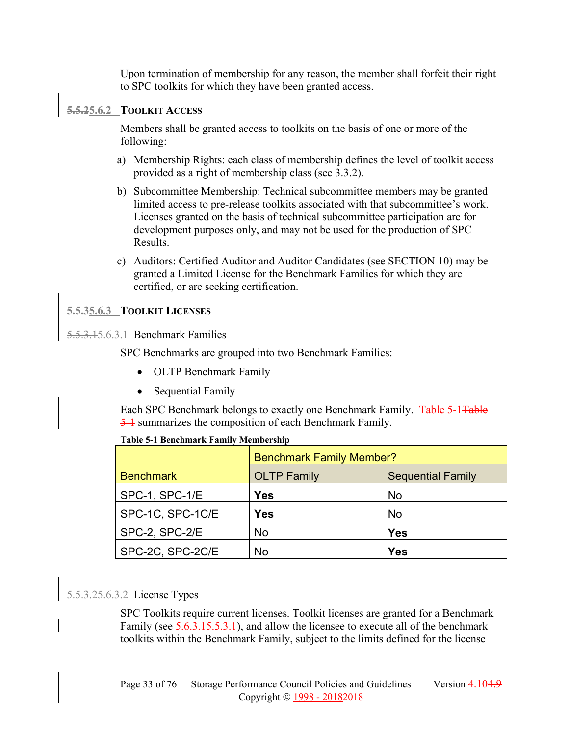Upon termination of membership for any reason, the member shall forfeit their right to SPC toolkits for which they have been granted access.

#### **5.5.25.6.2 TOOLKIT ACCESS**

Members shall be granted access to toolkits on the basis of one or more of the following:

- a) Membership Rights: each class of membership defines the level of toolkit access provided as a right of membership class (see 3.3.2).
- b) Subcommittee Membership: Technical subcommittee members may be granted limited access to pre-release toolkits associated with that subcommittee's work. Licenses granted on the basis of technical subcommittee participation are for development purposes only, and may not be used for the production of SPC Results.
- c) Auditors: Certified Auditor and Auditor Candidates (see SECTION 10) may be granted a Limited License for the Benchmark Families for which they are certified, or are seeking certification.

#### **5.5.35.6.3 TOOLKIT LICENSES**

### 5.5.3.15.6.3.1 Benchmark Families

SPC Benchmarks are grouped into two Benchmark Families:

- OLTP Benchmark Family
- Sequential Family

Each SPC Benchmark belongs to exactly one Benchmark Family. Table 5-1Table 5-1 summarizes the composition of each Benchmark Family.

|                  | <b>Benchmark Family Member?</b> |                          |  |
|------------------|---------------------------------|--------------------------|--|
| <b>Benchmark</b> | <b>OLTP Family</b>              | <b>Sequential Family</b> |  |
| SPC-1, SPC-1/E   | Yes                             | <b>No</b>                |  |
| SPC-1C, SPC-1C/E | Yes                             | <b>No</b>                |  |
| SPC-2, SPC-2/E   | <b>No</b>                       | Yes                      |  |
| SPC-2C, SPC-2C/E | No                              | Yes                      |  |

#### **Table 5-1 Benchmark Family Membership**

# 5.5.3.25.6.3.2 License Types

SPC Toolkits require current licenses. Toolkit licenses are granted for a Benchmark Family (see 5.6.3.15.5.3.1), and allow the licensee to execute all of the benchmark toolkits within the Benchmark Family, subject to the limits defined for the license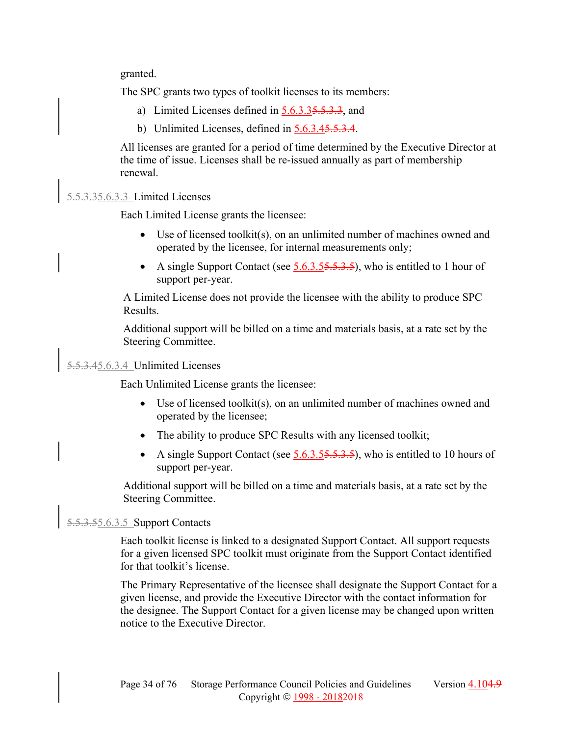granted.

The SPC grants two types of toolkit licenses to its members:

- a) Limited Licenses defined in 5.6.3.35.5.3.3, and
- b) Unlimited Licenses, defined in 5.6.3.45.5.3.4.

All licenses are granted for a period of time determined by the Executive Director at the time of issue. Licenses shall be re-issued annually as part of membership renewal.

#### 5.5.3.35.6.3.3 Limited Licenses

Each Limited License grants the licensee:

- Use of licensed toolkit(s), on an unlimited number of machines owned and operated by the licensee, for internal measurements only;
- A single Support Contact (see  $5.6.3.55.5.3.5$ ), who is entitled to 1 hour of support per-year.

A Limited License does not provide the licensee with the ability to produce SPC Results.

Additional support will be billed on a time and materials basis, at a rate set by the Steering Committee.

# 5.5.3.45.6.3.4 Unlimited Licenses

Each Unlimited License grants the licensee:

- Use of licensed toolkit(s), on an unlimited number of machines owned and operated by the licensee;
- The ability to produce SPC Results with any licensed toolkit;
- A single Support Contact (see  $5.6.3.55.5.3.5$ ), who is entitled to 10 hours of support per-year.

Additional support will be billed on a time and materials basis, at a rate set by the Steering Committee.

### 5.5.3.55.6.3.5 Support Contacts

Each toolkit license is linked to a designated Support Contact. All support requests for a given licensed SPC toolkit must originate from the Support Contact identified for that toolkit's license.

The Primary Representative of the licensee shall designate the Support Contact for a given license, and provide the Executive Director with the contact information for the designee. The Support Contact for a given license may be changed upon written notice to the Executive Director.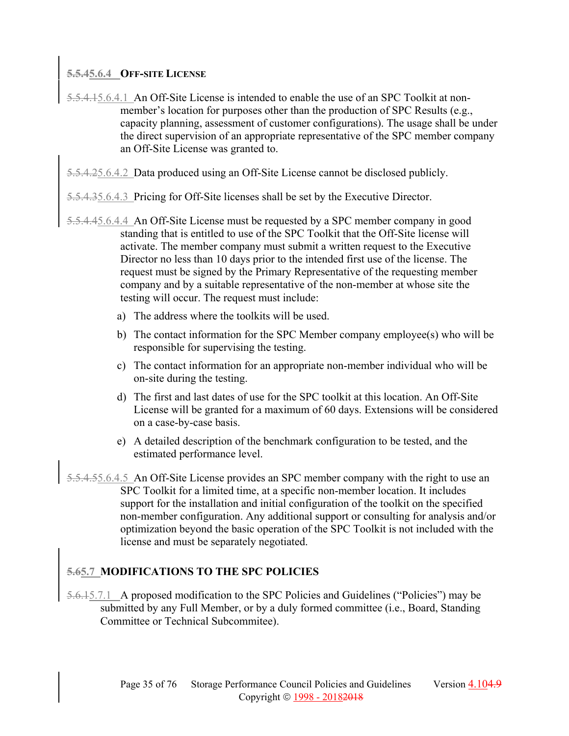#### **5.5.45.6.4 OFF-SITE LICENSE**

- 5.5.4.15.6.4.1 An Off-Site License is intended to enable the use of an SPC Toolkit at nonmember's location for purposes other than the production of SPC Results (e.g., capacity planning, assessment of customer configurations). The usage shall be under the direct supervision of an appropriate representative of the SPC member company an Off-Site License was granted to.
- 5.5.4.25.6.4.2 Data produced using an Off-Site License cannot be disclosed publicly.
- 5.5.4.35.6.4.3 Pricing for Off-Site licenses shall be set by the Executive Director.
- 5.5.4.45.6.4.4 An Off-Site License must be requested by a SPC member company in good standing that is entitled to use of the SPC Toolkit that the Off-Site license will activate. The member company must submit a written request to the Executive Director no less than 10 days prior to the intended first use of the license. The request must be signed by the Primary Representative of the requesting member company and by a suitable representative of the non-member at whose site the testing will occur. The request must include:
	- a) The address where the toolkits will be used.
	- b) The contact information for the SPC Member company employee(s) who will be responsible for supervising the testing.
	- c) The contact information for an appropriate non-member individual who will be on-site during the testing.
	- d) The first and last dates of use for the SPC toolkit at this location. An Off-Site License will be granted for a maximum of 60 days. Extensions will be considered on a case-by-case basis.
	- e) A detailed description of the benchmark configuration to be tested, and the estimated performance level.
- 5.5.4.55.6.4.5 An Off-Site License provides an SPC member company with the right to use an SPC Toolkit for a limited time, at a specific non-member location. It includes support for the installation and initial configuration of the toolkit on the specified non-member configuration. Any additional support or consulting for analysis and/or optimization beyond the basic operation of the SPC Toolkit is not included with the license and must be separately negotiated.

# **5.65.7 MODIFICATIONS TO THE SPC POLICIES**

5.6.15.7.1 A proposed modification to the SPC Policies and Guidelines ("Policies") may be submitted by any Full Member, or by a duly formed committee (i.e., Board, Standing Committee or Technical Subcommitee).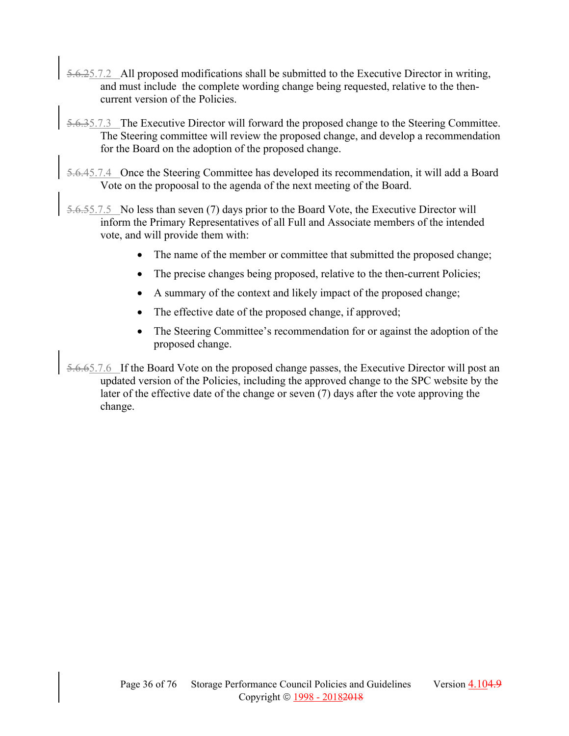- 5.6.25.7.2 All proposed modifications shall be submitted to the Executive Director in writing, and must include the complete wording change being requested, relative to the thencurrent version of the Policies.
- 5.6.35.7.3 The Executive Director will forward the proposed change to the Steering Committee. The Steering committee will review the proposed change, and develop a recommendation for the Board on the adoption of the proposed change.
- 5.6.45.7.4 Once the Steering Committee has developed its recommendation, it will add a Board Vote on the propoosal to the agenda of the next meeting of the Board.
- 5.6.55.7.5 No less than seven (7) days prior to the Board Vote, the Executive Director will inform the Primary Representatives of all Full and Associate members of the intended vote, and will provide them with:
	- The name of the member or committee that submitted the proposed change;
	- The precise changes being proposed, relative to the then-current Policies;
	- A summary of the context and likely impact of the proposed change;
	- The effective date of the proposed change, if approved;
	- The Steering Committee's recommendation for or against the adoption of the proposed change.
- 5.6.65.7.6 If the Board Vote on the proposed change passes, the Executive Director will post an updated version of the Policies, including the approved change to the SPC website by the later of the effective date of the change or seven (7) days after the vote approving the change.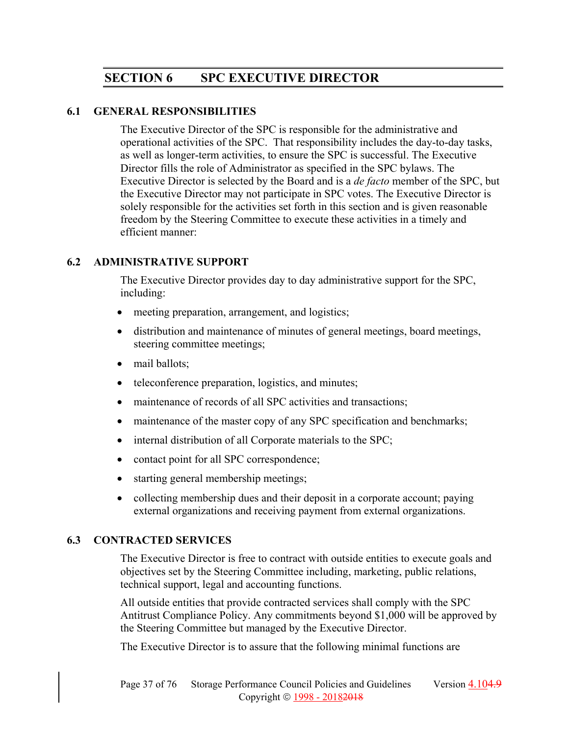# **SECTION 6 SPC EXECUTIVE DIRECTOR**

### **6.1 GENERAL RESPONSIBILITIES**

The Executive Director of the SPC is responsible for the administrative and operational activities of the SPC. That responsibility includes the day-to-day tasks, as well as longer-term activities, to ensure the SPC is successful. The Executive Director fills the role of Administrator as specified in the SPC bylaws. The Executive Director is selected by the Board and is a *de facto* member of the SPC, but the Executive Director may not participate in SPC votes. The Executive Director is solely responsible for the activities set forth in this section and is given reasonable freedom by the Steering Committee to execute these activities in a timely and efficient manner:

# **6.2 ADMINISTRATIVE SUPPORT**

The Executive Director provides day to day administrative support for the SPC, including:

- meeting preparation, arrangement, and logistics;
- distribution and maintenance of minutes of general meetings, board meetings, steering committee meetings;
- mail ballots;
- teleconference preparation, logistics, and minutes;
- maintenance of records of all SPC activities and transactions;
- maintenance of the master copy of any SPC specification and benchmarks;
- $\bullet$  internal distribution of all Corporate materials to the SPC;
- contact point for all SPC correspondence;
- starting general membership meetings;
- collecting membership dues and their deposit in a corporate account; paying external organizations and receiving payment from external organizations.

# **6.3 CONTRACTED SERVICES**

The Executive Director is free to contract with outside entities to execute goals and objectives set by the Steering Committee including, marketing, public relations, technical support, legal and accounting functions.

All outside entities that provide contracted services shall comply with the SPC Antitrust Compliance Policy. Any commitments beyond \$1,000 will be approved by the Steering Committee but managed by the Executive Director.

The Executive Director is to assure that the following minimal functions are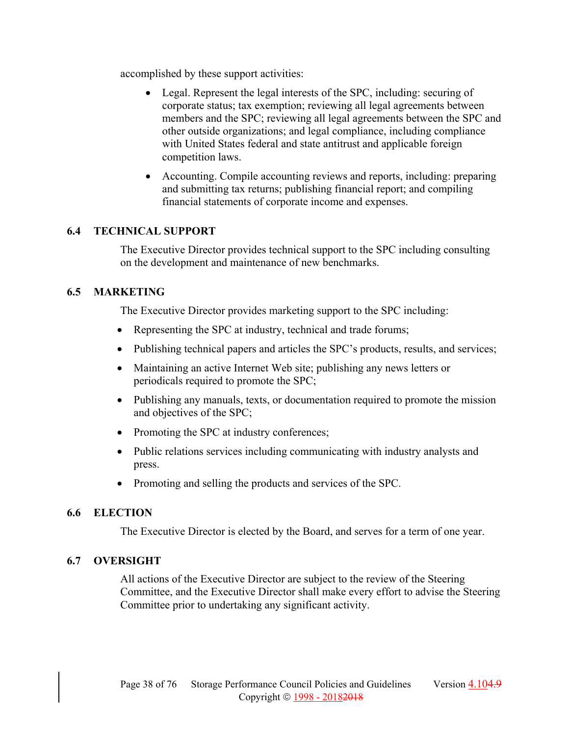accomplished by these support activities:

- Legal. Represent the legal interests of the SPC, including: securing of corporate status; tax exemption; reviewing all legal agreements between members and the SPC; reviewing all legal agreements between the SPC and other outside organizations; and legal compliance, including compliance with United States federal and state antitrust and applicable foreign competition laws.
- Accounting. Compile accounting reviews and reports, including: preparing and submitting tax returns; publishing financial report; and compiling financial statements of corporate income and expenses.

# **6.4 TECHNICAL SUPPORT**

The Executive Director provides technical support to the SPC including consulting on the development and maintenance of new benchmarks.

# **6.5 MARKETING**

The Executive Director provides marketing support to the SPC including:

- Representing the SPC at industry, technical and trade forums;
- Publishing technical papers and articles the SPC's products, results, and services;
- Maintaining an active Internet Web site; publishing any news letters or periodicals required to promote the SPC;
- Publishing any manuals, texts, or documentation required to promote the mission and objectives of the SPC;
- Promoting the SPC at industry conferences;
- Public relations services including communicating with industry analysts and press.
- Promoting and selling the products and services of the SPC.

# **6.6 ELECTION**

The Executive Director is elected by the Board, and serves for a term of one year.

# **6.7 OVERSIGHT**

All actions of the Executive Director are subject to the review of the Steering Committee, and the Executive Director shall make every effort to advise the Steering Committee prior to undertaking any significant activity.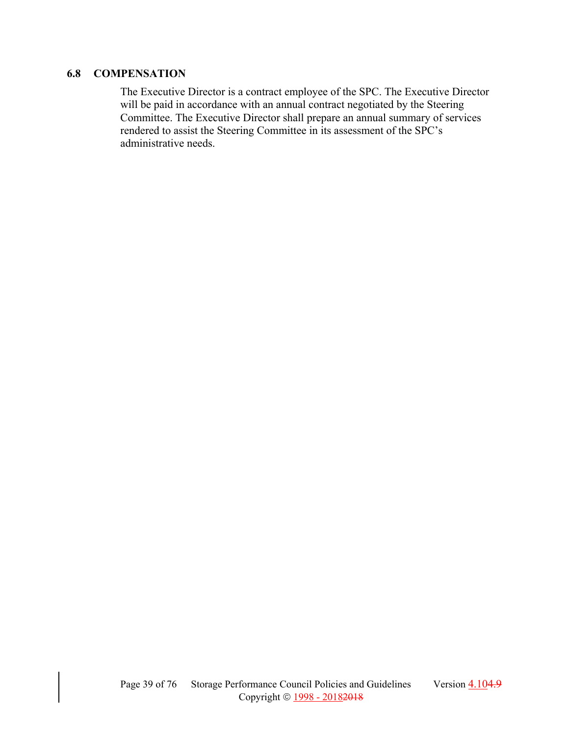# **6.8 COMPENSATION**

The Executive Director is a contract employee of the SPC. The Executive Director will be paid in accordance with an annual contract negotiated by the Steering Committee. The Executive Director shall prepare an annual summary of services rendered to assist the Steering Committee in its assessment of the SPC's administrative needs.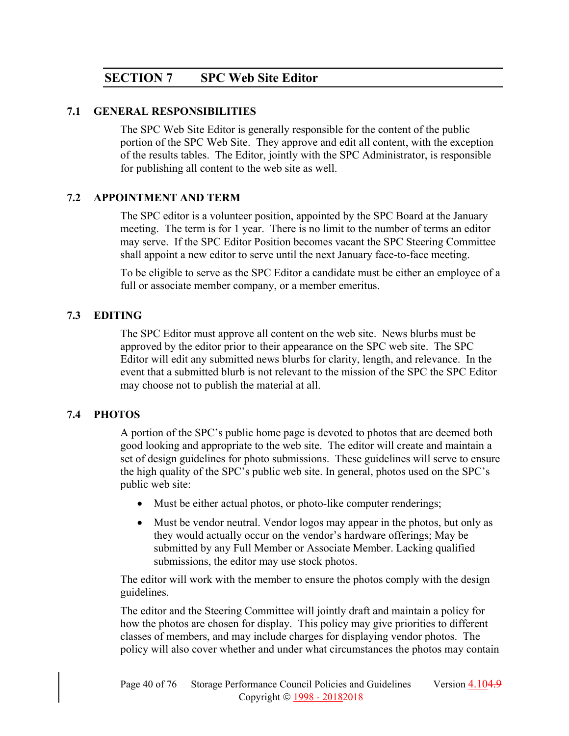# **SECTION 7 SPC Web Site Editor**

### **7.1 GENERAL RESPONSIBILITIES**

The SPC Web Site Editor is generally responsible for the content of the public portion of the SPC Web Site. They approve and edit all content, with the exception of the results tables. The Editor, jointly with the SPC Administrator, is responsible for publishing all content to the web site as well.

# **7.2 APPOINTMENT AND TERM**

The SPC editor is a volunteer position, appointed by the SPC Board at the January meeting. The term is for 1 year. There is no limit to the number of terms an editor may serve. If the SPC Editor Position becomes vacant the SPC Steering Committee shall appoint a new editor to serve until the next January face-to-face meeting.

To be eligible to serve as the SPC Editor a candidate must be either an employee of a full or associate member company, or a member emeritus.

# **7.3 EDITING**

The SPC Editor must approve all content on the web site. News blurbs must be approved by the editor prior to their appearance on the SPC web site. The SPC Editor will edit any submitted news blurbs for clarity, length, and relevance. In the event that a submitted blurb is not relevant to the mission of the SPC the SPC Editor may choose not to publish the material at all.

# **7.4 PHOTOS**

A portion of the SPC's public home page is devoted to photos that are deemed both good looking and appropriate to the web site. The editor will create and maintain a set of design guidelines for photo submissions. These guidelines will serve to ensure the high quality of the SPC's public web site. In general, photos used on the SPC's public web site:

- Must be either actual photos, or photo-like computer renderings;
- Must be vendor neutral. Vendor logos may appear in the photos, but only as they would actually occur on the vendor's hardware offerings; May be submitted by any Full Member or Associate Member. Lacking qualified submissions, the editor may use stock photos.

The editor will work with the member to ensure the photos comply with the design guidelines.

The editor and the Steering Committee will jointly draft and maintain a policy for how the photos are chosen for display. This policy may give priorities to different classes of members, and may include charges for displaying vendor photos. The policy will also cover whether and under what circumstances the photos may contain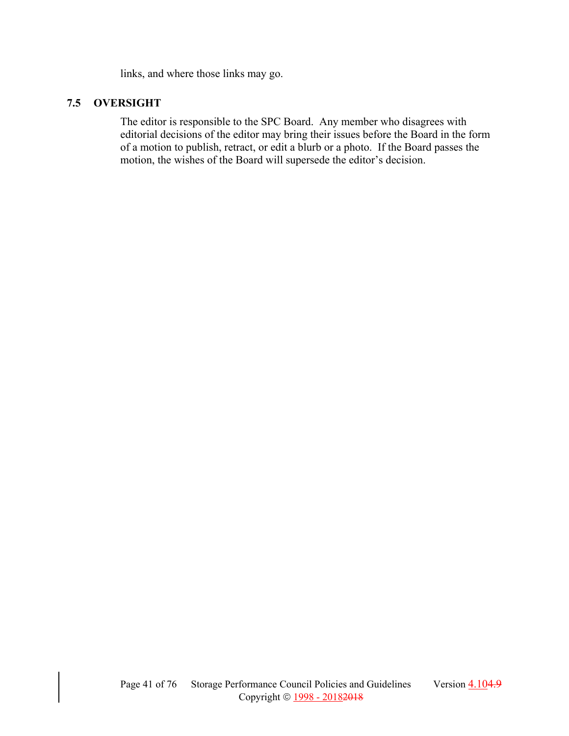links, and where those links may go.

### **7.5 OVERSIGHT**

The editor is responsible to the SPC Board. Any member who disagrees with editorial decisions of the editor may bring their issues before the Board in the form of a motion to publish, retract, or edit a blurb or a photo. If the Board passes the motion, the wishes of the Board will supersede the editor's decision.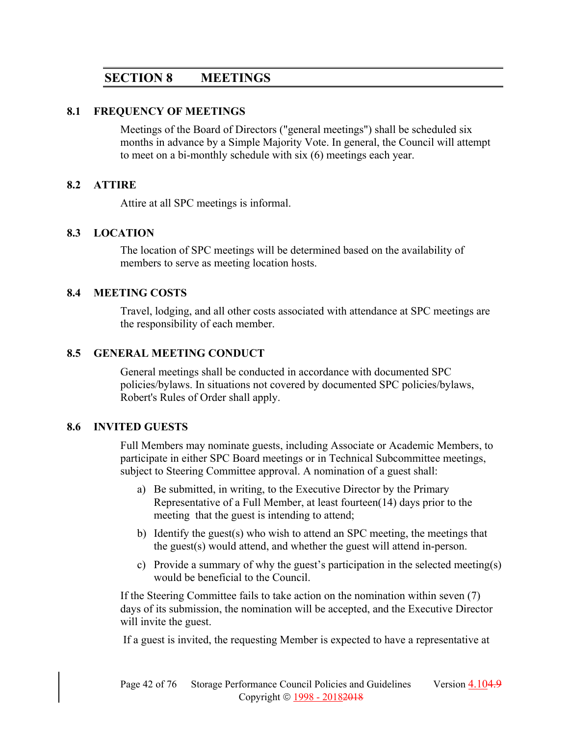# **SECTION 8 MEETINGS**

#### **8.1 FREQUENCY OF MEETINGS**

Meetings of the Board of Directors ("general meetings") shall be scheduled six months in advance by a Simple Majority Vote. In general, the Council will attempt to meet on a bi-monthly schedule with six (6) meetings each year.

#### **8.2 ATTIRE**

Attire at all SPC meetings is informal.

#### **8.3 LOCATION**

The location of SPC meetings will be determined based on the availability of members to serve as meeting location hosts.

#### **8.4 MEETING COSTS**

Travel, lodging, and all other costs associated with attendance at SPC meetings are the responsibility of each member.

### **8.5 GENERAL MEETING CONDUCT**

General meetings shall be conducted in accordance with documented SPC policies/bylaws. In situations not covered by documented SPC policies/bylaws, Robert's Rules of Order shall apply.

### **8.6 INVITED GUESTS**

Full Members may nominate guests, including Associate or Academic Members, to participate in either SPC Board meetings or in Technical Subcommittee meetings, subject to Steering Committee approval. A nomination of a guest shall:

- a) Be submitted, in writing, to the Executive Director by the Primary Representative of a Full Member, at least fourteen(14) days prior to the meeting that the guest is intending to attend;
- b) Identify the guest(s) who wish to attend an SPC meeting, the meetings that the guest(s) would attend, and whether the guest will attend in-person.
- c) Provide a summary of why the guest's participation in the selected meeting(s) would be beneficial to the Council.

If the Steering Committee fails to take action on the nomination within seven (7) days of its submission, the nomination will be accepted, and the Executive Director will invite the guest.

If a guest is invited, the requesting Member is expected to have a representative at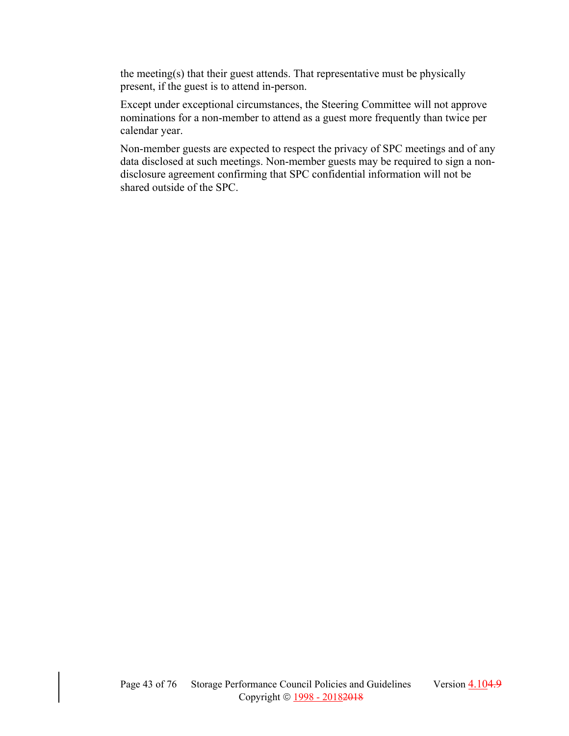the meeting(s) that their guest attends. That representative must be physically present, if the guest is to attend in-person.

Except under exceptional circumstances, the Steering Committee will not approve nominations for a non-member to attend as a guest more frequently than twice per calendar year.

Non-member guests are expected to respect the privacy of SPC meetings and of any data disclosed at such meetings. Non-member guests may be required to sign a nondisclosure agreement confirming that SPC confidential information will not be shared outside of the SPC.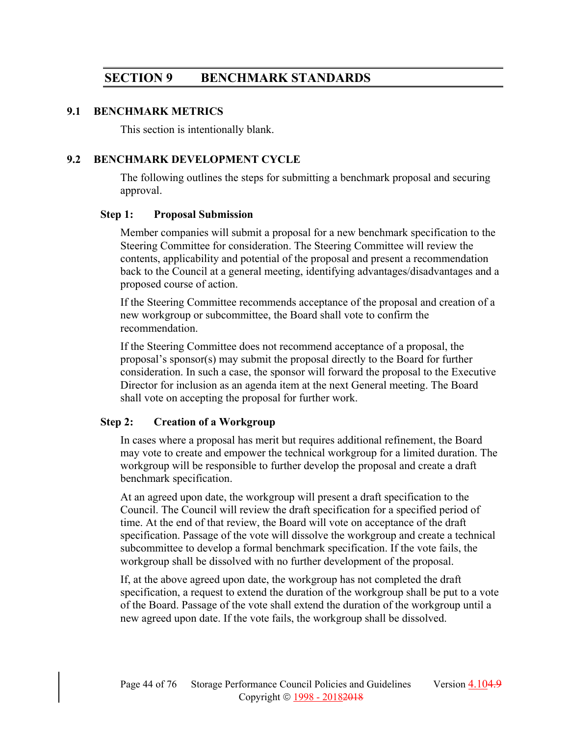# **SECTION 9 BENCHMARK STANDARDS**

#### **9.1 BENCHMARK METRICS**

This section is intentionally blank.

### **9.2 BENCHMARK DEVELOPMENT CYCLE**

The following outlines the steps for submitting a benchmark proposal and securing approval.

### **Step 1: Proposal Submission**

Member companies will submit a proposal for a new benchmark specification to the Steering Committee for consideration. The Steering Committee will review the contents, applicability and potential of the proposal and present a recommendation back to the Council at a general meeting, identifying advantages/disadvantages and a proposed course of action.

If the Steering Committee recommends acceptance of the proposal and creation of a new workgroup or subcommittee, the Board shall vote to confirm the recommendation.

If the Steering Committee does not recommend acceptance of a proposal, the proposal's sponsor(s) may submit the proposal directly to the Board for further consideration. In such a case, the sponsor will forward the proposal to the Executive Director for inclusion as an agenda item at the next General meeting. The Board shall vote on accepting the proposal for further work.

# **Step 2: Creation of a Workgroup**

In cases where a proposal has merit but requires additional refinement, the Board may vote to create and empower the technical workgroup for a limited duration. The workgroup will be responsible to further develop the proposal and create a draft benchmark specification.

At an agreed upon date, the workgroup will present a draft specification to the Council. The Council will review the draft specification for a specified period of time. At the end of that review, the Board will vote on acceptance of the draft specification. Passage of the vote will dissolve the workgroup and create a technical subcommittee to develop a formal benchmark specification. If the vote fails, the workgroup shall be dissolved with no further development of the proposal.

If, at the above agreed upon date, the workgroup has not completed the draft specification, a request to extend the duration of the workgroup shall be put to a vote of the Board. Passage of the vote shall extend the duration of the workgroup until a new agreed upon date. If the vote fails, the workgroup shall be dissolved.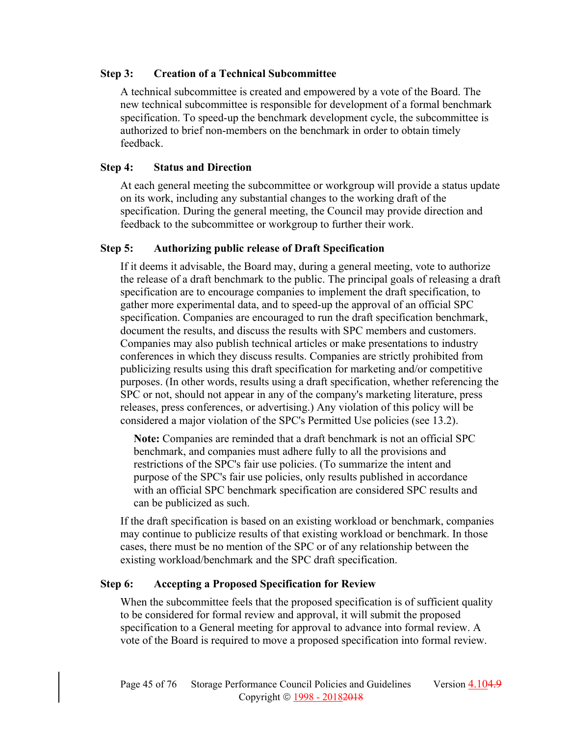### **Step 3: Creation of a Technical Subcommittee**

A technical subcommittee is created and empowered by a vote of the Board. The new technical subcommittee is responsible for development of a formal benchmark specification. To speed-up the benchmark development cycle, the subcommittee is authorized to brief non-members on the benchmark in order to obtain timely feedback.

### **Step 4: Status and Direction**

At each general meeting the subcommittee or workgroup will provide a status update on its work, including any substantial changes to the working draft of the specification. During the general meeting, the Council may provide direction and feedback to the subcommittee or workgroup to further their work.

### **Step 5: Authorizing public release of Draft Specification**

If it deems it advisable, the Board may, during a general meeting, vote to authorize the release of a draft benchmark to the public. The principal goals of releasing a draft specification are to encourage companies to implement the draft specification, to gather more experimental data, and to speed-up the approval of an official SPC specification. Companies are encouraged to run the draft specification benchmark, document the results, and discuss the results with SPC members and customers. Companies may also publish technical articles or make presentations to industry conferences in which they discuss results. Companies are strictly prohibited from publicizing results using this draft specification for marketing and/or competitive purposes. (In other words, results using a draft specification, whether referencing the SPC or not, should not appear in any of the company's marketing literature, press releases, press conferences, or advertising.) Any violation of this policy will be considered a major violation of the SPC's Permitted Use policies (see 13.2).

**Note:** Companies are reminded that a draft benchmark is not an official SPC benchmark, and companies must adhere fully to all the provisions and restrictions of the SPC's fair use policies. (To summarize the intent and purpose of the SPC's fair use policies, only results published in accordance with an official SPC benchmark specification are considered SPC results and can be publicized as such.

If the draft specification is based on an existing workload or benchmark, companies may continue to publicize results of that existing workload or benchmark. In those cases, there must be no mention of the SPC or of any relationship between the existing workload/benchmark and the SPC draft specification.

# **Step 6: Accepting a Proposed Specification for Review**

When the subcommittee feels that the proposed specification is of sufficient quality to be considered for formal review and approval, it will submit the proposed specification to a General meeting for approval to advance into formal review. A vote of the Board is required to move a proposed specification into formal review.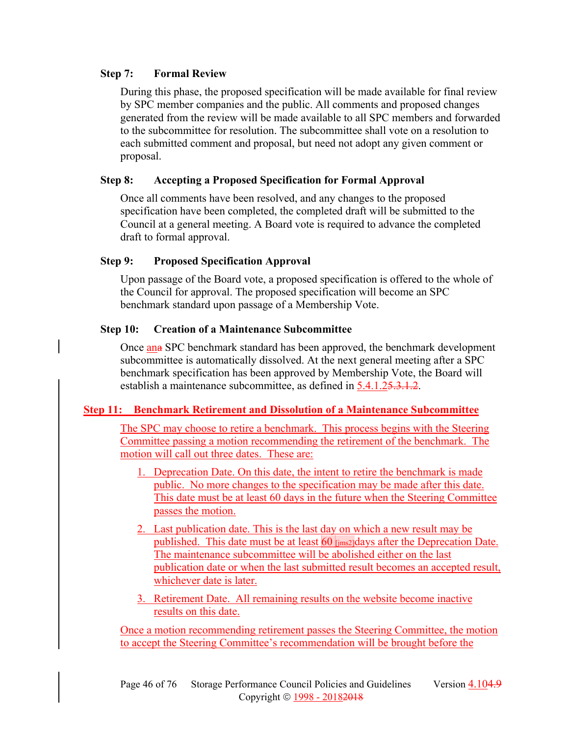### **Step 7: Formal Review**

During this phase, the proposed specification will be made available for final review by SPC member companies and the public. All comments and proposed changes generated from the review will be made available to all SPC members and forwarded to the subcommittee for resolution. The subcommittee shall vote on a resolution to each submitted comment and proposal, but need not adopt any given comment or proposal.

### **Step 8: Accepting a Proposed Specification for Formal Approval**

Once all comments have been resolved, and any changes to the proposed specification have been completed, the completed draft will be submitted to the Council at a general meeting. A Board vote is required to advance the completed draft to formal approval.

# **Step 9: Proposed Specification Approval**

Upon passage of the Board vote, a proposed specification is offered to the whole of the Council for approval. The proposed specification will become an SPC benchmark standard upon passage of a Membership Vote.

# **Step 10: Creation of a Maintenance Subcommittee**

Once ana SPC benchmark standard has been approved, the benchmark development subcommittee is automatically dissolved. At the next general meeting after a SPC benchmark specification has been approved by Membership Vote, the Board will establish a maintenance subcommittee, as defined in 5.4.1.25.3.1.2.

# **Step 11: Benchmark Retirement and Dissolution of a Maintenance Subcommittee**

The SPC may choose to retire a benchmark. This process begins with the Steering Committee passing a motion recommending the retirement of the benchmark. The motion will call out three dates. These are:

- 1. Deprecation Date. On this date, the intent to retire the benchmark is made public. No more changes to the specification may be made after this date. This date must be at least 60 days in the future when the Steering Committee passes the motion.
- 2. Last publication date. This is the last day on which a new result may be published. This date must be at least 60 [jms2]days after the Deprecation Date. The maintenance subcommittee will be abolished either on the last publication date or when the last submitted result becomes an accepted result, whichever date is later.
- 3. Retirement Date. All remaining results on the website become inactive results on this date.

Once a motion recommending retirement passes the Steering Committee, the motion to accept the Steering Committee's recommendation will be brought before the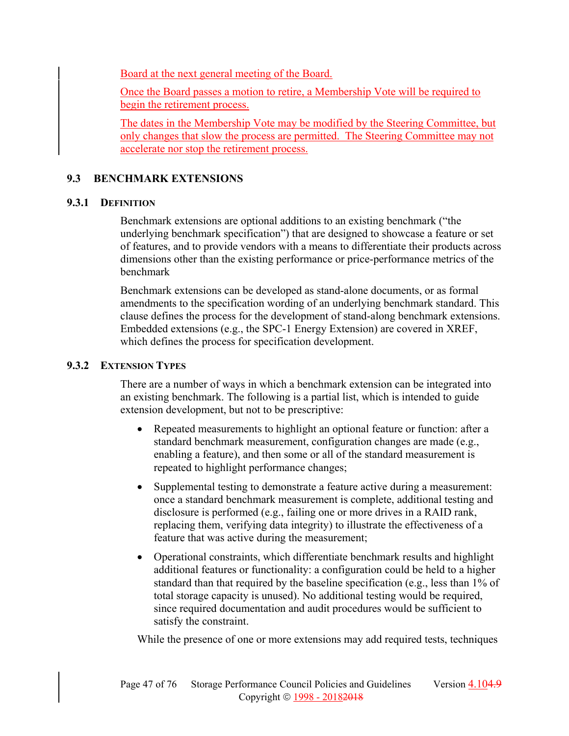Board at the next general meeting of the Board.

Once the Board passes a motion to retire, a Membership Vote will be required to begin the retirement process.

The dates in the Membership Vote may be modified by the Steering Committee, but only changes that slow the process are permitted. The Steering Committee may not accelerate nor stop the retirement process.

# **9.3 BENCHMARK EXTENSIONS**

# **9.3.1 DEFINITION**

Benchmark extensions are optional additions to an existing benchmark ("the underlying benchmark specification") that are designed to showcase a feature or set of features, and to provide vendors with a means to differentiate their products across dimensions other than the existing performance or price-performance metrics of the benchmark

Benchmark extensions can be developed as stand-alone documents, or as formal amendments to the specification wording of an underlying benchmark standard. This clause defines the process for the development of stand-along benchmark extensions. Embedded extensions (e.g., the SPC-1 Energy Extension) are covered in XREF, which defines the process for specification development.

# **9.3.2 EXTENSION TYPES**

There are a number of ways in which a benchmark extension can be integrated into an existing benchmark. The following is a partial list, which is intended to guide extension development, but not to be prescriptive:

- Repeated measurements to highlight an optional feature or function: after a standard benchmark measurement, configuration changes are made (e.g., enabling a feature), and then some or all of the standard measurement is repeated to highlight performance changes;
- Supplemental testing to demonstrate a feature active during a measurement: once a standard benchmark measurement is complete, additional testing and disclosure is performed (e.g., failing one or more drives in a RAID rank, replacing them, verifying data integrity) to illustrate the effectiveness of a feature that was active during the measurement;
- Operational constraints, which differentiate benchmark results and highlight additional features or functionality: a configuration could be held to a higher standard than that required by the baseline specification (e.g., less than 1% of total storage capacity is unused). No additional testing would be required, since required documentation and audit procedures would be sufficient to satisfy the constraint.

While the presence of one or more extensions may add required tests, techniques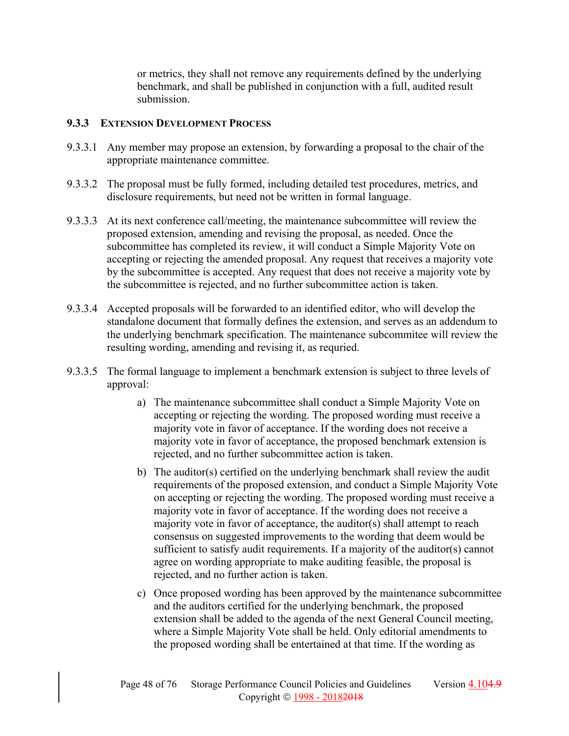or metrics, they shall not remove any requirements defined by the underlying benchmark, and shall be published in conjunction with a full, audited result submission.

### **9.3.3 EXTENSION DEVELOPMENT PROCESS**

- 9.3.3.1 Any member may propose an extension, by forwarding a proposal to the chair of the appropriate maintenance committee.
- 9.3.3.2 The proposal must be fully formed, including detailed test procedures, metrics, and disclosure requirements, but need not be written in formal language.
- 9.3.3.3 At its next conference call/meeting, the maintenance subcommittee will review the proposed extension, amending and revising the proposal, as needed. Once the subcommittee has completed its review, it will conduct a Simple Majority Vote on accepting or rejecting the amended proposal. Any request that receives a majority vote by the subcommittee is accepted. Any request that does not receive a majority vote by the subcommittee is rejected, and no further subcommittee action is taken.
- 9.3.3.4 Accepted proposals will be forwarded to an identified editor, who will develop the standalone document that formally defines the extension, and serves as an addendum to the underlying benchmark specification. The maintenance subcommitee will review the resulting wording, amending and revising it, as requried.
- 9.3.3.5 The formal language to implement a benchmark extension is subject to three levels of approval:
	- a) The maintenance subcommittee shall conduct a Simple Majority Vote on accepting or rejecting the wording. The proposed wording must receive a majority vote in favor of acceptance. If the wording does not receive a majority vote in favor of acceptance, the proposed benchmark extension is rejected, and no further subcommittee action is taken.
	- b) The auditor(s) certified on the underlying benchmark shall review the audit requirements of the proposed extension, and conduct a Simple Majority Vote on accepting or rejecting the wording. The proposed wording must receive a majority vote in favor of acceptance. If the wording does not receive a majority vote in favor of acceptance, the auditor(s) shall attempt to reach consensus on suggested improvements to the wording that deem would be sufficient to satisfy audit requirements. If a majority of the auditor(s) cannot agree on wording appropriate to make auditing feasible, the proposal is rejected, and no further action is taken.
	- c) Once proposed wording has been approved by the maintenance subcommittee and the auditors certified for the underlying benchmark, the proposed extension shall be added to the agenda of the next General Council meeting, where a Simple Majority Vote shall be held. Only editorial amendments to the proposed wording shall be entertained at that time. If the wording as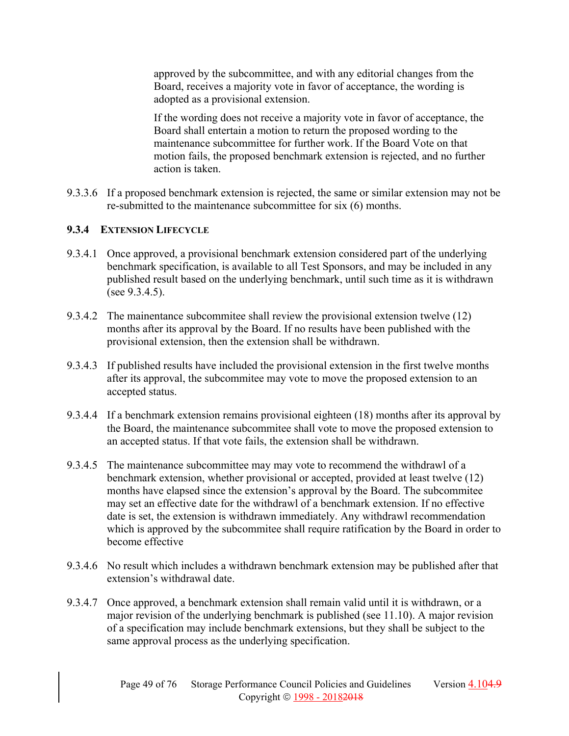approved by the subcommittee, and with any editorial changes from the Board, receives a majority vote in favor of acceptance, the wording is adopted as a provisional extension.

If the wording does not receive a majority vote in favor of acceptance, the Board shall entertain a motion to return the proposed wording to the maintenance subcommittee for further work. If the Board Vote on that motion fails, the proposed benchmark extension is rejected, and no further action is taken.

9.3.3.6 If a proposed benchmark extension is rejected, the same or similar extension may not be re-submitted to the maintenance subcommittee for six (6) months.

# **9.3.4 EXTENSION LIFECYCLE**

- 9.3.4.1 Once approved, a provisional benchmark extension considered part of the underlying benchmark specification, is available to all Test Sponsors, and may be included in any published result based on the underlying benchmark, until such time as it is withdrawn (see 9.3.4.5).
- 9.3.4.2 The mainentance subcommitee shall review the provisional extension twelve (12) months after its approval by the Board. If no results have been published with the provisional extension, then the extension shall be withdrawn.
- 9.3.4.3 If published results have included the provisional extension in the first twelve months after its approval, the subcommitee may vote to move the proposed extension to an accepted status.
- 9.3.4.4 If a benchmark extension remains provisional eighteen (18) months after its approval by the Board, the maintenance subcommitee shall vote to move the proposed extension to an accepted status. If that vote fails, the extension shall be withdrawn.
- 9.3.4.5 The maintenance subcommittee may may vote to recommend the withdrawl of a benchmark extension, whether provisional or accepted, provided at least twelve (12) months have elapsed since the extension's approval by the Board. The subcommitee may set an effective date for the withdrawl of a benchmark extension. If no effective date is set, the extension is withdrawn immediately. Any withdrawl recommendation which is approved by the subcommitee shall require ratification by the Board in order to become effective
- 9.3.4.6 No result which includes a withdrawn benchmark extension may be published after that extension's withdrawal date.
- 9.3.4.7 Once approved, a benchmark extension shall remain valid until it is withdrawn, or a major revision of the underlying benchmark is published (see 11.10). A major revision of a specification may include benchmark extensions, but they shall be subject to the same approval process as the underlying specification.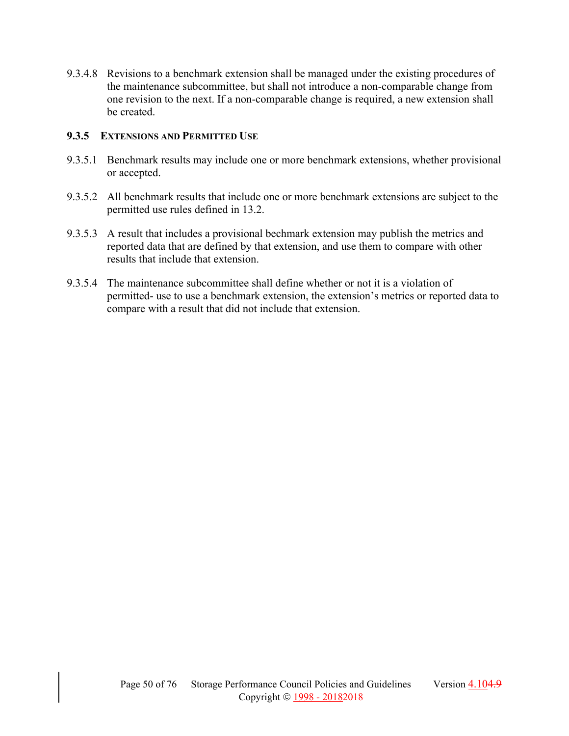9.3.4.8 Revisions to a benchmark extension shall be managed under the existing procedures of the maintenance subcommittee, but shall not introduce a non-comparable change from one revision to the next. If a non-comparable change is required, a new extension shall be created.

### **9.3.5 EXTENSIONS AND PERMITTED USE**

- 9.3.5.1 Benchmark results may include one or more benchmark extensions, whether provisional or accepted.
- 9.3.5.2 All benchmark results that include one or more benchmark extensions are subject to the permitted use rules defined in 13.2.
- 9.3.5.3 A result that includes a provisional bechmark extension may publish the metrics and reported data that are defined by that extension, and use them to compare with other results that include that extension.
- 9.3.5.4 The maintenance subcommittee shall define whether or not it is a violation of permitted- use to use a benchmark extension, the extension's metrics or reported data to compare with a result that did not include that extension.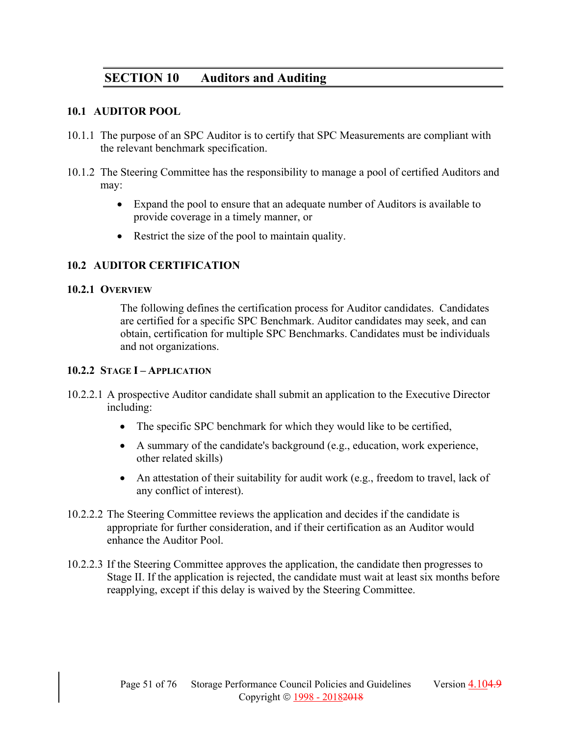# **SECTION 10 Auditors and Auditing**

### **10.1 AUDITOR POOL**

- 10.1.1 The purpose of an SPC Auditor is to certify that SPC Measurements are compliant with the relevant benchmark specification.
- 10.1.2 The Steering Committee has the responsibility to manage a pool of certified Auditors and may:
	- Expand the pool to ensure that an adequate number of Auditors is available to provide coverage in a timely manner, or
	- Restrict the size of the pool to maintain quality.

# **10.2 AUDITOR CERTIFICATION**

### **10.2.1 OVERVIEW**

The following defines the certification process for Auditor candidates. Candidates are certified for a specific SPC Benchmark. Auditor candidates may seek, and can obtain, certification for multiple SPC Benchmarks. Candidates must be individuals and not organizations.

### **10.2.2 STAGE I – APPLICATION**

- 10.2.2.1 A prospective Auditor candidate shall submit an application to the Executive Director including:
	- The specific SPC benchmark for which they would like to be certified,
	- A summary of the candidate's background (e.g., education, work experience, other related skills)
	- An attestation of their suitability for audit work (e.g., freedom to travel, lack of any conflict of interest).
- 10.2.2.2 The Steering Committee reviews the application and decides if the candidate is appropriate for further consideration, and if their certification as an Auditor would enhance the Auditor Pool.
- 10.2.2.3 If the Steering Committee approves the application, the candidate then progresses to Stage II. If the application is rejected, the candidate must wait at least six months before reapplying, except if this delay is waived by the Steering Committee.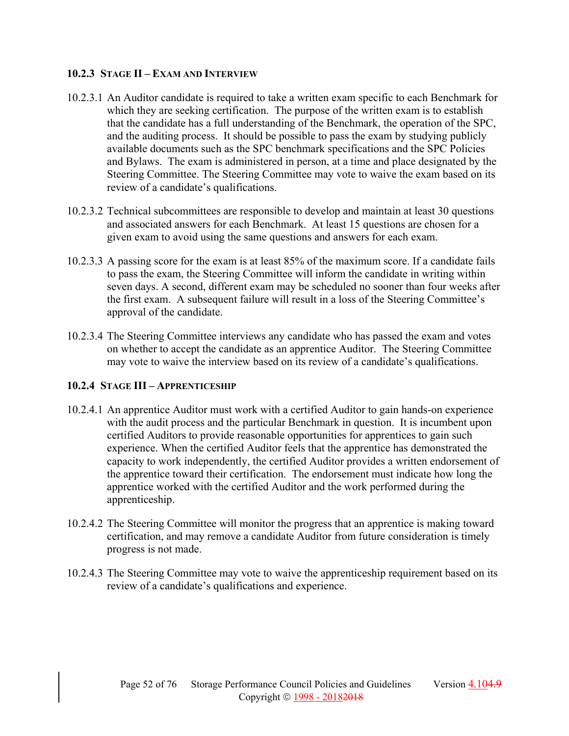### **10.2.3 STAGE II – EXAM AND INTERVIEW**

- 10.2.3.1 An Auditor candidate is required to take a written exam specific to each Benchmark for which they are seeking certification. The purpose of the written exam is to establish that the candidate has a full understanding of the Benchmark, the operation of the SPC, and the auditing process. It should be possible to pass the exam by studying publicly available documents such as the SPC benchmark specifications and the SPC Policies and Bylaws. The exam is administered in person, at a time and place designated by the Steering Committee. The Steering Committee may vote to waive the exam based on its review of a candidate's qualifications.
- 10.2.3.2 Technical subcommittees are responsible to develop and maintain at least 30 questions and associated answers for each Benchmark. At least 15 questions are chosen for a given exam to avoid using the same questions and answers for each exam.
- 10.2.3.3 A passing score for the exam is at least 85% of the maximum score. If a candidate fails to pass the exam, the Steering Committee will inform the candidate in writing within seven days. A second, different exam may be scheduled no sooner than four weeks after the first exam. A subsequent failure will result in a loss of the Steering Committee's approval of the candidate.
- 10.2.3.4 The Steering Committee interviews any candidate who has passed the exam and votes on whether to accept the candidate as an apprentice Auditor. The Steering Committee may vote to waive the interview based on its review of a candidate's qualifications.

# **10.2.4 STAGE III – APPRENTICESHIP**

- 10.2.4.1 An apprentice Auditor must work with a certified Auditor to gain hands-on experience with the audit process and the particular Benchmark in question. It is incumbent upon certified Auditors to provide reasonable opportunities for apprentices to gain such experience. When the certified Auditor feels that the apprentice has demonstrated the capacity to work independently, the certified Auditor provides a written endorsement of the apprentice toward their certification. The endorsement must indicate how long the apprentice worked with the certified Auditor and the work performed during the apprenticeship.
- 10.2.4.2 The Steering Committee will monitor the progress that an apprentice is making toward certification, and may remove a candidate Auditor from future consideration is timely progress is not made.
- 10.2.4.3 The Steering Committee may vote to waive the apprenticeship requirement based on its review of a candidate's qualifications and experience.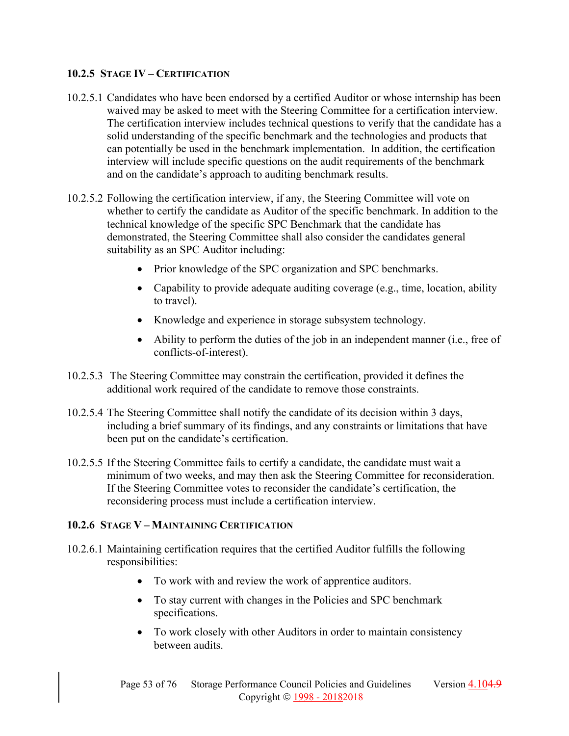# **10.2.5 STAGE IV – CERTIFICATION**

- 10.2.5.1 Candidates who have been endorsed by a certified Auditor or whose internship has been waived may be asked to meet with the Steering Committee for a certification interview. The certification interview includes technical questions to verify that the candidate has a solid understanding of the specific benchmark and the technologies and products that can potentially be used in the benchmark implementation. In addition, the certification interview will include specific questions on the audit requirements of the benchmark and on the candidate's approach to auditing benchmark results.
- 10.2.5.2 Following the certification interview, if any, the Steering Committee will vote on whether to certify the candidate as Auditor of the specific benchmark. In addition to the technical knowledge of the specific SPC Benchmark that the candidate has demonstrated, the Steering Committee shall also consider the candidates general suitability as an SPC Auditor including:
	- Prior knowledge of the SPC organization and SPC benchmarks.
	- Capability to provide adequate auditing coverage (e.g., time, location, ability to travel).
	- Knowledge and experience in storage subsystem technology.
	- Ability to perform the duties of the job in an independent manner (i.e., free of conflicts-of-interest).
- 10.2.5.3 The Steering Committee may constrain the certification, provided it defines the additional work required of the candidate to remove those constraints.
- 10.2.5.4 The Steering Committee shall notify the candidate of its decision within 3 days, including a brief summary of its findings, and any constraints or limitations that have been put on the candidate's certification.
- 10.2.5.5 If the Steering Committee fails to certify a candidate, the candidate must wait a minimum of two weeks, and may then ask the Steering Committee for reconsideration. If the Steering Committee votes to reconsider the candidate's certification, the reconsidering process must include a certification interview.

# **10.2.6 STAGE V – MAINTAINING CERTIFICATION**

- 10.2.6.1 Maintaining certification requires that the certified Auditor fulfills the following responsibilities:
	- To work with and review the work of apprentice auditors.
	- To stay current with changes in the Policies and SPC benchmark specifications.
	- To work closely with other Auditors in order to maintain consistency between audits.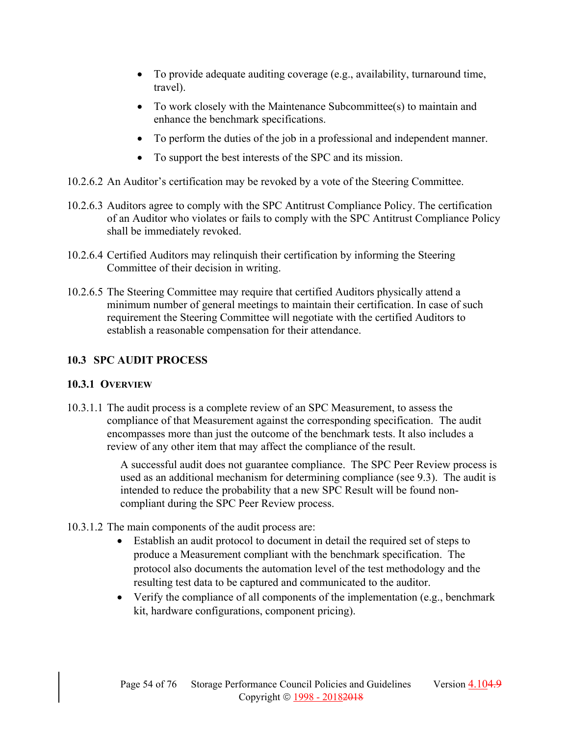- To provide adequate auditing coverage (e.g., availability, turnaround time, travel).
- To work closely with the Maintenance Subcommittee(s) to maintain and enhance the benchmark specifications.
- To perform the duties of the job in a professional and independent manner.
- To support the best interests of the SPC and its mission.
- 10.2.6.2 An Auditor's certification may be revoked by a vote of the Steering Committee.
- 10.2.6.3 Auditors agree to comply with the SPC Antitrust Compliance Policy. The certification of an Auditor who violates or fails to comply with the SPC Antitrust Compliance Policy shall be immediately revoked.
- 10.2.6.4 Certified Auditors may relinquish their certification by informing the Steering Committee of their decision in writing.
- 10.2.6.5 The Steering Committee may require that certified Auditors physically attend a minimum number of general meetings to maintain their certification. In case of such requirement the Steering Committee will negotiate with the certified Auditors to establish a reasonable compensation for their attendance.

# **10.3 SPC AUDIT PROCESS**

# **10.3.1 OVERVIEW**

10.3.1.1 The audit process is a complete review of an SPC Measurement, to assess the compliance of that Measurement against the corresponding specification. The audit encompasses more than just the outcome of the benchmark tests. It also includes a review of any other item that may affect the compliance of the result.

> A successful audit does not guarantee compliance. The SPC Peer Review process is used as an additional mechanism for determining compliance (see 9.3). The audit is intended to reduce the probability that a new SPC Result will be found noncompliant during the SPC Peer Review process.

- 10.3.1.2 The main components of the audit process are:
	- Establish an audit protocol to document in detail the required set of steps to produce a Measurement compliant with the benchmark specification. The protocol also documents the automation level of the test methodology and the resulting test data to be captured and communicated to the auditor.
	- Verify the compliance of all components of the implementation (e.g., benchmark kit, hardware configurations, component pricing).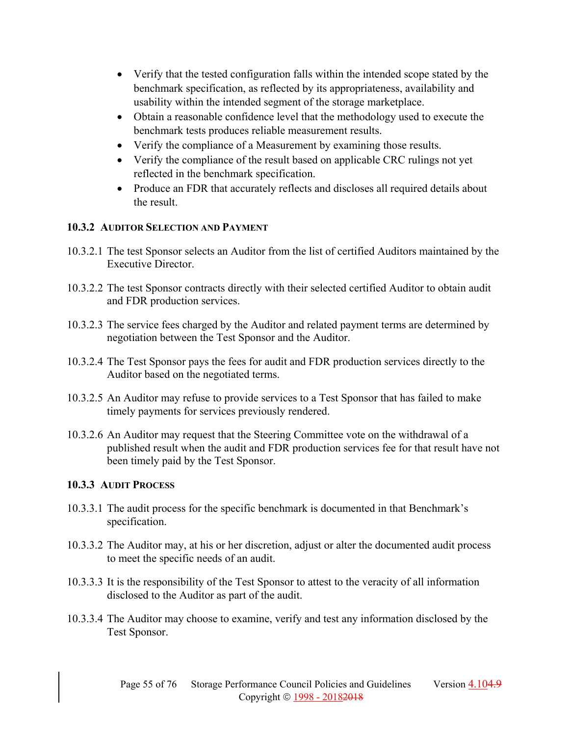- Verify that the tested configuration falls within the intended scope stated by the benchmark specification, as reflected by its appropriateness, availability and usability within the intended segment of the storage marketplace.
- Obtain a reasonable confidence level that the methodology used to execute the benchmark tests produces reliable measurement results.
- Verify the compliance of a Measurement by examining those results.
- Verify the compliance of the result based on applicable CRC rulings not yet reflected in the benchmark specification.
- Produce an FDR that accurately reflects and discloses all required details about the result.

# **10.3.2 AUDITOR SELECTION AND PAYMENT**

- 10.3.2.1 The test Sponsor selects an Auditor from the list of certified Auditors maintained by the Executive Director.
- 10.3.2.2 The test Sponsor contracts directly with their selected certified Auditor to obtain audit and FDR production services.
- 10.3.2.3 The service fees charged by the Auditor and related payment terms are determined by negotiation between the Test Sponsor and the Auditor.
- 10.3.2.4 The Test Sponsor pays the fees for audit and FDR production services directly to the Auditor based on the negotiated terms.
- 10.3.2.5 An Auditor may refuse to provide services to a Test Sponsor that has failed to make timely payments for services previously rendered.
- 10.3.2.6 An Auditor may request that the Steering Committee vote on the withdrawal of a published result when the audit and FDR production services fee for that result have not been timely paid by the Test Sponsor.

# **10.3.3 AUDIT PROCESS**

- 10.3.3.1 The audit process for the specific benchmark is documented in that Benchmark's specification.
- 10.3.3.2 The Auditor may, at his or her discretion, adjust or alter the documented audit process to meet the specific needs of an audit.
- 10.3.3.3 It is the responsibility of the Test Sponsor to attest to the veracity of all information disclosed to the Auditor as part of the audit.
- 10.3.3.4 The Auditor may choose to examine, verify and test any information disclosed by the Test Sponsor.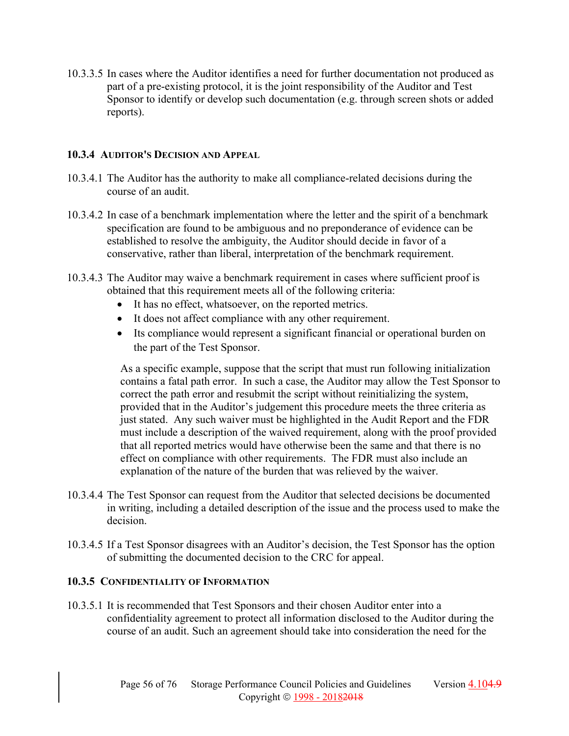10.3.3.5 In cases where the Auditor identifies a need for further documentation not produced as part of a pre-existing protocol, it is the joint responsibility of the Auditor and Test Sponsor to identify or develop such documentation (e.g. through screen shots or added reports).

### **10.3.4 AUDITOR'S DECISION AND APPEAL**

- 10.3.4.1 The Auditor has the authority to make all compliance-related decisions during the course of an audit.
- 10.3.4.2 In case of a benchmark implementation where the letter and the spirit of a benchmark specification are found to be ambiguous and no preponderance of evidence can be established to resolve the ambiguity, the Auditor should decide in favor of a conservative, rather than liberal, interpretation of the benchmark requirement.
- 10.3.4.3 The Auditor may waive a benchmark requirement in cases where sufficient proof is obtained that this requirement meets all of the following criteria:
	- It has no effect, whatsoever, on the reported metrics.
	- It does not affect compliance with any other requirement.
	- Its compliance would represent a significant financial or operational burden on the part of the Test Sponsor.

As a specific example, suppose that the script that must run following initialization contains a fatal path error. In such a case, the Auditor may allow the Test Sponsor to correct the path error and resubmit the script without reinitializing the system, provided that in the Auditor's judgement this procedure meets the three criteria as just stated. Any such waiver must be highlighted in the Audit Report and the FDR must include a description of the waived requirement, along with the proof provided that all reported metrics would have otherwise been the same and that there is no effect on compliance with other requirements. The FDR must also include an explanation of the nature of the burden that was relieved by the waiver.

- 10.3.4.4 The Test Sponsor can request from the Auditor that selected decisions be documented in writing, including a detailed description of the issue and the process used to make the decision.
- 10.3.4.5 If a Test Sponsor disagrees with an Auditor's decision, the Test Sponsor has the option of submitting the documented decision to the CRC for appeal.

### **10.3.5 CONFIDENTIALITY OF INFORMATION**

10.3.5.1 It is recommended that Test Sponsors and their chosen Auditor enter into a confidentiality agreement to protect all information disclosed to the Auditor during the course of an audit. Such an agreement should take into consideration the need for the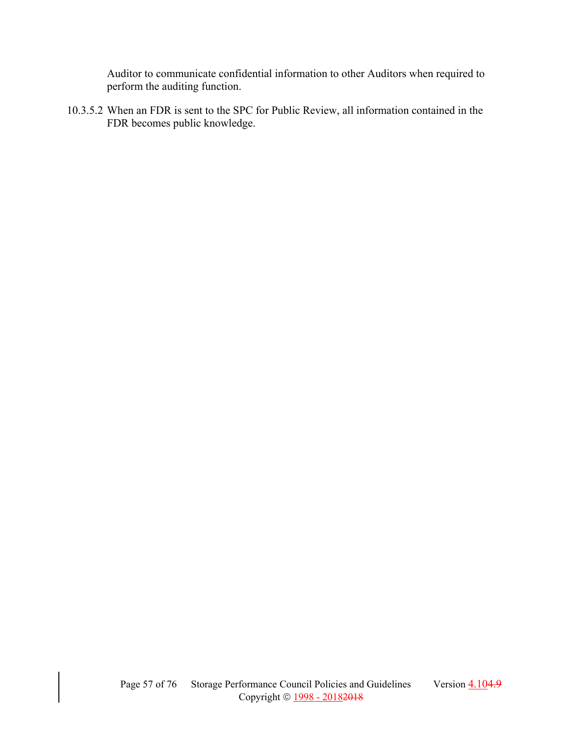Auditor to communicate confidential information to other Auditors when required to perform the auditing function.

10.3.5.2 When an FDR is sent to the SPC for Public Review, all information contained in the FDR becomes public knowledge.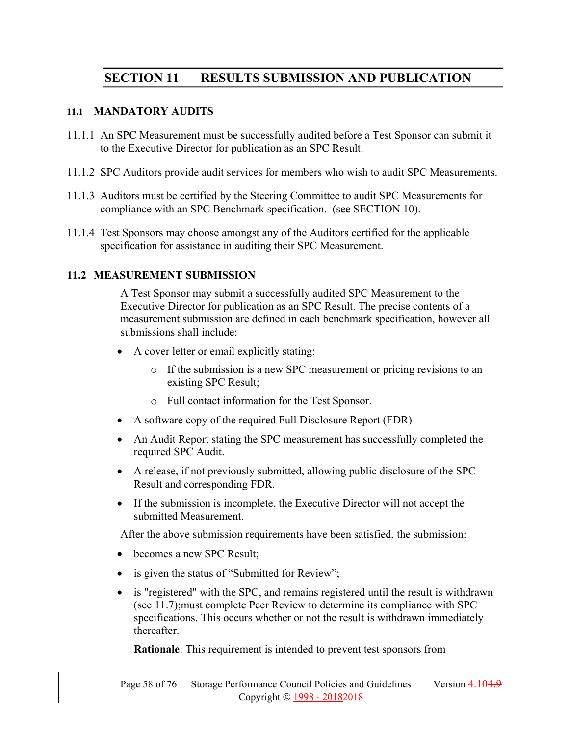# **SECTION 11 RESULTS SUBMISSION AND PUBLICATION**

#### **11.1 MANDATORY AUDITS**

- 11.1.1 An SPC Measurement must be successfully audited before a Test Sponsor can submit it to the Executive Director for publication as an SPC Result.
- 11.1.2 SPC Auditors provide audit services for members who wish to audit SPC Measurements.
- 11.1.3 Auditors must be certified by the Steering Committee to audit SPC Measurements for compliance with an SPC Benchmark specification. (see SECTION 10).
- 11.1.4 Test Sponsors may choose amongst any of the Auditors certified for the applicable specification for assistance in auditing their SPC Measurement.

### **11.2 MEASUREMENT SUBMISSION**

A Test Sponsor may submit a successfully audited SPC Measurement to the Executive Director for publication as an SPC Result. The precise contents of a measurement submission are defined in each benchmark specification, however all submissions shall include:

- A cover letter or email explicitly stating:
	- o If the submission is a new SPC measurement or pricing revisions to an existing SPC Result;
	- o Full contact information for the Test Sponsor.
- A software copy of the required Full Disclosure Report (FDR)
- An Audit Report stating the SPC measurement has successfully completed the required SPC Audit.
- A release, if not previously submitted, allowing public disclosure of the SPC Result and corresponding FDR.
- If the submission is incomplete, the Executive Director will not accept the submitted Measurement.

After the above submission requirements have been satisfied, the submission:

- becomes a new SPC Result;
- is given the status of "Submitted for Review";
- is "registered" with the SPC, and remains registered until the result is withdrawn (see 11.7);must complete Peer Review to determine its compliance with SPC specifications. This occurs whether or not the result is withdrawn immediately thereafter.

**Rationale**: This requirement is intended to prevent test sponsors from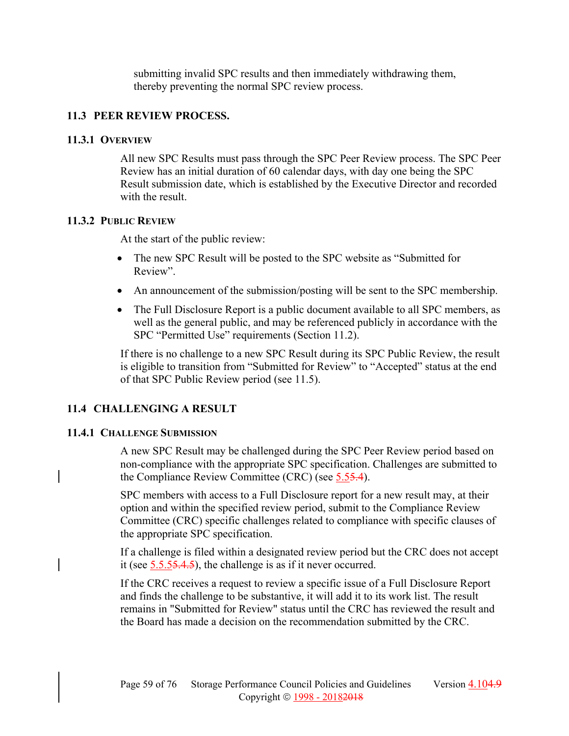submitting invalid SPC results and then immediately withdrawing them, thereby preventing the normal SPC review process.

### **11.3 PEER REVIEW PROCESS.**

### **11.3.1 OVERVIEW**

All new SPC Results must pass through the SPC Peer Review process. The SPC Peer Review has an initial duration of 60 calendar days, with day one being the SPC Result submission date, which is established by the Executive Director and recorded with the result.

### **11.3.2 PUBLIC REVIEW**

At the start of the public review:

- The new SPC Result will be posted to the SPC website as "Submitted for Review".
- An announcement of the submission/posting will be sent to the SPC membership.
- The Full Disclosure Report is a public document available to all SPC members, as well as the general public, and may be referenced publicly in accordance with the SPC "Permitted Use" requirements (Section 11.2).

If there is no challenge to a new SPC Result during its SPC Public Review, the result is eligible to transition from "Submitted for Review" to "Accepted" status at the end of that SPC Public Review period (see 11.5).

# **11.4 CHALLENGING A RESULT**

### **11.4.1 CHALLENGE SUBMISSION**

A new SPC Result may be challenged during the SPC Peer Review period based on non-compliance with the appropriate SPC specification. Challenges are submitted to the Compliance Review Committee (CRC) (see 5.55.4).

SPC members with access to a Full Disclosure report for a new result may, at their option and within the specified review period, submit to the Compliance Review Committee (CRC) specific challenges related to compliance with specific clauses of the appropriate SPC specification.

If a challenge is filed within a designated review period but the CRC does not accept it (see 5.5.55.4.5), the challenge is as if it never occurred.

If the CRC receives a request to review a specific issue of a Full Disclosure Report and finds the challenge to be substantive, it will add it to its work list. The result remains in "Submitted for Review" status until the CRC has reviewed the result and the Board has made a decision on the recommendation submitted by the CRC.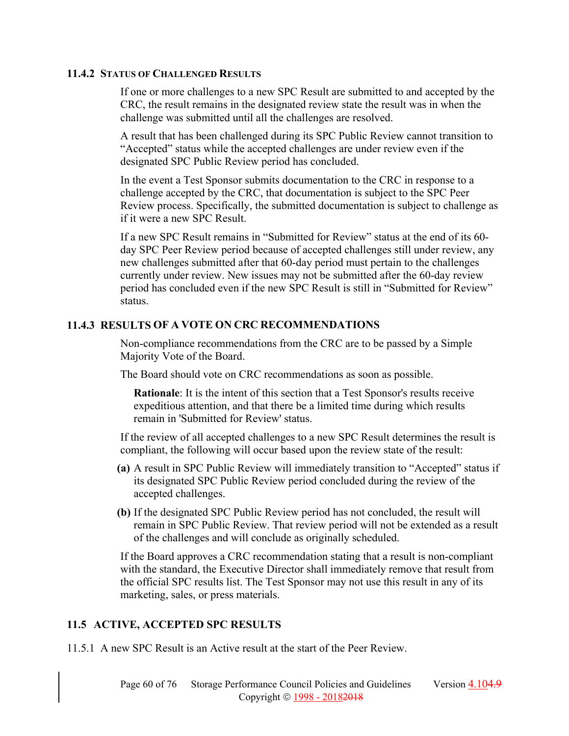#### **11.4.2 STATUS OF CHALLENGED RESULTS**

If one or more challenges to a new SPC Result are submitted to and accepted by the CRC, the result remains in the designated review state the result was in when the challenge was submitted until all the challenges are resolved.

A result that has been challenged during its SPC Public Review cannot transition to "Accepted" status while the accepted challenges are under review even if the designated SPC Public Review period has concluded.

In the event a Test Sponsor submits documentation to the CRC in response to a challenge accepted by the CRC, that documentation is subject to the SPC Peer Review process. Specifically, the submitted documentation is subject to challenge as if it were a new SPC Result.

If a new SPC Result remains in "Submitted for Review" status at the end of its 60 day SPC Peer Review period because of accepted challenges still under review, any new challenges submitted after that 60-day period must pertain to the challenges currently under review. New issues may not be submitted after the 60-day review period has concluded even if the new SPC Result is still in "Submitted for Review" status.

### **11.4.3 RESULTS OF A VOTE ON CRC RECOMMENDATIONS**

Non-compliance recommendations from the CRC are to be passed by a Simple Majority Vote of the Board.

The Board should vote on CRC recommendations as soon as possible.

**Rationale**: It is the intent of this section that a Test Sponsor's results receive expeditious attention, and that there be a limited time during which results remain in 'Submitted for Review' status.

If the review of all accepted challenges to a new SPC Result determines the result is compliant, the following will occur based upon the review state of the result:

- **(a)** A result in SPC Public Review will immediately transition to "Accepted" status if its designated SPC Public Review period concluded during the review of the accepted challenges.
- **(b)** If the designated SPC Public Review period has not concluded, the result will remain in SPC Public Review. That review period will not be extended as a result of the challenges and will conclude as originally scheduled.

If the Board approves a CRC recommendation stating that a result is non-compliant with the standard, the Executive Director shall immediately remove that result from the official SPC results list. The Test Sponsor may not use this result in any of its marketing, sales, or press materials.

# **11.5 ACTIVE, ACCEPTED SPC RESULTS**

11.5.1 A new SPC Result is an Active result at the start of the Peer Review.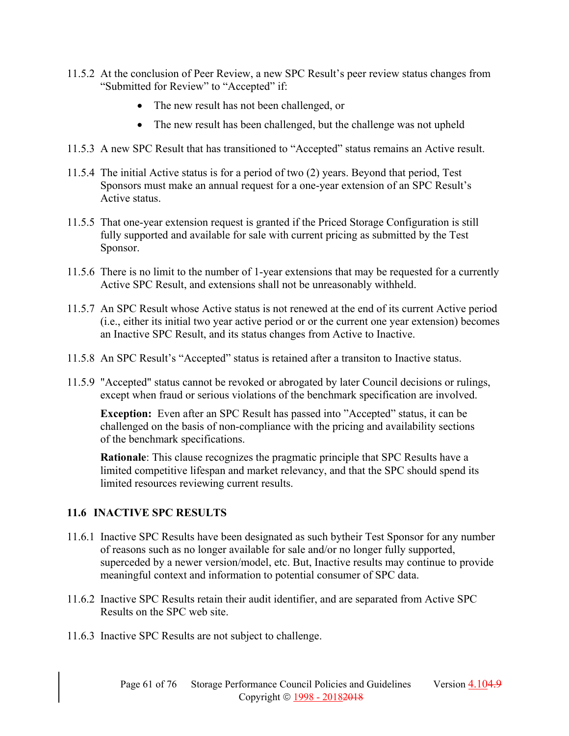- 11.5.2 At the conclusion of Peer Review, a new SPC Result's peer review status changes from "Submitted for Review" to "Accepted" if:
	- The new result has not been challenged, or
	- The new result has been challenged, but the challenge was not upheld
- 11.5.3 A new SPC Result that has transitioned to "Accepted" status remains an Active result.
- 11.5.4 The initial Active status is for a period of two (2) years. Beyond that period, Test Sponsors must make an annual request for a one-year extension of an SPC Result's Active status.
- 11.5.5 That one-year extension request is granted if the Priced Storage Configuration is still fully supported and available for sale with current pricing as submitted by the Test Sponsor.
- 11.5.6 There is no limit to the number of 1-year extensions that may be requested for a currently Active SPC Result, and extensions shall not be unreasonably withheld.
- 11.5.7 An SPC Result whose Active status is not renewed at the end of its current Active period (i.e., either its initial two year active period or or the current one year extension) becomes an Inactive SPC Result, and its status changes from Active to Inactive.
- 11.5.8 An SPC Result's "Accepted" status is retained after a transiton to Inactive status.
- 11.5.9 "Accepted" status cannot be revoked or abrogated by later Council decisions or rulings, except when fraud or serious violations of the benchmark specification are involved.

**Exception:** Even after an SPC Result has passed into "Accepted" status, it can be challenged on the basis of non-compliance with the pricing and availability sections of the benchmark specifications.

**Rationale**: This clause recognizes the pragmatic principle that SPC Results have a limited competitive lifespan and market relevancy, and that the SPC should spend its limited resources reviewing current results.

# **11.6 INACTIVE SPC RESULTS**

- 11.6.1 Inactive SPC Results have been designated as such bytheir Test Sponsor for any number of reasons such as no longer available for sale and/or no longer fully supported, superceded by a newer version/model, etc. But, Inactive results may continue to provide meaningful context and information to potential consumer of SPC data.
- 11.6.2 Inactive SPC Results retain their audit identifier, and are separated from Active SPC Results on the SPC web site.
- 11.6.3 Inactive SPC Results are not subject to challenge.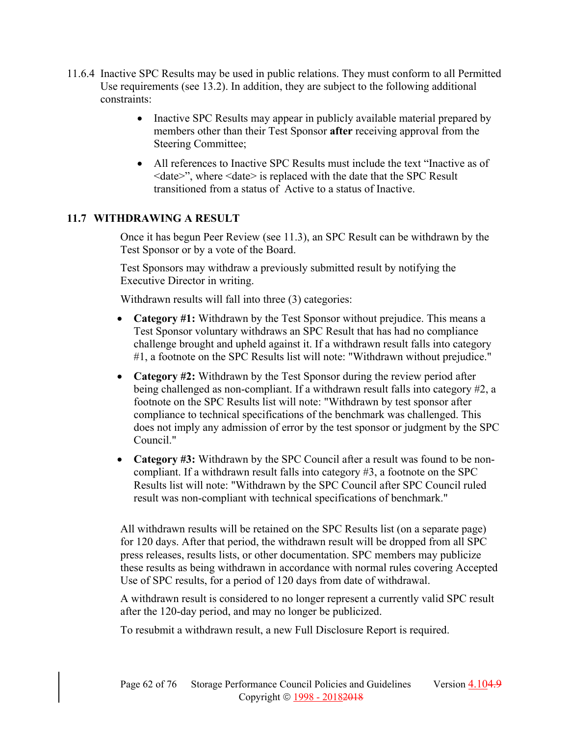- 11.6.4 Inactive SPC Results may be used in public relations. They must conform to all Permitted Use requirements (see 13.2). In addition, they are subject to the following additional constraints:
	- Inactive SPC Results may appear in publicly available material prepared by members other than their Test Sponsor **after** receiving approval from the Steering Committee;
	- All references to Inactive SPC Results must include the text "Inactive as of <date>", where <date> is replaced with the date that the SPC Result transitioned from a status of Active to a status of Inactive.

# **11.7 WITHDRAWING A RESULT**

Once it has begun Peer Review (see 11.3), an SPC Result can be withdrawn by the Test Sponsor or by a vote of the Board.

Test Sponsors may withdraw a previously submitted result by notifying the Executive Director in writing.

Withdrawn results will fall into three (3) categories:

- **Category #1:** Withdrawn by the Test Sponsor without prejudice. This means a Test Sponsor voluntary withdraws an SPC Result that has had no compliance challenge brought and upheld against it. If a withdrawn result falls into category #1, a footnote on the SPC Results list will note: "Withdrawn without prejudice."
- **Category #2:** Withdrawn by the Test Sponsor during the review period after being challenged as non-compliant. If a withdrawn result falls into category #2, a footnote on the SPC Results list will note: "Withdrawn by test sponsor after compliance to technical specifications of the benchmark was challenged. This does not imply any admission of error by the test sponsor or judgment by the SPC Council."
- **Category #3:** Withdrawn by the SPC Council after a result was found to be noncompliant. If a withdrawn result falls into category #3, a footnote on the SPC Results list will note: "Withdrawn by the SPC Council after SPC Council ruled result was non-compliant with technical specifications of benchmark."

All withdrawn results will be retained on the SPC Results list (on a separate page) for 120 days. After that period, the withdrawn result will be dropped from all SPC press releases, results lists, or other documentation. SPC members may publicize these results as being withdrawn in accordance with normal rules covering Accepted Use of SPC results, for a period of 120 days from date of withdrawal.

A withdrawn result is considered to no longer represent a currently valid SPC result after the 120-day period, and may no longer be publicized.

To resubmit a withdrawn result, a new Full Disclosure Report is required.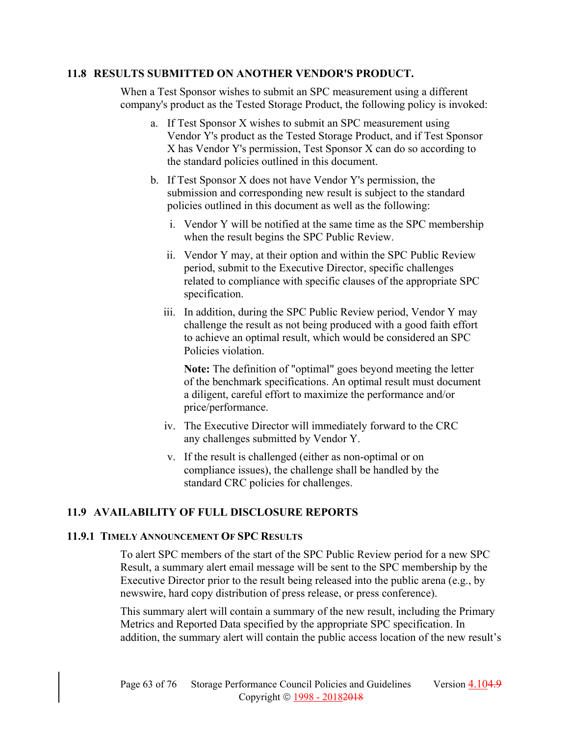### **11.8 RESULTS SUBMITTED ON ANOTHER VENDOR'S PRODUCT.**

When a Test Sponsor wishes to submit an SPC measurement using a different company's product as the Tested Storage Product, the following policy is invoked:

- a. If Test Sponsor X wishes to submit an SPC measurement using Vendor Y's product as the Tested Storage Product, and if Test Sponsor X has Vendor Y's permission, Test Sponsor X can do so according to the standard policies outlined in this document.
- b. If Test Sponsor X does not have Vendor Y's permission, the submission and corresponding new result is subject to the standard policies outlined in this document as well as the following:
	- i. Vendor Y will be notified at the same time as the SPC membership when the result begins the SPC Public Review.
	- ii. Vendor Y may, at their option and within the SPC Public Review period, submit to the Executive Director, specific challenges related to compliance with specific clauses of the appropriate SPC specification.
	- iii. In addition, during the SPC Public Review period, Vendor Y may challenge the result as not being produced with a good faith effort to achieve an optimal result, which would be considered an SPC Policies violation.

**Note:** The definition of "optimal" goes beyond meeting the letter of the benchmark specifications. An optimal result must document a diligent, careful effort to maximize the performance and/or price/performance.

- iv. The Executive Director will immediately forward to the CRC any challenges submitted by Vendor Y.
- v. If the result is challenged (either as non-optimal or on compliance issues), the challenge shall be handled by the standard CRC policies for challenges.

# **11.9 AVAILABILITY OF FULL DISCLOSURE REPORTS**

### **11.9.1 TIMELY ANNOUNCEMENT OF SPC RESULTS**

To alert SPC members of the start of the SPC Public Review period for a new SPC Result, a summary alert email message will be sent to the SPC membership by the Executive Director prior to the result being released into the public arena (e.g., by newswire, hard copy distribution of press release, or press conference).

This summary alert will contain a summary of the new result, including the Primary Metrics and Reported Data specified by the appropriate SPC specification. In addition, the summary alert will contain the public access location of the new result's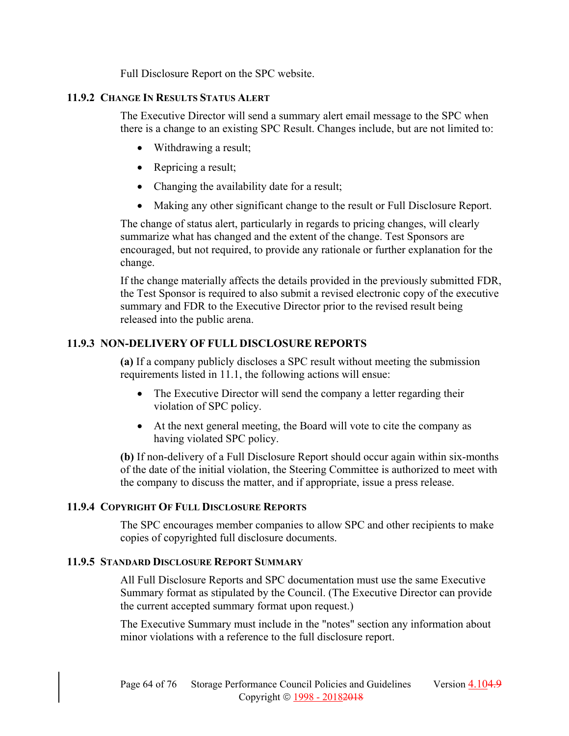Full Disclosure Report on the SPC website.

# **11.9.2 CHANGE IN RESULTS STATUS ALERT**

The Executive Director will send a summary alert email message to the SPC when there is a change to an existing SPC Result. Changes include, but are not limited to:

- Withdrawing a result;
- Repricing a result;
- Changing the availability date for a result;
- Making any other significant change to the result or Full Disclosure Report.

The change of status alert, particularly in regards to pricing changes, will clearly summarize what has changed and the extent of the change. Test Sponsors are encouraged, but not required, to provide any rationale or further explanation for the change.

If the change materially affects the details provided in the previously submitted FDR, the Test Sponsor is required to also submit a revised electronic copy of the executive summary and FDR to the Executive Director prior to the revised result being released into the public arena.

# **11.9.3 NON-DELIVERY OF FULL DISCLOSURE REPORTS**

**(a)** If a company publicly discloses a SPC result without meeting the submission requirements listed in 11.1, the following actions will ensue:

- The Executive Director will send the company a letter regarding their violation of SPC policy.
- At the next general meeting, the Board will vote to cite the company as having violated SPC policy.

**(b)** If non-delivery of a Full Disclosure Report should occur again within six-months of the date of the initial violation, the Steering Committee is authorized to meet with the company to discuss the matter, and if appropriate, issue a press release.

# **11.9.4 COPYRIGHT OF FULL DISCLOSURE REPORTS**

The SPC encourages member companies to allow SPC and other recipients to make copies of copyrighted full disclosure documents.

# **11.9.5 STANDARD DISCLOSURE REPORT SUMMARY**

All Full Disclosure Reports and SPC documentation must use the same Executive Summary format as stipulated by the Council. (The Executive Director can provide the current accepted summary format upon request.)

The Executive Summary must include in the "notes" section any information about minor violations with a reference to the full disclosure report.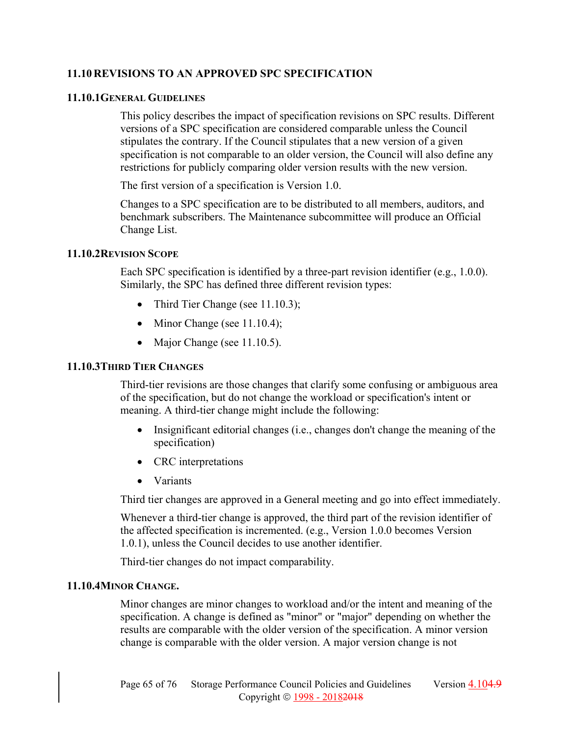# **11.10 REVISIONS TO AN APPROVED SPC SPECIFICATION**

### **11.10.1GENERAL GUIDELINES**

This policy describes the impact of specification revisions on SPC results. Different versions of a SPC specification are considered comparable unless the Council stipulates the contrary. If the Council stipulates that a new version of a given specification is not comparable to an older version, the Council will also define any restrictions for publicly comparing older version results with the new version.

The first version of a specification is Version 1.0.

Changes to a SPC specification are to be distributed to all members, auditors, and benchmark subscribers. The Maintenance subcommittee will produce an Official Change List.

### **11.10.2REVISION SCOPE**

Each SPC specification is identified by a three-part revision identifier (e.g., 1.0.0). Similarly, the SPC has defined three different revision types:

- Third Tier Change (see  $11.10.3$ );
- Minor Change (see  $11.10.4$ );
- Major Change (see  $11.10.5$ ).

### **11.10.3THIRD TIER CHANGES**

Third-tier revisions are those changes that clarify some confusing or ambiguous area of the specification, but do not change the workload or specification's intent or meaning. A third-tier change might include the following:

- Insignificant editorial changes (i.e., changes don't change the meaning of the specification)
- CRC interpretations
- Variants

Third tier changes are approved in a General meeting and go into effect immediately.

Whenever a third-tier change is approved, the third part of the revision identifier of the affected specification is incremented. (e.g., Version 1.0.0 becomes Version 1.0.1), unless the Council decides to use another identifier.

Third-tier changes do not impact comparability.

### **11.10.4MINOR CHANGE.**

Minor changes are minor changes to workload and/or the intent and meaning of the specification. A change is defined as "minor" or "major" depending on whether the results are comparable with the older version of the specification. A minor version change is comparable with the older version. A major version change is not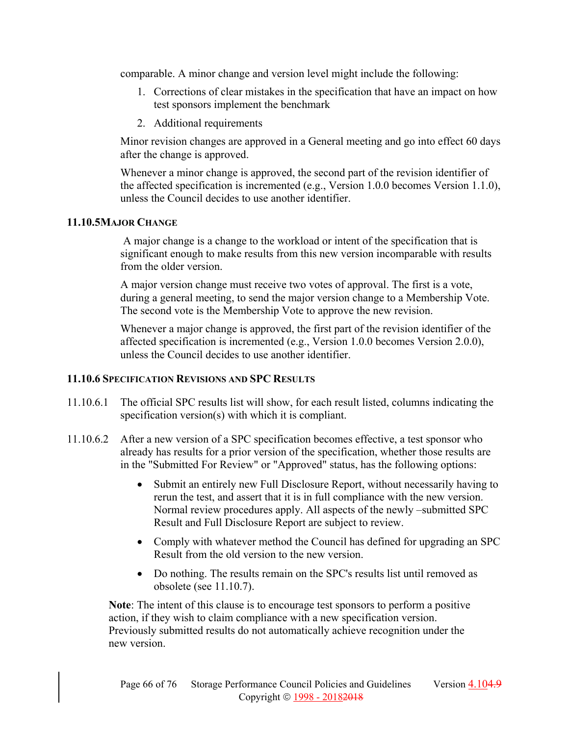comparable. A minor change and version level might include the following:

- 1. Corrections of clear mistakes in the specification that have an impact on how test sponsors implement the benchmark
- 2. Additional requirements

Minor revision changes are approved in a General meeting and go into effect 60 days after the change is approved.

Whenever a minor change is approved, the second part of the revision identifier of the affected specification is incremented (e.g., Version 1.0.0 becomes Version 1.1.0), unless the Council decides to use another identifier.

# **11.10.5MAJOR CHANGE**

 A major change is a change to the workload or intent of the specification that is significant enough to make results from this new version incomparable with results from the older version.

A major version change must receive two votes of approval. The first is a vote, during a general meeting, to send the major version change to a Membership Vote. The second vote is the Membership Vote to approve the new revision.

Whenever a major change is approved, the first part of the revision identifier of the affected specification is incremented (e.g., Version 1.0.0 becomes Version 2.0.0), unless the Council decides to use another identifier.

# **11.10.6 SPECIFICATION REVISIONS AND SPC RESULTS**

- 11.10.6.1 The official SPC results list will show, for each result listed, columns indicating the specification version(s) with which it is compliant.
- 11.10.6.2 After a new version of a SPC specification becomes effective, a test sponsor who already has results for a prior version of the specification, whether those results are in the "Submitted For Review" or "Approved" status, has the following options:
	- Submit an entirely new Full Disclosure Report, without necessarily having to rerun the test, and assert that it is in full compliance with the new version. Normal review procedures apply. All aspects of the newly –submitted SPC Result and Full Disclosure Report are subject to review.
	- Comply with whatever method the Council has defined for upgrading an SPC Result from the old version to the new version.
	- Do nothing. The results remain on the SPC's results list until removed as obsolete (see 11.10.7).

**Note**: The intent of this clause is to encourage test sponsors to perform a positive action, if they wish to claim compliance with a new specification version. Previously submitted results do not automatically achieve recognition under the new version.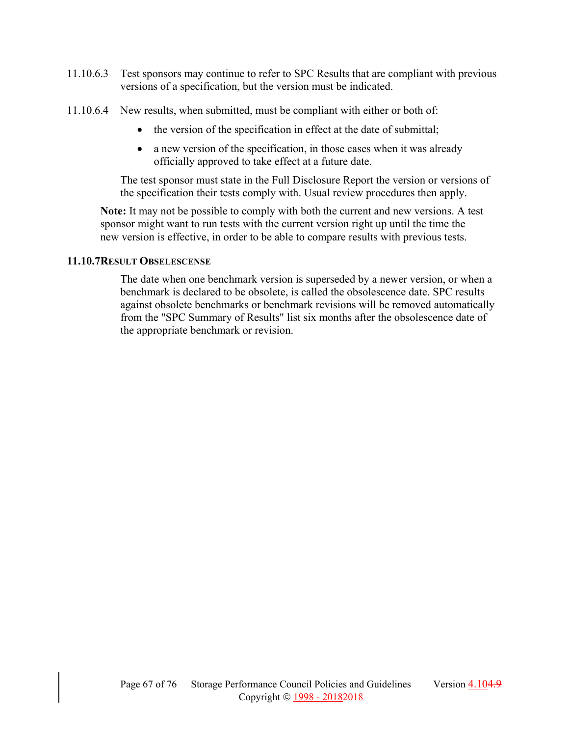- 11.10.6.3 Test sponsors may continue to refer to SPC Results that are compliant with previous versions of a specification, but the version must be indicated.
- 11.10.6.4 New results, when submitted, must be compliant with either or both of:
	- the version of the specification in effect at the date of submittal;
	- a new version of the specification, in those cases when it was already officially approved to take effect at a future date.

The test sponsor must state in the Full Disclosure Report the version or versions of the specification their tests comply with. Usual review procedures then apply.

**Note:** It may not be possible to comply with both the current and new versions. A test sponsor might want to run tests with the current version right up until the time the new version is effective, in order to be able to compare results with previous tests.

### **11.10.7RESULT OBSELESCENSE**

The date when one benchmark version is superseded by a newer version, or when a benchmark is declared to be obsolete, is called the obsolescence date. SPC results against obsolete benchmarks or benchmark revisions will be removed automatically from the "SPC Summary of Results" list six months after the obsolescence date of the appropriate benchmark or revision.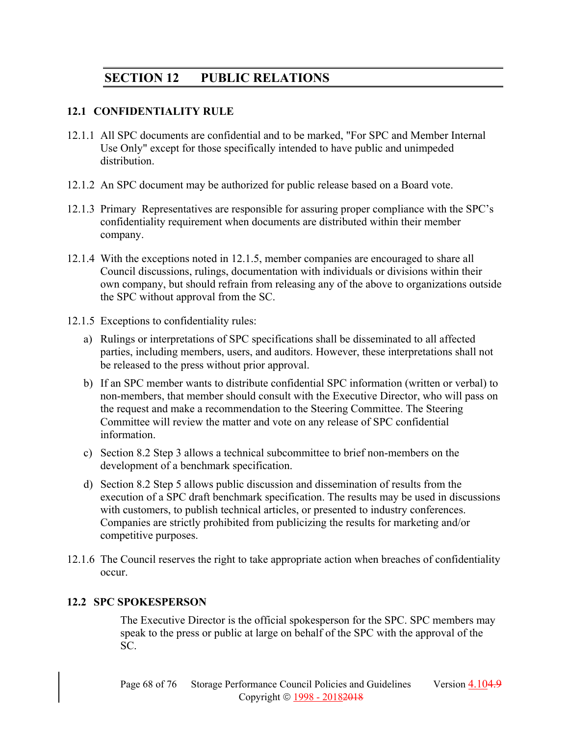# **SECTION 12 PUBLIC RELATIONS**

# **12.1 CONFIDENTIALITY RULE**

- 12.1.1 All SPC documents are confidential and to be marked, "For SPC and Member Internal Use Only" except for those specifically intended to have public and unimpeded distribution.
- 12.1.2 An SPC document may be authorized for public release based on a Board vote.
- 12.1.3 Primary Representatives are responsible for assuring proper compliance with the SPC's confidentiality requirement when documents are distributed within their member company.
- 12.1.4 With the exceptions noted in 12.1.5, member companies are encouraged to share all Council discussions, rulings, documentation with individuals or divisions within their own company, but should refrain from releasing any of the above to organizations outside the SPC without approval from the SC.
- 12.1.5 Exceptions to confidentiality rules:
	- a) Rulings or interpretations of SPC specifications shall be disseminated to all affected parties, including members, users, and auditors. However, these interpretations shall not be released to the press without prior approval.
	- b) If an SPC member wants to distribute confidential SPC information (written or verbal) to non-members, that member should consult with the Executive Director, who will pass on the request and make a recommendation to the Steering Committee. The Steering Committee will review the matter and vote on any release of SPC confidential information.
	- c) Section 8.2 Step 3 allows a technical subcommittee to brief non-members on the development of a benchmark specification.
	- d) Section 8.2 Step 5 allows public discussion and dissemination of results from the execution of a SPC draft benchmark specification. The results may be used in discussions with customers, to publish technical articles, or presented to industry conferences. Companies are strictly prohibited from publicizing the results for marketing and/or competitive purposes.
- 12.1.6 The Council reserves the right to take appropriate action when breaches of confidentiality occur.

# **12.2 SPC SPOKESPERSON**

The Executive Director is the official spokesperson for the SPC. SPC members may speak to the press or public at large on behalf of the SPC with the approval of the SC.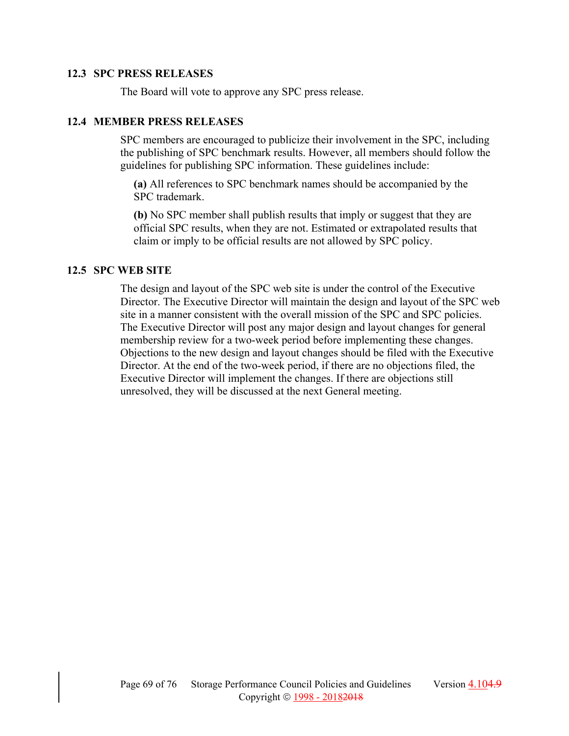### **12.3 SPC PRESS RELEASES**

The Board will vote to approve any SPC press release.

### **12.4 MEMBER PRESS RELEASES**

SPC members are encouraged to publicize their involvement in the SPC, including the publishing of SPC benchmark results. However, all members should follow the guidelines for publishing SPC information. These guidelines include:

**(a)** All references to SPC benchmark names should be accompanied by the SPC trademark.

**(b)** No SPC member shall publish results that imply or suggest that they are official SPC results, when they are not. Estimated or extrapolated results that claim or imply to be official results are not allowed by SPC policy.

#### **12.5 SPC WEB SITE**

The design and layout of the SPC web site is under the control of the Executive Director. The Executive Director will maintain the design and layout of the SPC web site in a manner consistent with the overall mission of the SPC and SPC policies. The Executive Director will post any major design and layout changes for general membership review for a two-week period before implementing these changes. Objections to the new design and layout changes should be filed with the Executive Director. At the end of the two-week period, if there are no objections filed, the Executive Director will implement the changes. If there are objections still unresolved, they will be discussed at the next General meeting.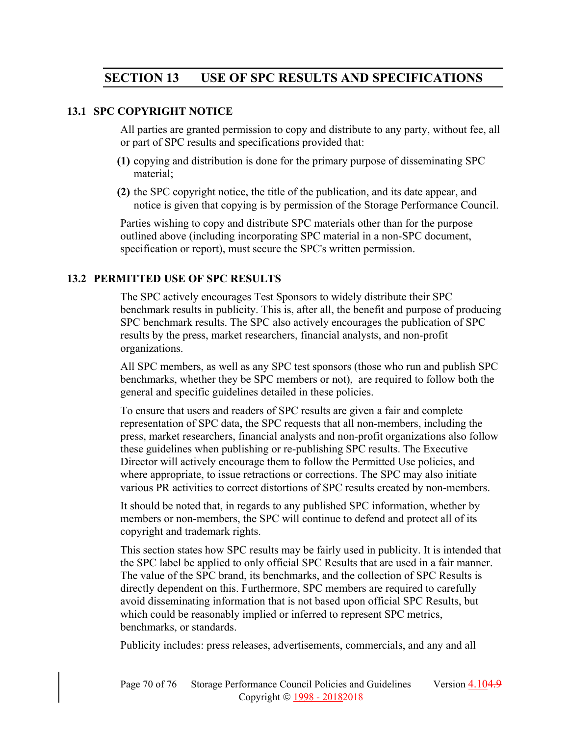# **SECTION 13 USE OF SPC RESULTS AND SPECIFICATIONS**

### **13.1 SPC COPYRIGHT NOTICE**

All parties are granted permission to copy and distribute to any party, without fee, all or part of SPC results and specifications provided that:

- **(1)** copying and distribution is done for the primary purpose of disseminating SPC material;
- **(2)** the SPC copyright notice, the title of the publication, and its date appear, and notice is given that copying is by permission of the Storage Performance Council.

Parties wishing to copy and distribute SPC materials other than for the purpose outlined above (including incorporating SPC material in a non-SPC document, specification or report), must secure the SPC's written permission.

# **13.2 PERMITTED USE OF SPC RESULTS**

The SPC actively encourages Test Sponsors to widely distribute their SPC benchmark results in publicity. This is, after all, the benefit and purpose of producing SPC benchmark results. The SPC also actively encourages the publication of SPC results by the press, market researchers, financial analysts, and non-profit organizations.

All SPC members, as well as any SPC test sponsors (those who run and publish SPC benchmarks, whether they be SPC members or not), are required to follow both the general and specific guidelines detailed in these policies.

To ensure that users and readers of SPC results are given a fair and complete representation of SPC data, the SPC requests that all non-members, including the press, market researchers, financial analysts and non-profit organizations also follow these guidelines when publishing or re-publishing SPC results. The Executive Director will actively encourage them to follow the Permitted Use policies, and where appropriate, to issue retractions or corrections. The SPC may also initiate various PR activities to correct distortions of SPC results created by non-members.

It should be noted that, in regards to any published SPC information, whether by members or non-members, the SPC will continue to defend and protect all of its copyright and trademark rights.

This section states how SPC results may be fairly used in publicity. It is intended that the SPC label be applied to only official SPC Results that are used in a fair manner. The value of the SPC brand, its benchmarks, and the collection of SPC Results is directly dependent on this. Furthermore, SPC members are required to carefully avoid disseminating information that is not based upon official SPC Results, but which could be reasonably implied or inferred to represent SPC metrics, benchmarks, or standards.

Publicity includes: press releases, advertisements, commercials, and any and all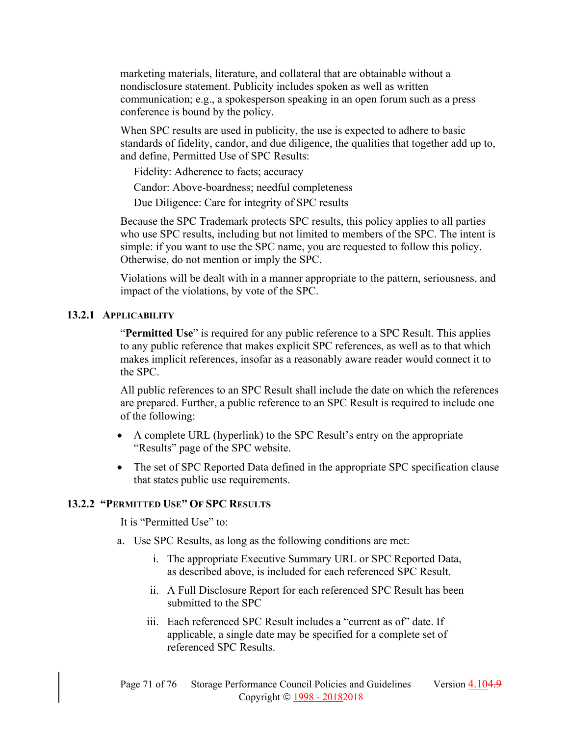marketing materials, literature, and collateral that are obtainable without a nondisclosure statement. Publicity includes spoken as well as written communication; e.g., a spokesperson speaking in an open forum such as a press conference is bound by the policy.

When SPC results are used in publicity, the use is expected to adhere to basic standards of fidelity, candor, and due diligence, the qualities that together add up to, and define, Permitted Use of SPC Results:

Fidelity: Adherence to facts; accuracy

Candor: Above-boardness; needful completeness

Due Diligence: Care for integrity of SPC results

Because the SPC Trademark protects SPC results, this policy applies to all parties who use SPC results, including but not limited to members of the SPC. The intent is simple: if you want to use the SPC name, you are requested to follow this policy. Otherwise, do not mention or imply the SPC.

Violations will be dealt with in a manner appropriate to the pattern, seriousness, and impact of the violations, by vote of the SPC.

# **13.2.1 APPLICABILITY**

"**Permitted Use**" is required for any public reference to a SPC Result. This applies to any public reference that makes explicit SPC references, as well as to that which makes implicit references, insofar as a reasonably aware reader would connect it to the SPC.

All public references to an SPC Result shall include the date on which the references are prepared. Further, a public reference to an SPC Result is required to include one of the following:

- A complete URL (hyperlink) to the SPC Result's entry on the appropriate "Results" page of the SPC website.
- The set of SPC Reported Data defined in the appropriate SPC specification clause that states public use requirements.

# **13.2.2 "PERMITTED USE" OF SPC RESULTS**

It is "Permitted Use" to:

- a. Use SPC Results, as long as the following conditions are met:
	- i. The appropriate Executive Summary URL or SPC Reported Data, as described above, is included for each referenced SPC Result.
	- ii. A Full Disclosure Report for each referenced SPC Result has been submitted to the SPC
	- iii. Each referenced SPC Result includes a "current as of" date. If applicable, a single date may be specified for a complete set of referenced SPC Results.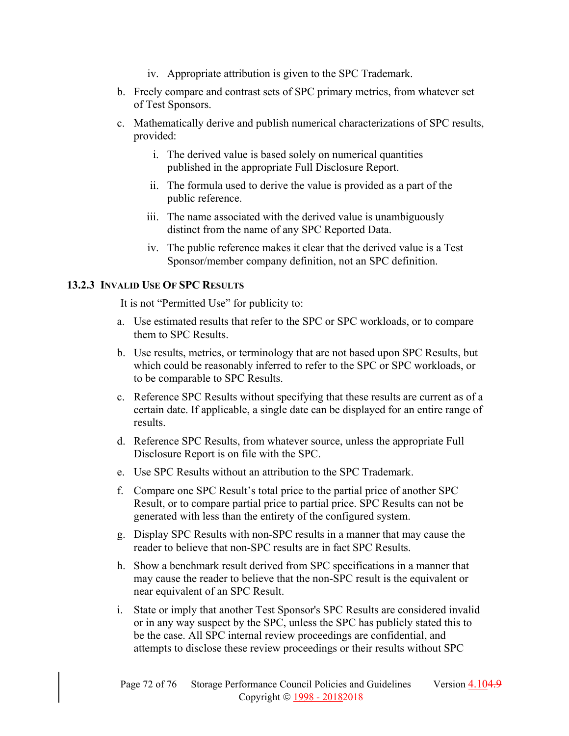- iv. Appropriate attribution is given to the SPC Trademark.
- b. Freely compare and contrast sets of SPC primary metrics, from whatever set of Test Sponsors.
- c. Mathematically derive and publish numerical characterizations of SPC results, provided:
	- i. The derived value is based solely on numerical quantities published in the appropriate Full Disclosure Report.
	- ii. The formula used to derive the value is provided as a part of the public reference.
	- iii. The name associated with the derived value is unambiguously distinct from the name of any SPC Reported Data.
	- iv. The public reference makes it clear that the derived value is a Test Sponsor/member company definition, not an SPC definition.

# **13.2.3 INVALID USE OF SPC RESULTS**

It is not "Permitted Use" for publicity to:

- a. Use estimated results that refer to the SPC or SPC workloads, or to compare them to SPC Results.
- b. Use results, metrics, or terminology that are not based upon SPC Results, but which could be reasonably inferred to refer to the SPC or SPC workloads, or to be comparable to SPC Results.
- c. Reference SPC Results without specifying that these results are current as of a certain date. If applicable, a single date can be displayed for an entire range of results.
- d. Reference SPC Results, from whatever source, unless the appropriate Full Disclosure Report is on file with the SPC.
- e. Use SPC Results without an attribution to the SPC Trademark.
- f. Compare one SPC Result's total price to the partial price of another SPC Result, or to compare partial price to partial price. SPC Results can not be generated with less than the entirety of the configured system.
- g. Display SPC Results with non-SPC results in a manner that may cause the reader to believe that non-SPC results are in fact SPC Results.
- h. Show a benchmark result derived from SPC specifications in a manner that may cause the reader to believe that the non-SPC result is the equivalent or near equivalent of an SPC Result.
- i. State or imply that another Test Sponsor's SPC Results are considered invalid or in any way suspect by the SPC, unless the SPC has publicly stated this to be the case. All SPC internal review proceedings are confidential, and attempts to disclose these review proceedings or their results without SPC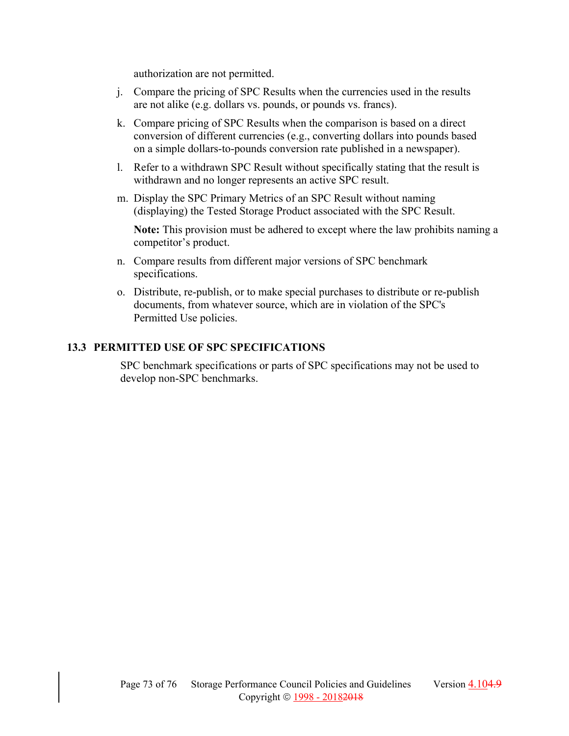authorization are not permitted.

- j. Compare the pricing of SPC Results when the currencies used in the results are not alike (e.g. dollars vs. pounds, or pounds vs. francs).
- k. Compare pricing of SPC Results when the comparison is based on a direct conversion of different currencies (e.g., converting dollars into pounds based on a simple dollars-to-pounds conversion rate published in a newspaper).
- l. Refer to a withdrawn SPC Result without specifically stating that the result is withdrawn and no longer represents an active SPC result.
- m. Display the SPC Primary Metrics of an SPC Result without naming (displaying) the Tested Storage Product associated with the SPC Result.

**Note:** This provision must be adhered to except where the law prohibits naming a competitor's product.

- n. Compare results from different major versions of SPC benchmark specifications.
- o. Distribute, re-publish, or to make special purchases to distribute or re-publish documents, from whatever source, which are in violation of the SPC's Permitted Use policies.

# **13.3 PERMITTED USE OF SPC SPECIFICATIONS**

SPC benchmark specifications or parts of SPC specifications may not be used to develop non-SPC benchmarks.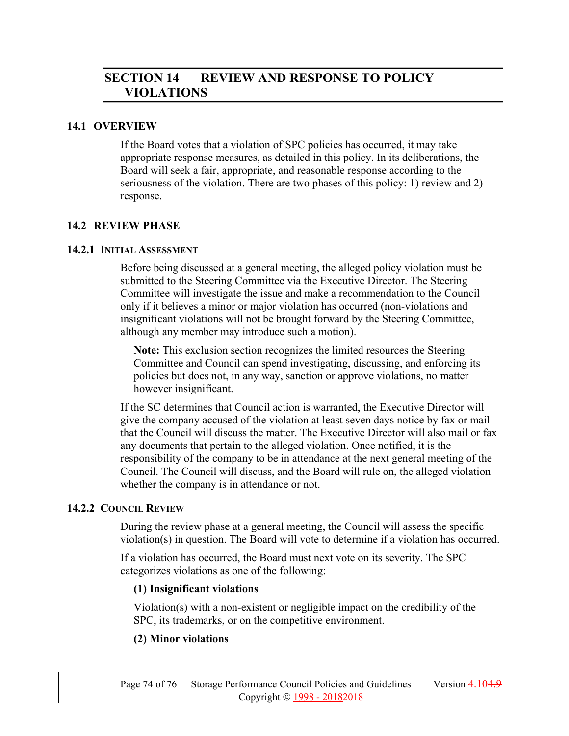# **SECTION 14 REVIEW AND RESPONSE TO POLICY VIOLATIONS**

#### **14.1 OVERVIEW**

If the Board votes that a violation of SPC policies has occurred, it may take appropriate response measures, as detailed in this policy. In its deliberations, the Board will seek a fair, appropriate, and reasonable response according to the seriousness of the violation. There are two phases of this policy: 1) review and 2) response.

## **14.2 REVIEW PHASE**

#### **14.2.1 INITIAL ASSESSMENT**

Before being discussed at a general meeting, the alleged policy violation must be submitted to the Steering Committee via the Executive Director. The Steering Committee will investigate the issue and make a recommendation to the Council only if it believes a minor or major violation has occurred (non-violations and insignificant violations will not be brought forward by the Steering Committee, although any member may introduce such a motion).

**Note:** This exclusion section recognizes the limited resources the Steering Committee and Council can spend investigating, discussing, and enforcing its policies but does not, in any way, sanction or approve violations, no matter however insignificant.

If the SC determines that Council action is warranted, the Executive Director will give the company accused of the violation at least seven days notice by fax or mail that the Council will discuss the matter. The Executive Director will also mail or fax any documents that pertain to the alleged violation. Once notified, it is the responsibility of the company to be in attendance at the next general meeting of the Council. The Council will discuss, and the Board will rule on, the alleged violation whether the company is in attendance or not.

## **14.2.2 COUNCIL REVIEW**

During the review phase at a general meeting, the Council will assess the specific violation(s) in question. The Board will vote to determine if a violation has occurred.

If a violation has occurred, the Board must next vote on its severity. The SPC categorizes violations as one of the following:

## **(1) Insignificant violations**

Violation(s) with a non-existent or negligible impact on the credibility of the SPC, its trademarks, or on the competitive environment.

## **(2) Minor violations**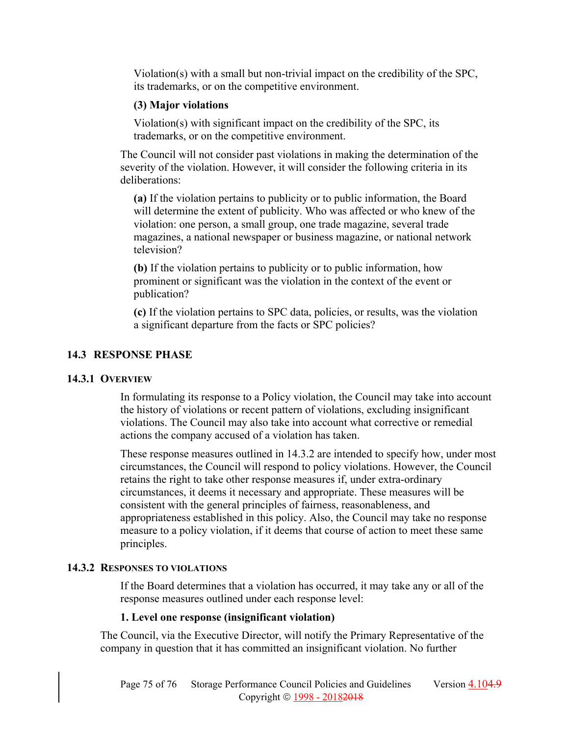Violation(s) with a small but non-trivial impact on the credibility of the SPC, its trademarks, or on the competitive environment.

## **(3) Major violations**

Violation(s) with significant impact on the credibility of the SPC, its trademarks, or on the competitive environment.

The Council will not consider past violations in making the determination of the severity of the violation. However, it will consider the following criteria in its deliberations:

**(a)** If the violation pertains to publicity or to public information, the Board will determine the extent of publicity. Who was affected or who knew of the violation: one person, a small group, one trade magazine, several trade magazines, a national newspaper or business magazine, or national network television?

**(b)** If the violation pertains to publicity or to public information, how prominent or significant was the violation in the context of the event or publication?

**(c)** If the violation pertains to SPC data, policies, or results, was the violation a significant departure from the facts or SPC policies?

# **14.3 RESPONSE PHASE**

## **14.3.1 OVERVIEW**

In formulating its response to a Policy violation, the Council may take into account the history of violations or recent pattern of violations, excluding insignificant violations. The Council may also take into account what corrective or remedial actions the company accused of a violation has taken.

These response measures outlined in 14.3.2 are intended to specify how, under most circumstances, the Council will respond to policy violations. However, the Council retains the right to take other response measures if, under extra-ordinary circumstances, it deems it necessary and appropriate. These measures will be consistent with the general principles of fairness, reasonableness, and appropriateness established in this policy. Also, the Council may take no response measure to a policy violation, if it deems that course of action to meet these same principles.

## **14.3.2 RESPONSES TO VIOLATIONS**

If the Board determines that a violation has occurred, it may take any or all of the response measures outlined under each response level:

## **1. Level one response (insignificant violation)**

The Council, via the Executive Director, will notify the Primary Representative of the company in question that it has committed an insignificant violation. No further